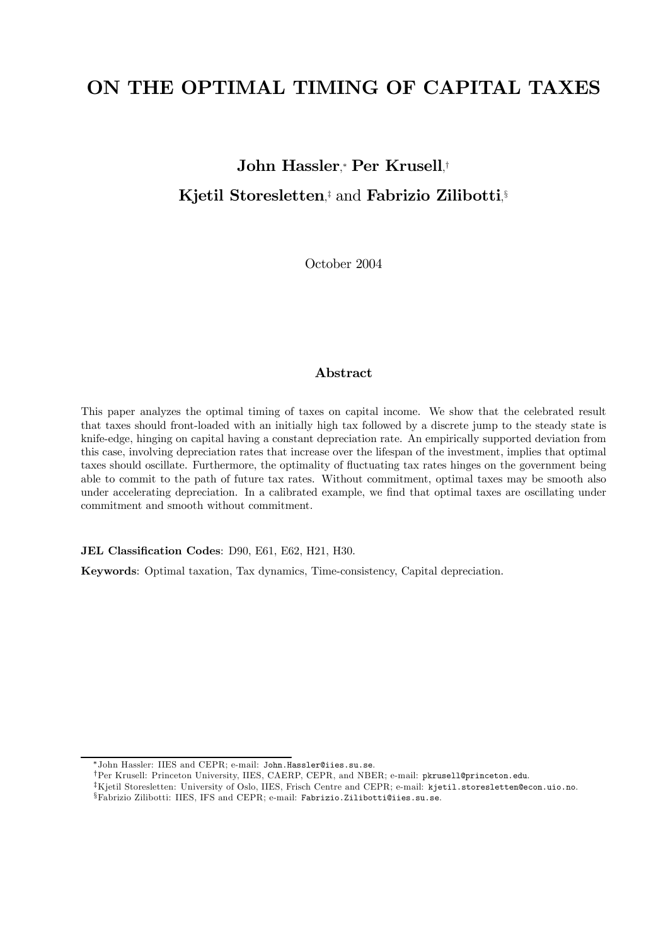# ON THE OPTIMAL TIMING OF CAPITAL TAXES

# John Hassler, <sup>∗</sup> Per Krusell, † Kjetil Storesletten,<sup>†</sup> and Fabrizio Zilibotti,<sup>§</sup>

October 2004

# Abstract

This paper analyzes the optimal timing of taxes on capital income. We show that the celebrated result that taxes should front-loaded with an initially high tax followed by a discrete jump to the steady state is knife-edge, hinging on capital having a constant depreciation rate. An empirically supported deviation from this case, involving depreciation rates that increase over the lifespan of the investment, implies that optimal taxes should oscillate. Furthermore, the optimality of fluctuating tax rates hinges on the government being able to commit to the path of future tax rates. Without commitment, optimal taxes may be smooth also under accelerating depreciation. In a calibrated example, we find that optimal taxes are oscillating under commitment and smooth without commitment.

JEL Classification Codes: D90, E61, E62, H21, H30.

Keywords: Optimal taxation, Tax dynamics, Time-consistency, Capital depreciation.

<sup>∗</sup>John Hassler: IIES and CEPR; e-mail: John.Hassler@iies.su.se.

<sup>†</sup>Per Krusell: Princeton University, IIES, CAERP, CEPR, and NBER; e-mail: pkrusell@princeton.edu.

<sup>‡</sup>Kjetil Storesletten: University of Oslo, IIES, Frisch Centre and CEPR; e-mail: kjetil.storesletten@econ.uio.no. §Fabrizio Zilibotti: IIES, IFS and CEPR; e-mail: Fabrizio.Zilibotti@iies.su.se.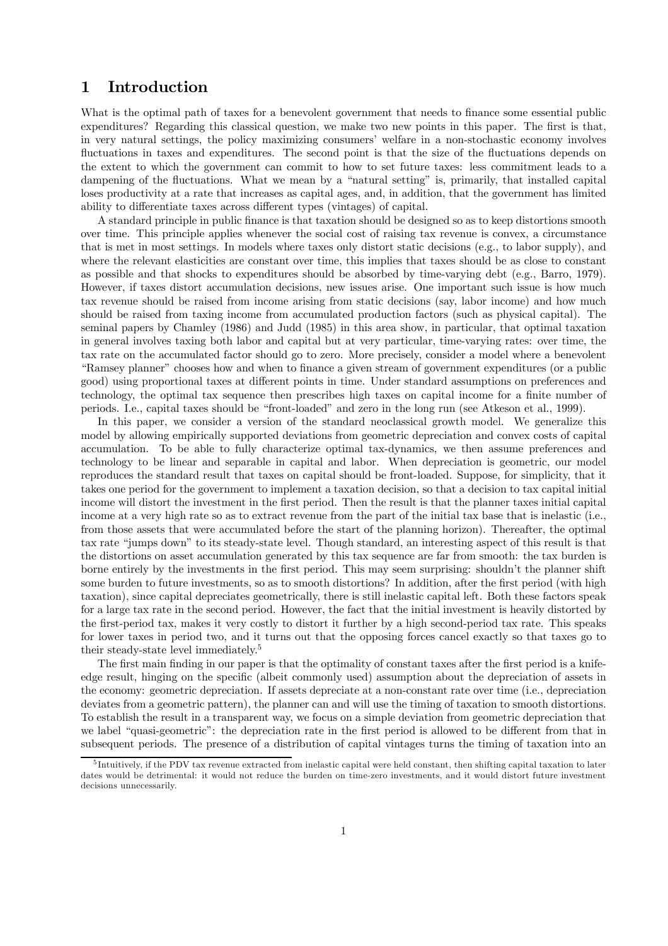# 1 Introduction

What is the optimal path of taxes for a benevolent government that needs to finance some essential public expenditures? Regarding this classical question, we make two new points in this paper. The first is that, in very natural settings, the policy maximizing consumers' welfare in a non-stochastic economy involves fluctuations in taxes and expenditures. The second point is that the size of the fluctuations depends on the extent to which the government can commit to how to set future taxes: less commitment leads to a dampening of the fluctuations. What we mean by a "natural setting" is, primarily, that installed capital loses productivity at a rate that increases as capital ages, and, in addition, that the government has limited ability to differentiate taxes across different types (vintages) of capital.

A standard principle in public finance is that taxation should be designed so as to keep distortions smooth over time. This principle applies whenever the social cost of raising tax revenue is convex, a circumstance that is met in most settings. In models where taxes only distort static decisions (e.g., to labor supply), and where the relevant elasticities are constant over time, this implies that taxes should be as close to constant as possible and that shocks to expenditures should be absorbed by time-varying debt (e.g., Barro, 1979). However, if taxes distort accumulation decisions, new issues arise. One important such issue is how much tax revenue should be raised from income arising from static decisions (say, labor income) and how much should be raised from taxing income from accumulated production factors (such as physical capital). The seminal papers by Chamley (1986) and Judd (1985) in this area show, in particular, that optimal taxation in general involves taxing both labor and capital but at very particular, time-varying rates: over time, the tax rate on the accumulated factor should go to zero. More precisely, consider a model where a benevolent "Ramsey planner" chooses how and when to finance a given stream of government expenditures (or a public good) using proportional taxes at different points in time. Under standard assumptions on preferences and technology, the optimal tax sequence then prescribes high taxes on capital income for a finite number of periods. I.e., capital taxes should be "front-loaded" and zero in the long run (see Atkeson et al., 1999).

In this paper, we consider a version of the standard neoclassical growth model. We generalize this model by allowing empirically supported deviations from geometric depreciation and convex costs of capital accumulation. To be able to fully characterize optimal tax-dynamics, we then assume preferences and technology to be linear and separable in capital and labor. When depreciation is geometric, our model reproduces the standard result that taxes on capital should be front-loaded. Suppose, for simplicity, that it takes one period for the government to implement a taxation decision, so that a decision to tax capital initial income will distort the investment in the first period. Then the result is that the planner taxes initial capital income at a very high rate so as to extract revenue from the part of the initial tax base that is inelastic (i.e., from those assets that were accumulated before the start of the planning horizon). Thereafter, the optimal tax rate "jumps down" to its steady-state level. Though standard, an interesting aspect of this result is that the distortions on asset accumulation generated by this tax sequence are far from smooth: the tax burden is borne entirely by the investments in the first period. This may seem surprising: shouldn't the planner shift some burden to future investments, so as to smooth distortions? In addition, after the first period (with high taxation), since capital depreciates geometrically, there is still inelastic capital left. Both these factors speak for a large tax rate in the second period. However, the fact that the initial investment is heavily distorted by the first-period tax, makes it very costly to distort it further by a high second-period tax rate. This speaks for lower taxes in period two, and it turns out that the opposing forces cancel exactly so that taxes go to their steady-state level immediately.5

The first main finding in our paper is that the optimality of constant taxes after the first period is a knifeedge result, hinging on the specific (albeit commonly used) assumption about the depreciation of assets in the economy: geometric depreciation. If assets depreciate at a non-constant rate over time (i.e., depreciation deviates from a geometric pattern), the planner can and will use the timing of taxation to smooth distortions. To establish the result in a transparent way, we focus on a simple deviation from geometric depreciation that we label "quasi-geometric": the depreciation rate in the first period is allowed to be different from that in subsequent periods. The presence of a distribution of capital vintages turns the timing of taxation into an

 $5$ Intuitively, if the PDV tax revenue extracted from inelastic capital were held constant, then shifting capital taxation to later dates would be detrimental: it would not reduce the burden on time-zero investments, and it would distort future investment decisions unnecessarily.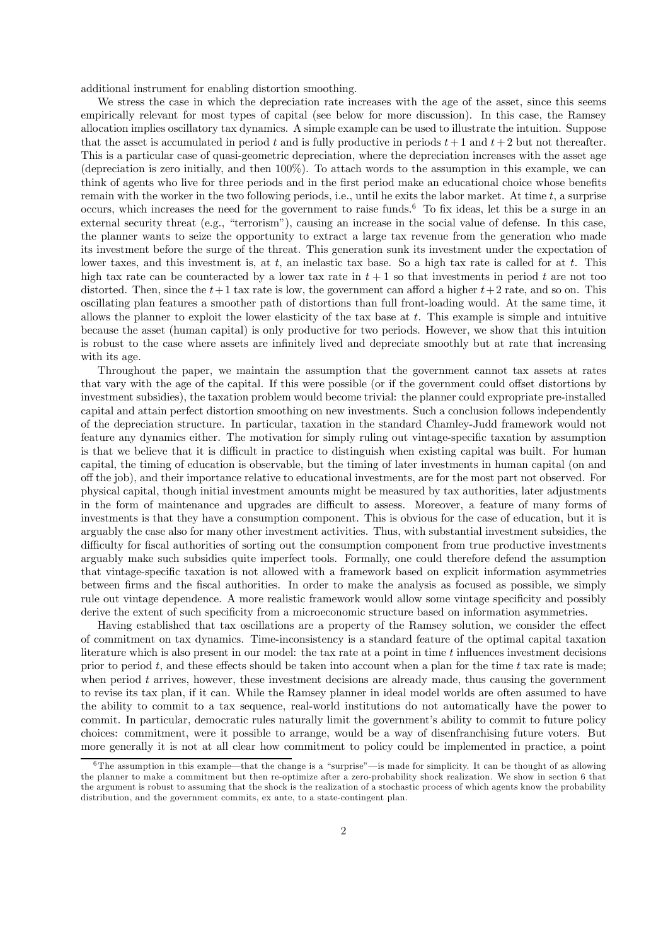additional instrument for enabling distortion smoothing.

We stress the case in which the depreciation rate increases with the age of the asset, since this seems empirically relevant for most types of capital (see below for more discussion). In this case, the Ramsey allocation implies oscillatory tax dynamics. A simple example can be used to illustrate the intuition. Suppose that the asset is accumulated in period t and is fully productive in periods  $t+1$  and  $t+2$  but not thereafter. This is a particular case of quasi-geometric depreciation, where the depreciation increases with the asset age (depreciation is zero initially, and then 100%). To attach words to the assumption in this example, we can think of agents who live for three periods and in the first period make an educational choice whose benefits remain with the worker in the two following periods, i.e., until he exits the labor market. At time  $t$ , a surprise occurs, which increases the need for the government to raise funds.<sup>6</sup> To fix ideas, let this be a surge in an external security threat (e.g., "terrorism"), causing an increase in the social value of defense. In this case, the planner wants to seize the opportunity to extract a large tax revenue from the generation who made its investment before the surge of the threat. This generation sunk its investment under the expectation of lower taxes, and this investment is, at t, an inelastic tax base. So a high tax rate is called for at t. This high tax rate can be counteracted by a lower tax rate in  $t + 1$  so that investments in period t are not too distorted. Then, since the  $t+1$  tax rate is low, the government can afford a higher  $t+2$  rate, and so on. This oscillating plan features a smoother path of distortions than full front-loading would. At the same time, it allows the planner to exploit the lower elasticity of the tax base at  $t$ . This example is simple and intuitive because the asset (human capital) is only productive for two periods. However, we show that this intuition is robust to the case where assets are infinitely lived and depreciate smoothly but at rate that increasing with its age.

Throughout the paper, we maintain the assumption that the government cannot tax assets at rates that vary with the age of the capital. If this were possible (or if the government could offset distortions by investment subsidies), the taxation problem would become trivial: the planner could expropriate pre-installed capital and attain perfect distortion smoothing on new investments. Such a conclusion follows independently of the depreciation structure. In particular, taxation in the standard Chamley-Judd framework would not feature any dynamics either. The motivation for simply ruling out vintage-specific taxation by assumption is that we believe that it is difficult in practice to distinguish when existing capital was built. For human capital, the timing of education is observable, but the timing of later investments in human capital (on and off the job), and their importance relative to educational investments, are for the most part not observed. For physical capital, though initial investment amounts might be measured by tax authorities, later adjustments in the form of maintenance and upgrades are difficult to assess. Moreover, a feature of many forms of investments is that they have a consumption component. This is obvious for the case of education, but it is arguably the case also for many other investment activities. Thus, with substantial investment subsidies, the difficulty for fiscal authorities of sorting out the consumption component from true productive investments arguably make such subsidies quite imperfect tools. Formally, one could therefore defend the assumption that vintage-specific taxation is not allowed with a framework based on explicit information asymmetries between firms and the fiscal authorities. In order to make the analysis as focused as possible, we simply rule out vintage dependence. A more realistic framework would allow some vintage specificity and possibly derive the extent of such specificity from a microeconomic structure based on information asymmetries.

Having established that tax oscillations are a property of the Ramsey solution, we consider the effect of commitment on tax dynamics. Time-inconsistency is a standard feature of the optimal capital taxation literature which is also present in our model: the tax rate at a point in time t influences investment decisions prior to period  $t$ , and these effects should be taken into account when a plan for the time  $t$  tax rate is made; when period t arrives, however, these investment decisions are already made, thus causing the government to revise its tax plan, if it can. While the Ramsey planner in ideal model worlds are often assumed to have the ability to commit to a tax sequence, real-world institutions do not automatically have the power to commit. In particular, democratic rules naturally limit the government's ability to commit to future policy choices: commitment, were it possible to arrange, would be a way of disenfranchising future voters. But more generally it is not at all clear how commitment to policy could be implemented in practice, a point

 $6$ The assumption in this example—that the change is a "surprise"—is made for simplicity. It can be thought of as allowing the planner to make a commitment but then re-optimize after a zero-probability shock realization. We show in section 6 that the argument is robust to assuming that the shock is the realization of a stochastic process of which agents know the probability distribution, and the government commits, ex ante, to a state-contingent plan.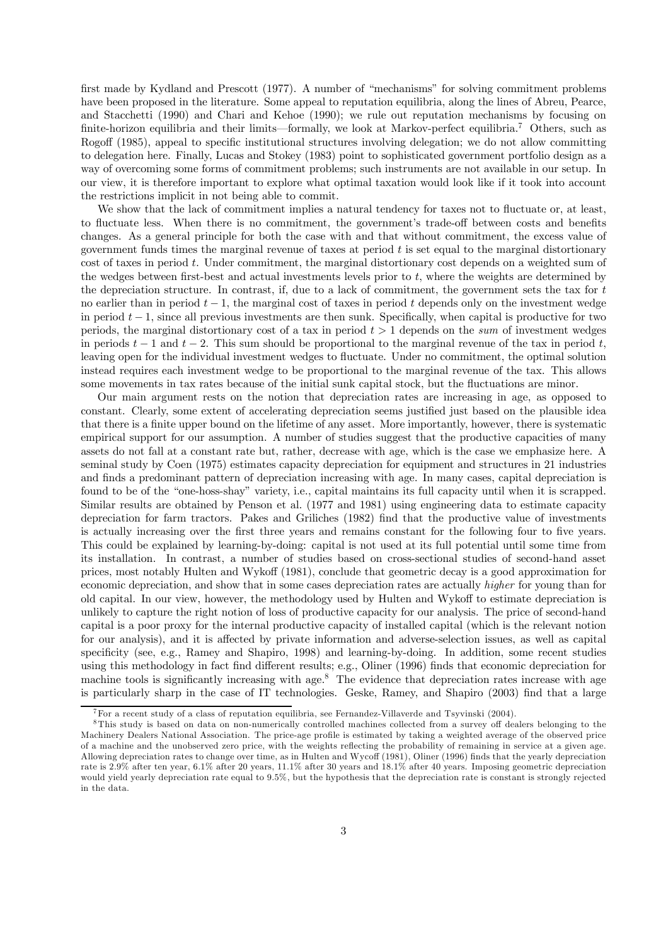first made by Kydland and Prescott (1977). A number of "mechanisms" for solving commitment problems have been proposed in the literature. Some appeal to reputation equilibria, along the lines of Abreu, Pearce, and Stacchetti (1990) and Chari and Kehoe (1990); we rule out reputation mechanisms by focusing on finite-horizon equilibria and their limits–formally, we look at Markov-perfect equilibria.7 Others, such as Rogoff (1985), appeal to specific institutional structures involving delegation; we do not allow committing to delegation here. Finally, Lucas and Stokey (1983) point to sophisticated government portfolio design as a way of overcoming some forms of commitment problems; such instruments are not available in our setup. In our view, it is therefore important to explore what optimal taxation would look like if it took into account the restrictions implicit in not being able to commit.

We show that the lack of commitment implies a natural tendency for taxes not to fluctuate or, at least, to fluctuate less. When there is no commitment, the government's trade-off between costs and benefits changes. As a general principle for both the case with and that without commitment, the excess value of government funds times the marginal revenue of taxes at period  $t$  is set equal to the marginal distortionary cost of taxes in period t. Under commitment, the marginal distortionary cost depends on a weighted sum of the wedges between first-best and actual investments levels prior to t, where the weights are determined by the depreciation structure. In contrast, if, due to a lack of commitment, the government sets the tax for t no earlier than in period  $t - 1$ , the marginal cost of taxes in period t depends only on the investment wedge in period  $t - 1$ , since all previous investments are then sunk. Specifically, when capital is productive for two periods, the marginal distortionary cost of a tax in period  $t > 1$  depends on the sum of investment wedges in periods  $t-1$  and  $t-2$ . This sum should be proportional to the marginal revenue of the tax in period t, leaving open for the individual investment wedges to fluctuate. Under no commitment, the optimal solution instead requires each investment wedge to be proportional to the marginal revenue of the tax. This allows some movements in tax rates because of the initial sunk capital stock, but the fluctuations are minor.

Our main argument rests on the notion that depreciation rates are increasing in age, as opposed to constant. Clearly, some extent of accelerating depreciation seems justified just based on the plausible idea that there is a finite upper bound on the lifetime of any asset. More importantly, however, there is systematic empirical support for our assumption. A number of studies suggest that the productive capacities of many assets do not fall at a constant rate but, rather, decrease with age, which is the case we emphasize here. A seminal study by Coen (1975) estimates capacity depreciation for equipment and structures in 21 industries and finds a predominant pattern of depreciation increasing with age. In many cases, capital depreciation is found to be of the "one-hoss-shay" variety, i.e., capital maintains its full capacity until when it is scrapped. Similar results are obtained by Penson et al. (1977 and 1981) using engineering data to estimate capacity depreciation for farm tractors. Pakes and Griliches (1982) find that the productive value of investments is actually increasing over the first three years and remains constant for the following four to five years. This could be explained by learning-by-doing: capital is not used at its full potential until some time from its installation. In contrast, a number of studies based on cross-sectional studies of second-hand asset prices, most notably Hulten and Wykoff (1981), conclude that geometric decay is a good approximation for economic depreciation, and show that in some cases depreciation rates are actually higher for young than for old capital. In our view, however, the methodology used by Hulten and Wykoff to estimate depreciation is unlikely to capture the right notion of loss of productive capacity for our analysis. The price of second-hand capital is a poor proxy for the internal productive capacity of installed capital (which is the relevant notion for our analysis), and it is affected by private information and adverse-selection issues, as well as capital specificity (see, e.g., Ramey and Shapiro, 1998) and learning-by-doing. In addition, some recent studies using this methodology in fact find different results; e.g., Oliner (1996) finds that economic depreciation for machine tools is significantly increasing with age.<sup>8</sup> The evidence that depreciation rates increase with age is particularly sharp in the case of IT technologies. Geske, Ramey, and Shapiro (2003) find that a large

 $^7$  For a recent study of a class of reputation equilibria, see Fernandez-Villaverde and Tsyvinski (2004).

<sup>8</sup>This study is based on data on non-numerically controlled machines collected from a survey off dealers belonging to the Machinery Dealers National Association. The price-age profile is estimated by taking a weighted average of the observed price of a machine and the unobserved zero price, with the weights reflecting the probability of remaining in service at a given age. Allowing depreciation rates to change over time, as in Hulten and Wycoff (1981), Oliner (1996) finds that the yearly depreciation rate is 2.9% after ten year, 6.1% after 20 years, 11.1% after 30 years and 18.1% after 40 years. Imposing geometric depreciation would yield yearly depreciation rate equal to 9.5%, but the hypothesis that the depreciation rate is constant is strongly rejected in the data.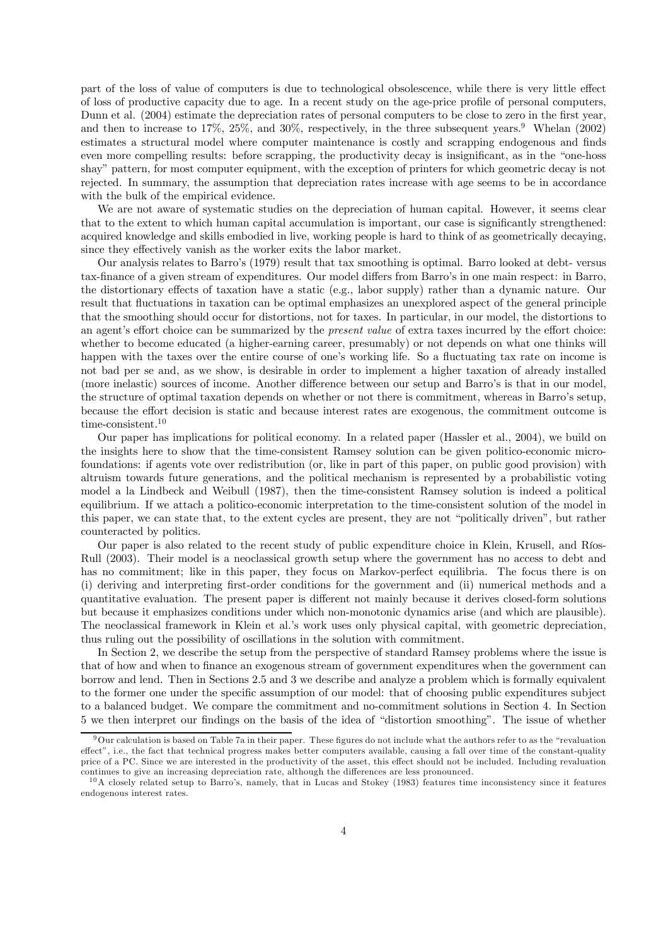part of the loss of value of computers is due to technological obsolescence, while there is very little effect of loss of productive capacity due to age. In a recent study on the age-price profile of personal computers, Dunn et al. (2004) estimate the depreciation rates of personal computers to be close to zero in the first year, and then to increase to  $17\%, 25\%,$  and  $30\%,$  respectively, in the three subsequent years.<sup>9</sup> Whelan (2002) estimates a structural model where computer maintenance is costly and scrapping endogenous and finds even more compelling results: before scrapping, the productivity decay is insignificant, as in the "one-hoss shay" pattern, for most computer equipment, with the exception of printers for which geometric decay is not rejected. In summary, the assumption that depreciation rates increase with age seems to be in accordance with the bulk of the empirical evidence.

We are not aware of systematic studies on the depreciation of human capital. However, it seems clear that to the extent to which human capital accumulation is important, our case is significantly strengthened: acquired knowledge and skills embodied in live, working people is hard to think of as geometrically decaying, since they effectively vanish as the worker exits the labor market.

Our analysis relates to Barro's (1979) result that tax smoothing is optimal. Barro looked at debt- versus tax-finance of a given stream of expenditures. Our model differs from Barro's in one main respect: in Barro, the distortionary effects of taxation have a static (e.g., labor supply) rather than a dynamic nature. Our result that fluctuations in taxation can be optimal emphasizes an unexplored aspect of the general principle that the smoothing should occur for distortions, not for taxes. In particular, in our model, the distortions to an agent's effort choice can be summarized by the present value of extra taxes incurred by the effort choice: whether to become educated (a higher-earning career, presumably) or not depends on what one thinks will happen with the taxes over the entire course of one's working life. So a fluctuating tax rate on income is not bad per se and, as we show, is desirable in order to implement a higher taxation of already installed (more inelastic) sources of income. Another difference between our setup and Barro's is that in our model, the structure of optimal taxation depends on whether or not there is commitment, whereas in Barro's setup, because the effort decision is static and because interest rates are exogenous, the commitment outcome is time-consistent.<sup>10</sup>

Our paper has implications for political economy. In a related paper (Hassler et al., 2004), we build on the insights here to show that the time-consistent Ramsey solution can be given politico-economic microfoundations: if agents vote over redistribution (or, like in part of this paper, on public good provision) with altruism towards future generations, and the political mechanism is represented by a probabilistic voting model a la Lindbeck and Weibull (1987), then the time-consistent Ramsey solution is indeed a political equilibrium. If we attach a politico-economic interpretation to the time-consistent solution of the model in this paper, we can state that, to the extent cycles are present, they are not "politically driven", but rather counteracted by politics.

Our paper is also related to the recent study of public expenditure choice in Klein, Krusell, and Ríos-Rull (2003). Their model is a neoclassical growth setup where the government has no access to debt and has no commitment; like in this paper, they focus on Markov-perfect equilibria. The focus there is on (i) deriving and interpreting first-order conditions for the government and (ii) numerical methods and a quantitative evaluation. The present paper is different not mainly because it derives closed-form solutions but because it emphasizes conditions under which non-monotonic dynamics arise (and which are plausible). The neoclassical framework in Klein et al.'s work uses only physical capital, with geometric depreciation, thus ruling out the possibility of oscillations in the solution with commitment.

In Section 2, we describe the setup from the perspective of standard Ramsey problems where the issue is that of how and when to finance an exogenous stream of government expenditures when the government can borrow and lend. Then in Sections 2.5 and 3 we describe and analyze a problem which is formally equivalent to the former one under the specific assumption of our model: that of choosing public expenditures subject to a balanced budget. We compare the commitment and no-commitment solutions in Section 4. In Section 5 we then interpret our findings on the basis of the idea of "distortion smoothing". The issue of whether

<sup>9</sup>Our calculation is based on Table 7a in their paper. These figures do not include what the authors refer to as the "revaluation effect", i.e., the fact that technical progress makes better computers available, causing a fall over time of the constant-quality price of a PC. Since we are interested in the productivity of the asset, this effect should not be included. Including revaluation continues to give an increasing depreciation rate, although the differences are less pronounced.

 $10$ A closely related setup to Barro's, namely, that in Lucas and Stokey (1983) features time inconsistency since it features endogenous interest rates.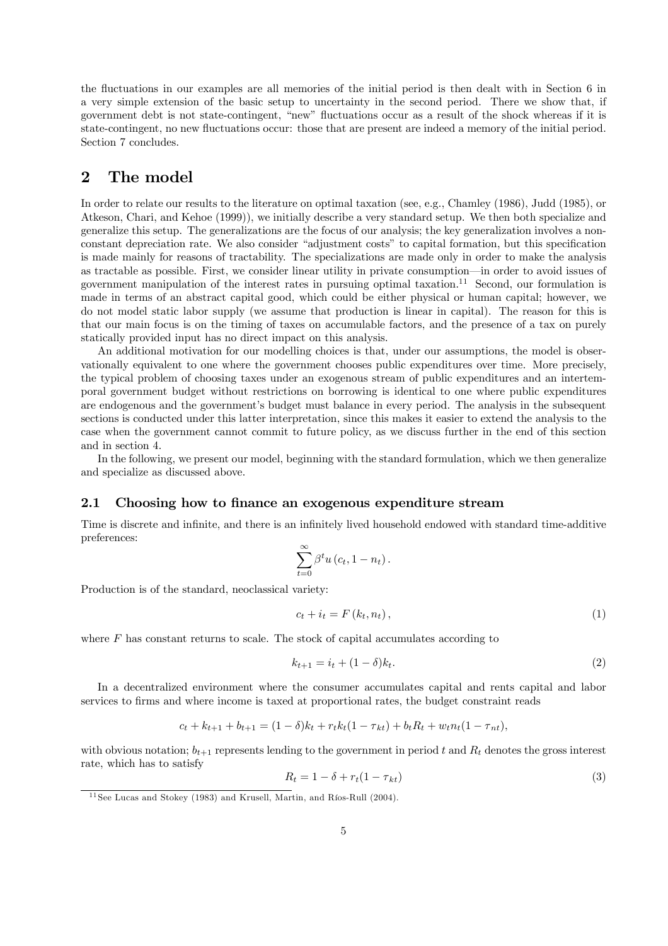the fluctuations in our examples are all memories of the initial period is then dealt with in Section 6 in a very simple extension of the basic setup to uncertainty in the second period. There we show that, if government debt is not state-contingent, "new" fluctuations occur as a result of the shock whereas if it is state-contingent, no new fluctuations occur: those that are present are indeed a memory of the initial period. Section 7 concludes.

# 2 The model

In order to relate our results to the literature on optimal taxation (see, e.g., Chamley (1986), Judd (1985), or Atkeson, Chari, and Kehoe (1999)), we initially describe a very standard setup. We then both specialize and generalize this setup. The generalizations are the focus of our analysis; the key generalization involves a nonconstant depreciation rate. We also consider "adjustment costs" to capital formation, but this specification is made mainly for reasons of tractability. The specializations are made only in order to make the analysis as tractable as possible. First, we consider linear utility in private consumption–in order to avoid issues of government manipulation of the interest rates in pursuing optimal taxation.11 Second, our formulation is made in terms of an abstract capital good, which could be either physical or human capital; however, we do not model static labor supply (we assume that production is linear in capital). The reason for this is that our main focus is on the timing of taxes on accumulable factors, and the presence of a tax on purely statically provided input has no direct impact on this analysis.

An additional motivation for our modelling choices is that, under our assumptions, the model is observationally equivalent to one where the government chooses public expenditures over time. More precisely, the typical problem of choosing taxes under an exogenous stream of public expenditures and an intertemporal government budget without restrictions on borrowing is identical to one where public expenditures are endogenous and the government's budget must balance in every period. The analysis in the subsequent sections is conducted under this latter interpretation, since this makes it easier to extend the analysis to the case when the government cannot commit to future policy, as we discuss further in the end of this section and in section 4.

In the following, we present our model, beginning with the standard formulation, which we then generalize and specialize as discussed above.

#### 2.1 Choosing how to finance an exogenous expenditure stream

Time is discrete and infinite, and there is an infinitely lived household endowed with standard time-additive preferences:

$$
\sum_{t=0}^{\infty} \beta^t u\left(c_t, 1-n_t\right).
$$

Production is of the standard, neoclassical variety:

$$
c_t + i_t = F(k_t, n_t), \qquad (1)
$$

where  $F$  has constant returns to scale. The stock of capital accumulates according to

$$
k_{t+1} = i_t + (1 - \delta)k_t.
$$
 (2)

In a decentralized environment where the consumer accumulates capital and rents capital and labor services to firms and where income is taxed at proportional rates, the budget constraint reads

$$
c_t + k_{t+1} + b_{t+1} = (1 - \delta)k_t + r_t k_t (1 - \tau_{kt}) + b_t R_t + w_t n_t (1 - \tau_{nt}),
$$

with obvious notation;  $b_{t+1}$  represents lending to the government in period t and  $R_t$  denotes the gross interest rate, which has to satisfy

$$
R_t = 1 - \delta + r_t(1 - \tau_{kt})
$$
\n<sup>(3)</sup>

 $11$  See Lucas and Stokey (1983) and Krusell, Martin, and Ríos-Rull (2004).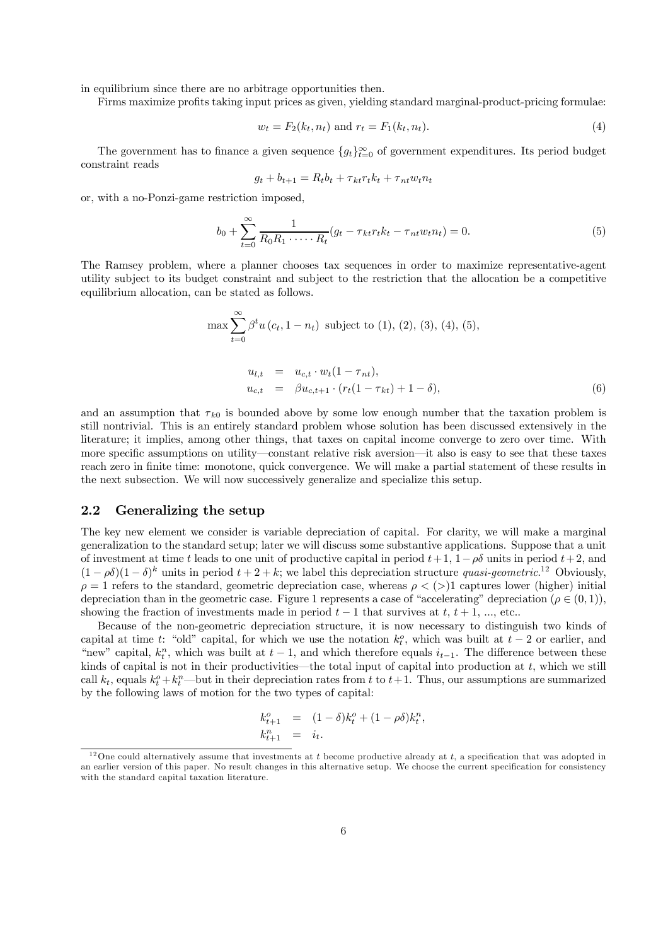in equilibrium since there are no arbitrage opportunities then.

Firms maximize profits taking input prices as given, yielding standard marginal-product-pricing formulae:

$$
w_t = F_2(k_t, n_t) \text{ and } r_t = F_1(k_t, n_t). \tag{4}
$$

The government has to finance a given sequence  $\{g_t\}_{t=0}^{\infty}$  of government expenditures. Its period budget constraint reads

$$
g_t + b_{t+1} = R_t b_t + \tau_{kt} r_t k_t + \tau_{nt} w_t n_t
$$

or, with a no-Ponzi-game restriction imposed,

$$
b_0 + \sum_{t=0}^{\infty} \frac{1}{R_0 R_1 \cdots R_t} (g_t - \tau_{kt} r_t k_t - \tau_{nt} w_t n_t) = 0.
$$
 (5)

The Ramsey problem, where a planner chooses tax sequences in order to maximize representative-agent utility subject to its budget constraint and subject to the restriction that the allocation be a competitive equilibrium allocation, can be stated as follows.

$$
\max \sum_{t=0}^{\infty} \beta^t u(c_t, 1 - n_t) \text{ subject to (1), (2), (3), (4), (5)},
$$
  
\n
$$
u_{l,t} = u_{c,t} \cdot w_t (1 - \tau_{nt}),
$$
  
\n
$$
u_{c,t} = \beta u_{c,t+1} \cdot (r_t (1 - \tau_{kt}) + 1 - \delta),
$$
  
\n(6)

and an assumption that  $\tau_{k0}$  is bounded above by some low enough number that the taxation problem is still nontrivial. This is an entirely standard problem whose solution has been discussed extensively in the literature; it implies, among other things, that taxes on capital income converge to zero over time. With more specific assumptions on utility–constant relative risk aversion–it also is easy to see that these taxes reach zero in finite time: monotone, quick convergence. We will make a partial statement of these results in the next subsection. We will now successively generalize and specialize this setup.

#### 2.2 Generalizing the setup

The key new element we consider is variable depreciation of capital. For clarity, we will make a marginal generalization to the standard setup; later we will discuss some substantive applications. Suppose that a unit of investment at time t leads to one unit of productive capital in period  $t + 1$ ,  $1 - \rho \delta$  units in period  $t + 2$ , and  $(1 - \rho \delta)(1 - \delta)^k$  units in period  $t + 2 + k$ ; we label this depreciation structure quasi-geometric.<sup>12</sup> Obviously,  $\rho = 1$  refers to the standard, geometric depreciation case, whereas  $\rho < (>)$ 1 captures lower (higher) initial depreciation than in the geometric case. Figure 1 represents a case of "accelerating" depreciation ( $\rho \in (0,1)$ ), showing the fraction of investments made in period  $t - 1$  that survives at  $t, t + 1, ...,$  etc..

Because of the non-geometric depreciation structure, it is now necessary to distinguish two kinds of capital at time t: "old" capital, for which we use the notation  $k_t^o$ , which was built at  $t - 2$  or earlier, and "new" capital,  $k_t^n$ , which was built at  $t-1$ , and which therefore equals  $i_{t-1}$ . The difference between these kinds of capital is not in their productivities—the total input of capital into production at  $t$ , which we still call  $k_t$ , equals  $k_t^o + k_t^n$ —but in their depreciation rates from t to  $t+1$ . Thus, our assumptions are summarized by the following laws of motion for the two types of capital:

$$
k_{t+1}^{o} = (1 - \delta)k_t^{o} + (1 - \rho \delta)k_t^{n},
$$
  
\n
$$
k_{t+1}^{n} = i_t.
$$

<sup>&</sup>lt;sup>12</sup>One could alternatively assume that investments at t become productive already at t, a specification that was adopted in an earlier version of this paper. No result changes in this alternative setup. We choose the current specification for consistency with the standard capital taxation literature.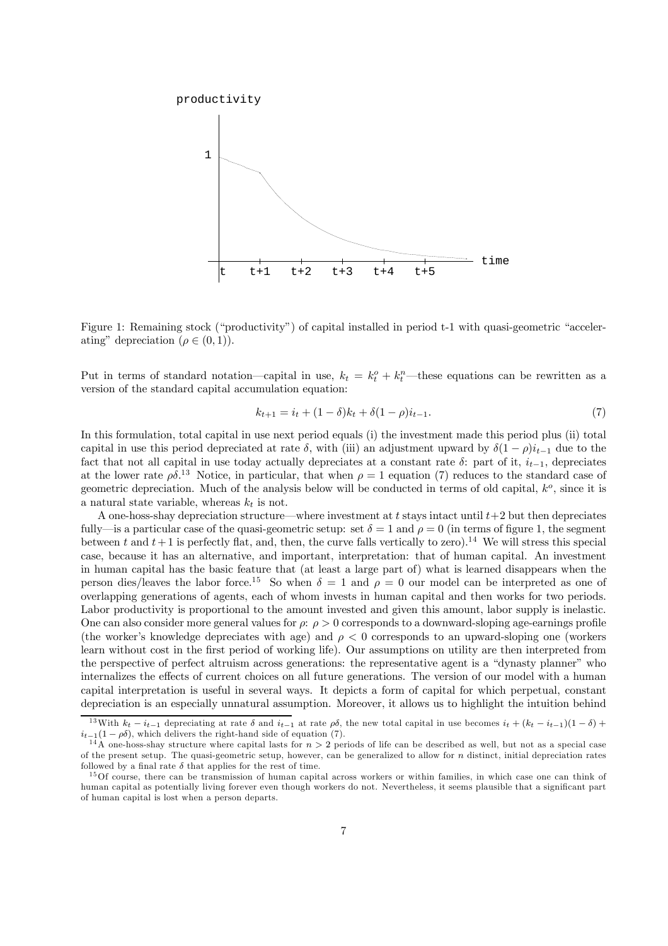

Figure 1: Remaining stock ("productivity") of capital installed in period t-1 with quasi-geometric "accelerating" depreciation ( $\rho \in (0, 1)$ ).

Put in terms of standard notation—capital in use,  $k_t = k_t^o + k_t^n$ —these equations can be rewritten as a version of the standard capital accumulation equation:

$$
k_{t+1} = i_t + (1 - \delta)k_t + \delta(1 - \rho)i_{t-1}.
$$
\n(7)

In this formulation, total capital in use next period equals (i) the investment made this period plus (ii) total capital in use this period depreciated at rate  $\delta$ , with (iii) an adjustment upward by  $\delta(1-\rho)i_{t-1}$  due to the fact that not all capital in use today actually depreciates at a constant rate  $\delta$ : part of it,  $i_{t-1}$ , depreciates at the lower rate  $\rho \delta$ <sup>13</sup> Notice, in particular, that when  $\rho = 1$  equation (7) reduces to the standard case of geometric depreciation. Much of the analysis below will be conducted in terms of old capital,  $k^o$ , since it is a natural state variable, whereas  $k_t$  is not.

A one-hoss-shay depreciation structure—where investment at t stays intact until  $t+2$  but then depreciates fully—is a particular case of the quasi-geometric setup: set  $\delta = 1$  and  $\rho = 0$  (in terms of figure 1, the segment between t and  $t+1$  is perfectly flat, and, then, the curve falls vertically to zero).<sup>14</sup> We will stress this special case, because it has an alternative, and important, interpretation: that of human capital. An investment in human capital has the basic feature that (at least a large part of) what is learned disappears when the person dies/leaves the labor force.<sup>15</sup> So when  $\delta = 1$  and  $\rho = 0$  our model can be interpreted as one of overlapping generations of agents, each of whom invests in human capital and then works for two periods. Labor productivity is proportional to the amount invested and given this amount, labor supply is inelastic. One can also consider more general values for  $\rho$ :  $\rho > 0$  corresponds to a downward-sloping age-earnings profile (the worker's knowledge depreciates with age) and  $\rho < 0$  corresponds to an upward-sloping one (workers learn without cost in the first period of working life). Our assumptions on utility are then interpreted from the perspective of perfect altruism across generations: the representative agent is a "dynasty planner" who internalizes the effects of current choices on all future generations. The version of our model with a human capital interpretation is useful in several ways. It depicts a form of capital for which perpetual, constant depreciation is an especially unnatural assumption. Moreover, it allows us to highlight the intuition behind

<sup>&</sup>lt;sup>13</sup>With  $k_t - i_{t-1}$  depreciating at rate  $\delta$  and  $i_{t-1}$  at rate  $\rho\delta$ , the new total capital in use becomes  $i_t + (k_t - i_{t-1})(1 - \delta) + i_{t-1}(1 - \rho\delta)$ , which delivers the right-hand side of equation (7).

<sup>&</sup>lt;sup>14</sup>A one-hoss-shay structure where capital lasts for  $n > 2$  periods of life can be described as well, but not as a special case of the present setup. The quasi-geometric setup, however, can be generalized to allow for  $n$  distinct, initial depreciation rates followed by a final rate  $\delta$  that applies for the rest of time.

<sup>&</sup>lt;sup>15</sup>Of course, there can be transmission of human capital across workers or within families, in which case one can think of human capital as potentially living forever even though workers do not. Nevertheless, it seems plausible that a significant part of human capital is lost when a person departs.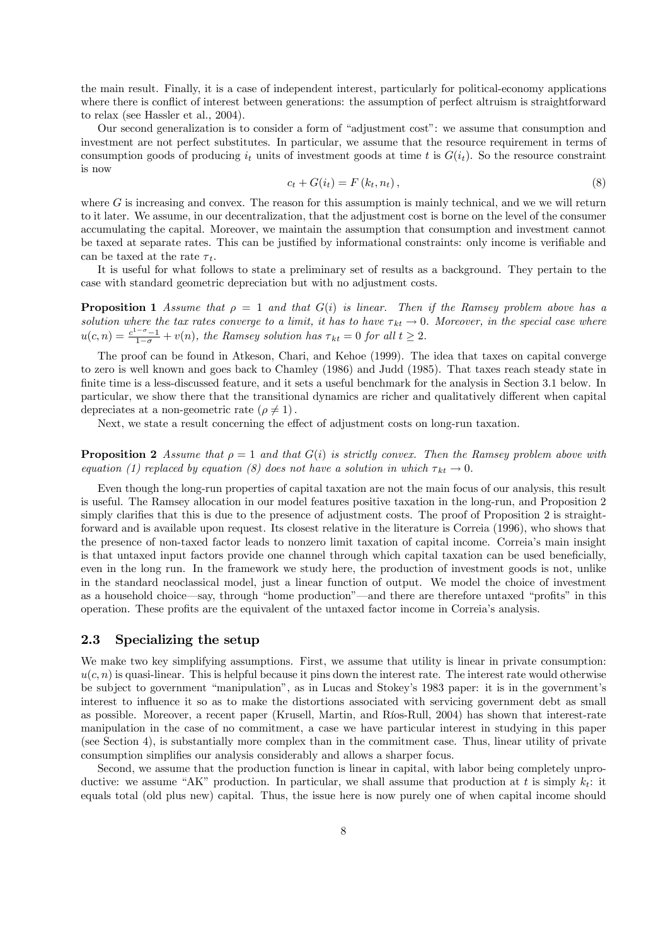the main result. Finally, it is a case of independent interest, particularly for political-economy applications where there is conflict of interest between generations: the assumption of perfect altruism is straightforward to relax (see Hassler et al., 2004).

Our second generalization is to consider a form of "adjustment cost": we assume that consumption and investment are not perfect substitutes. In particular, we assume that the resource requirement in terms of consumption goods of producing  $i_t$  units of investment goods at time t is  $G(i_t)$ . So the resource constraint is now

$$
c_t + G(i_t) = F(k_t, n_t), \tag{8}
$$

where  $G$  is increasing and convex. The reason for this assumption is mainly technical, and we we will return to it later. We assume, in our decentralization, that the adjustment cost is borne on the level of the consumer accumulating the capital. Moreover, we maintain the assumption that consumption and investment cannot be taxed at separate rates. This can be justified by informational constraints: only income is verifiable and can be taxed at the rate  $\tau_t$ .

It is useful for what follows to state a preliminary set of results as a background. They pertain to the case with standard geometric depreciation but with no adjustment costs.

**Proposition 1** Assume that  $\rho = 1$  and that  $G(i)$  is linear. Then if the Ramsey problem above has a solution where the tax rates converge to a limit, it has to have  $\tau_{kt} \to 0$ . Moreover, in the special case where  $u(c,n) = \frac{c^{1-\sigma}-1}{1-\sigma} + v(n)$ , the Ramsey solution has  $\tau_{kt} = 0$  for all  $t \geq 2$ .

The proof can be found in Atkeson, Chari, and Kehoe (1999). The idea that taxes on capital converge to zero is well known and goes back to Chamley (1986) and Judd (1985). That taxes reach steady state in finite time is a less-discussed feature, and it sets a useful benchmark for the analysis in Section 3.1 below. In particular, we show there that the transitional dynamics are richer and qualitatively different when capital depreciates at a non-geometric rate  $(\rho \neq 1)$ .

Next, we state a result concerning the effect of adjustment costs on long-run taxation.

**Proposition 2** Assume that  $\rho = 1$  and that  $G(i)$  is strictly convex. Then the Ramsey problem above with equation (1) replaced by equation (8) does not have a solution in which  $\tau_{kt} \to 0$ .

Even though the long-run properties of capital taxation are not the main focus of our analysis, this result is useful. The Ramsey allocation in our model features positive taxation in the long-run, and Proposition 2 simply clarifies that this is due to the presence of adjustment costs. The proof of Proposition 2 is straightforward and is available upon request. Its closest relative in the literature is Correia (1996), who shows that the presence of non-taxed factor leads to nonzero limit taxation of capital income. Correia's main insight is that untaxed input factors provide one channel through which capital taxation can be used beneficially, even in the long run. In the framework we study here, the production of investment goods is not, unlike in the standard neoclassical model, just a linear function of output. We model the choice of investment as a household choice–say, through "home production"–and there are therefore untaxed "profits" in this operation. These profits are the equivalent of the untaxed factor income in Correia's analysis.

### 2.3 Specializing the setup

We make two key simplifying assumptions. First, we assume that utility is linear in private consumption:  $u(c, n)$  is quasi-linear. This is helpful because it pins down the interest rate. The interest rate would otherwise be subject to government "manipulation", as in Lucas and Stokey's 1983 paper: it is in the government's interest to influence it so as to make the distortions associated with servicing government debt as small as possible. Moreover, a recent paper (Krusell, Martin, and Ríos-Rull, 2004) has shown that interest-rate manipulation in the case of no commitment, a case we have particular interest in studying in this paper (see Section 4), is substantially more complex than in the commitment case. Thus, linear utility of private consumption simplifies our analysis considerably and allows a sharper focus.

Second, we assume that the production function is linear in capital, with labor being completely unproductive: we assume "AK" production. In particular, we shall assume that production at t is simply  $k_t$ : it equals total (old plus new) capital. Thus, the issue here is now purely one of when capital income should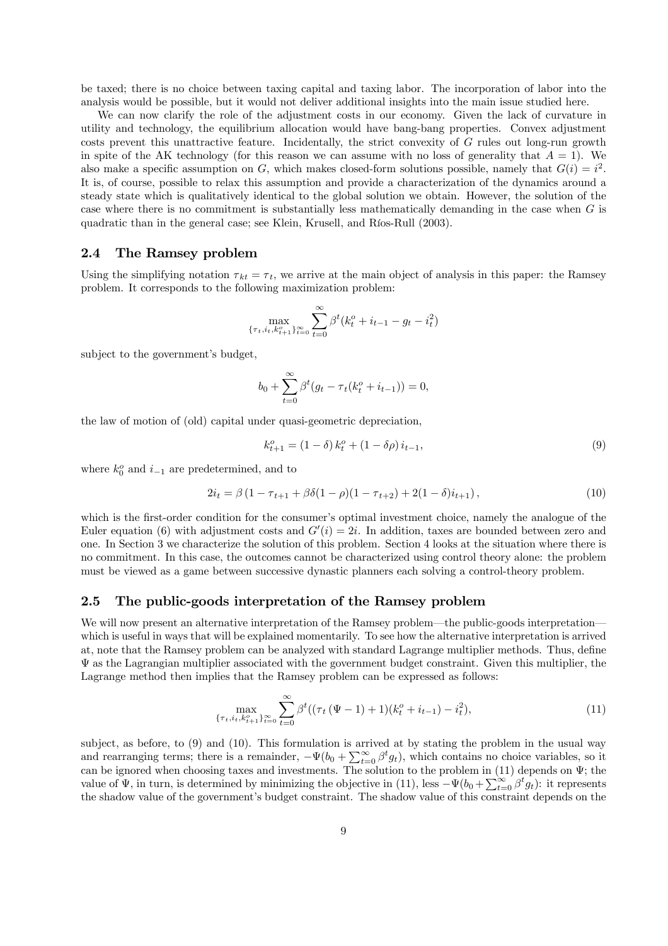be taxed; there is no choice between taxing capital and taxing labor. The incorporation of labor into the analysis would be possible, but it would not deliver additional insights into the main issue studied here.

We can now clarify the role of the adjustment costs in our economy. Given the lack of curvature in utility and technology, the equilibrium allocation would have bang-bang properties. Convex adjustment costs prevent this unattractive feature. Incidentally, the strict convexity of G rules out long-run growth in spite of the AK technology (for this reason we can assume with no loss of generality that  $A = 1$ ). We also make a specific assumption on G, which makes closed-form solutions possible, namely that  $G(i) = i^2$ . It is, of course, possible to relax this assumption and provide a characterization of the dynamics around a steady state which is qualitatively identical to the global solution we obtain. However, the solution of the case where there is no commitment is substantially less mathematically demanding in the case when G is quadratic than in the general case; see Klein, Krusell, and Ríos-Rull (2003).

### 2.4 The Ramsey problem

Using the simplifying notation  $\tau_{kt} = \tau_t$ , we arrive at the main object of analysis in this paper: the Ramsey problem. It corresponds to the following maximization problem:

$$
\max_{\{\tau_t, i_t, k_{t+1}^{\alpha}\}_{t=0}^{\infty}} \sum_{t=0}^{\infty} \beta^t(k_t^o + i_{t-1} - g_t - i_t^2)
$$

subject to the government's budget,

$$
b_0 + \sum_{t=0}^{\infty} \beta^t (g_t - \tau_t (k_t^o + i_{t-1})) = 0,
$$

the law of motion of (old) capital under quasi-geometric depreciation,

$$
k_{t+1}^{o} = (1 - \delta) k_t^{o} + (1 - \delta \rho) i_{t-1},
$$
\n(9)

where  $k_0^o$  and  $i_{-1}$  are predetermined, and to

$$
2i_t = \beta \left(1 - \tau_{t+1} + \beta \delta (1 - \rho)(1 - \tau_{t+2}) + 2(1 - \delta)i_{t+1}\right),\tag{10}
$$

which is the first-order condition for the consumer's optimal investment choice, namely the analogue of the Euler equation (6) with adjustment costs and  $G'(i)=2i$ . In addition, taxes are bounded between zero and one. In Section 3 we characterize the solution of this problem. Section 4 looks at the situation where there is no commitment. In this case, the outcomes cannot be characterized using control theory alone: the problem must be viewed as a game between successive dynastic planners each solving a control-theory problem.

### 2.5 The public-goods interpretation of the Ramsey problem

We will now present an alternative interpretation of the Ramsey problem—the public-goods interpretation which is useful in ways that will be explained momentarily. To see how the alternative interpretation is arrived at, note that the Ramsey problem can be analyzed with standard Lagrange multiplier methods. Thus, define  $\Psi$  as the Lagrangian multiplier associated with the government budget constraint. Given this multiplier, the Lagrange method then implies that the Ramsey problem can be expressed as follows:

$$
\max_{\{\tau_t, i_t, k_{t+1}^o\}_{t=0}^\infty} \sum_{t=0}^\infty \beta^t ((\tau_t (\Psi - 1) + 1)(k_t^o + i_{t-1}) - i_t^2), \tag{11}
$$

subject, as before, to (9) and (10). This formulation is arrived at by stating the problem in the usual way and rearranging terms; there is a remainder,  $-\Psi(b_0 + \sum_{t=0}^{\infty} \beta^t g_t)$ , which contains no choice variables, so it can be ignored when choosing taxes and investments. The solution to the problem in (11) depends on  $\Psi$ ; the value of  $\Psi$ , in turn, is determined by minimizing the objective in (11), less  $-\Psi(b_0 + \sum_{t=0}^{\infty} \beta^t g_t)$ : it represents the shadow value of the government's budget constraint. The shadow value of this constraint depends on the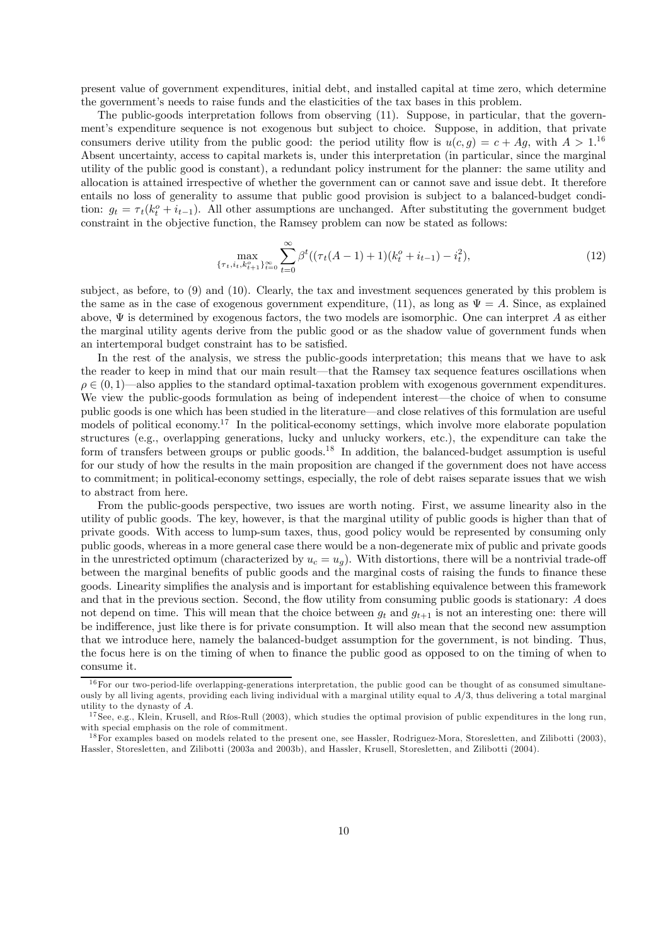present value of government expenditures, initial debt, and installed capital at time zero, which determine the government's needs to raise funds and the elasticities of the tax bases in this problem.

The public-goods interpretation follows from observing (11). Suppose, in particular, that the government's expenditure sequence is not exogenous but subject to choice. Suppose, in addition, that private consumers derive utility from the public good: the period utility flow is  $u(c, g) = c + Ag$ , with  $A > 1$ .<sup>16</sup> Absent uncertainty, access to capital markets is, under this interpretation (in particular, since the marginal utility of the public good is constant), a redundant policy instrument for the planner: the same utility and allocation is attained irrespective of whether the government can or cannot save and issue debt. It therefore entails no loss of generality to assume that public good provision is subject to a balanced-budget condition:  $g_t = \tau_t (k_t^o + i_{t-1})$ . All other assumptions are unchanged. After substituting the government budget constraint in the objective function, the Ramsey problem can now be stated as follows:

$$
\max_{\{\tau_t, i_t, k_{t+1}^o\}_{t=0}^\infty} \sum_{t=0}^\infty \beta^t \left( (\tau_t(A-1) + 1)(k_t^o + i_{t-1}) - i_t^2 \right),\tag{12}
$$

subject, as before, to (9) and (10). Clearly, the tax and investment sequences generated by this problem is the same as in the case of exogenous government expenditure, (11), as long as  $\Psi = A$ . Since, as explained above,  $\Psi$  is determined by exogenous factors, the two models are isomorphic. One can interpret A as either the marginal utility agents derive from the public good or as the shadow value of government funds when an intertemporal budget constraint has to be satisfied.

In the rest of the analysis, we stress the public-goods interpretation; this means that we have to ask the reader to keep in mind that our main result–that the Ramsey tax sequence features oscillations when  $\rho \in (0,1)$ —also applies to the standard optimal-taxation problem with exogenous government expenditures. We view the public-goods formulation as being of independent interest–the choice of when to consume public goods is one which has been studied in the literature–and close relatives of this formulation are useful models of political economy.<sup>17</sup> In the political-economy settings, which involve more elaborate population structures (e.g., overlapping generations, lucky and unlucky workers, etc.), the expenditure can take the form of transfers between groups or public goods.<sup>18</sup> In addition, the balanced-budget assumption is useful for our study of how the results in the main proposition are changed if the government does not have access to commitment; in political-economy settings, especially, the role of debt raises separate issues that we wish to abstract from here.

From the public-goods perspective, two issues are worth noting. First, we assume linearity also in the utility of public goods. The key, however, is that the marginal utility of public goods is higher than that of private goods. With access to lump-sum taxes, thus, good policy would be represented by consuming only public goods, whereas in a more general case there would be a non-degenerate mix of public and private goods in the unrestricted optimum (characterized by  $u_c = u_q$ ). With distortions, there will be a nontrivial trade-off between the marginal benefits of public goods and the marginal costs of raising the funds to finance these goods. Linearity simplifies the analysis and is important for establishing equivalence between this framework and that in the previous section. Second, the flow utility from consuming public goods is stationary: A does not depend on time. This will mean that the choice between  $g_t$  and  $g_{t+1}$  is not an interesting one: there will be indifference, just like there is for private consumption. It will also mean that the second new assumption that we introduce here, namely the balanced-budget assumption for the government, is not binding. Thus, the focus here is on the timing of when to finance the public good as opposed to on the timing of when to consume it.

 $16$  For our two-period-life overlapping-generations interpretation, the public good can be thought of as consumed simultaneously by all living agents, providing each living individual with a marginal utility equal to  $A/3$ , thus delivering a total marginal utility to the dynasty of A.

 $^{17}$  See, e.g., Klein, Krusell, and Ríos-Rull (2003), which studies the optimal provision of public expenditures in the long run, with special emphasis on the role of commitment.

<sup>&</sup>lt;sup>18</sup> For examples based on models related to the present one, see Hassler, Rodriguez-Mora, Storesletten, and Zilibotti (2003). Hassler, Storesletten, and Zilibotti (2003a and 2003b), and Hassler, Krusell, Storesletten, and Zilibotti (2004).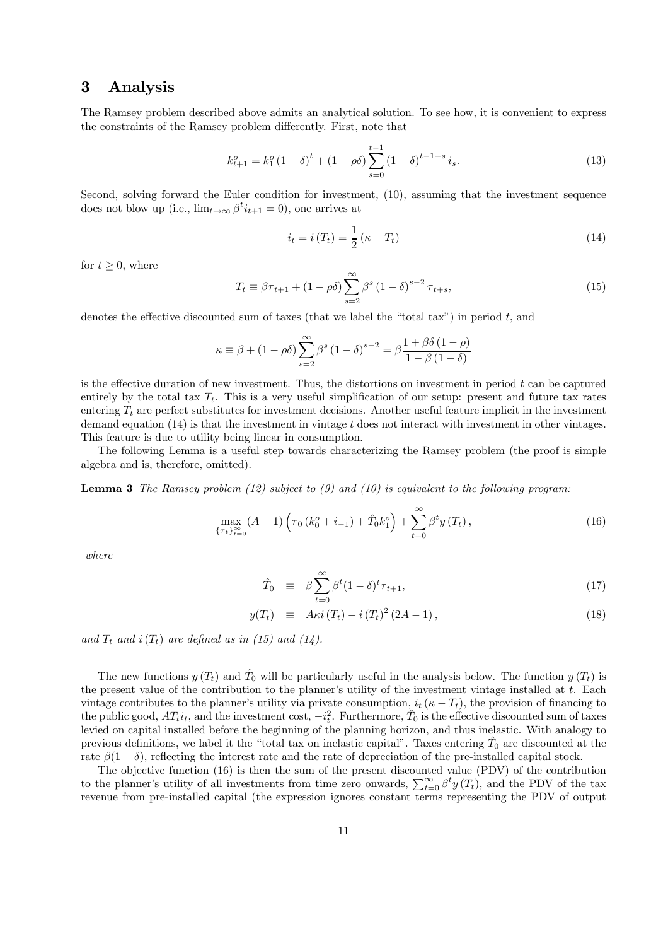# 3 Analysis

The Ramsey problem described above admits an analytical solution. To see how, it is convenient to express the constraints of the Ramsey problem differently. First, note that

$$
k_{t+1}^o = k_1^o \left(1 - \delta\right)^t + \left(1 - \rho \delta\right) \sum_{s=0}^{t-1} \left(1 - \delta\right)^{t-1-s} i_s.
$$
 (13)

Second, solving forward the Euler condition for investment, (10), assuming that the investment sequence does not blow up (i.e.,  $\lim_{t\to\infty} \beta^t i_{t+1} = 0$ ), one arrives at

$$
i_t = i(T_t) = \frac{1}{2} (\kappa - T_t) \tag{14}
$$

for  $t \geq 0$ , where

$$
T_{t} \equiv \beta \tau_{t+1} + (1 - \rho \delta) \sum_{s=2}^{\infty} \beta^{s} (1 - \delta)^{s-2} \tau_{t+s},
$$
\n(15)

denotes the effective discounted sum of taxes (that we label the "total tax") in period t, and

$$
\kappa \equiv \beta + (1 - \rho \delta) \sum_{s=2}^{\infty} \beta^s (1 - \delta)^{s-2} = \beta \frac{1 + \beta \delta (1 - \rho)}{1 - \beta (1 - \delta)}
$$

is the effective duration of new investment. Thus, the distortions on investment in period t can be captured entirely by the total tax  $T_t$ . This is a very useful simplification of our setup: present and future tax rates entering  $T_t$  are perfect substitutes for investment decisions. Another useful feature implicit in the investment demand equation  $(14)$  is that the investment in vintage t does not interact with investment in other vintages. This feature is due to utility being linear in consumption.

The following Lemma is a useful step towards characterizing the Ramsey problem (the proof is simple algebra and is, therefore, omitted).

**Lemma 3** The Ramsey problem  $(12)$  subject to  $(9)$  and  $(10)$  is equivalent to the following program:

$$
\max_{\{\tau_t\}_{t=0}^{\infty}} (A-1) \left( \tau_0 \left( k_0^o + i_{-1} \right) + \hat{T}_0 k_1^o \right) + \sum_{t=0}^{\infty} \beta^t y \left( T_t \right), \tag{16}
$$

where

$$
\hat{T}_0 \equiv \beta \sum_{t=0}^{\infty} \beta^t (1 - \delta)^t \tau_{t+1}, \tag{17}
$$

$$
y(T_t) \equiv A\kappa i (T_t) - i (T_t)^2 (2A - 1), \qquad (18)
$$

and  $T_t$  and  $i(T_t)$  are defined as in (15) and (14).

The new functions  $y(T_t)$  and  $\hat{T}_0$  will be particularly useful in the analysis below. The function  $y(T_t)$  is the present value of the contribution to the planner's utility of the investment vintage installed at t. Each vintage contributes to the planner's utility via private consumption,  $i_t$  ( $\kappa - T_t$ ), the provision of financing to the public good,  $AT_t i_t$ , and the investment cost,  $-i_t^2$ . Furthermore,  $\hat{T}_0$  is the effective discounted sum of taxes levied on capital installed before the beginning of the planning horizon, and thus inelastic. With analogy to previous definitions, we label it the "total tax on inelastic capital". Taxes entering  $\hat{T}_0$  are discounted at the rate  $\beta(1-\delta)$ , reflecting the interest rate and the rate of depreciation of the pre-installed capital stock.

The objective function (16) is then the sum of the present discounted value (PDV) of the contribution to the planner's utility of all investments from time zero onwards,  $\sum_{t=0}^{\infty} \beta^t y(T_t)$ , and the PDV of the tax revenue from pre-installed capital (the expression ignores constant terms representing the PDV of output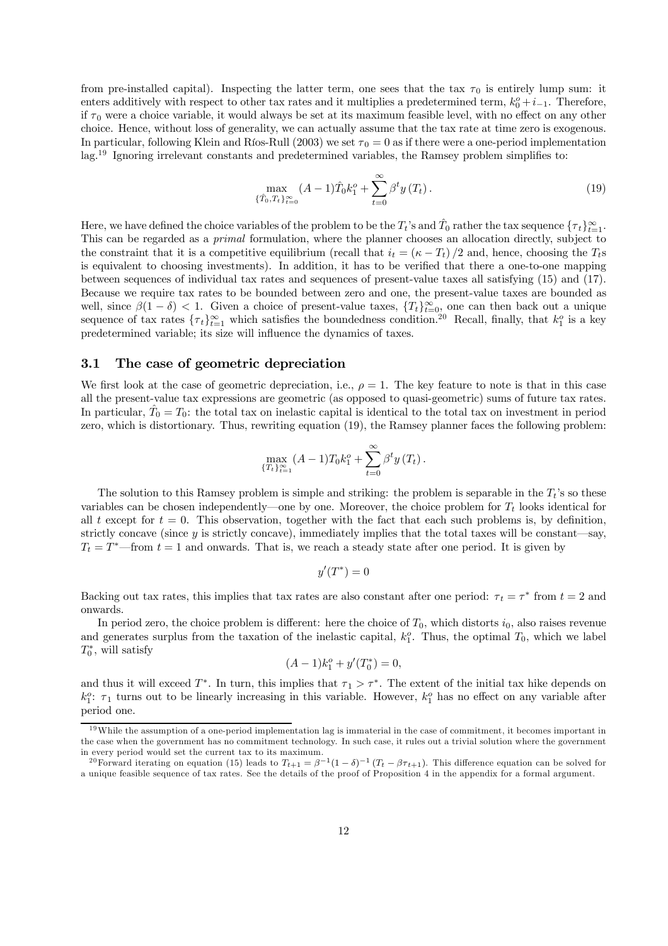from pre-installed capital). Inspecting the latter term, one sees that the tax  $\tau_0$  is entirely lump sum: it enters additively with respect to other tax rates and it multiplies a predetermined term,  $k_0^o + i_{-1}$ . Therefore, if  $\tau_0$  were a choice variable, it would always be set at its maximum feasible level, with no effect on any other choice. Hence, without loss of generality, we can actually assume that the tax rate at time zero is exogenous. In particular, following Klein and Ríos-Rull (2003) we set  $\tau_0 = 0$  as if there were a one-period implementation lag.19 Ignoring irrelevant constants and predetermined variables, the Ramsey problem simplifies to:

$$
\max_{\{\hat{T}_0, T_t\}_{t=0}^{\infty}} (A-1)\hat{T}_0 k_1^o + \sum_{t=0}^{\infty} \beta^t y(T_t).
$$
\n(19)

Here, we have defined the choice variables of the problem to be the  $T_t$ 's and  $\hat{T}_0$  rather the tax sequence  $\{\tau_t\}_{t=1}^{\infty}$ . This can be regarded as a primal formulation, where the planner chooses an allocation directly, subject to the constraint that it is a competitive equilibrium (recall that  $i_t = (\kappa - T_t)/2$  and, hence, choosing the  $T_t$ s is equivalent to choosing investments). In addition, it has to be verified that there a one-to-one mapping between sequences of individual tax rates and sequences of present-value taxes all satisfying (15) and (17). Because we require tax rates to be bounded between zero and one, the present-value taxes are bounded as well, since  $\beta(1-\delta) < 1$ . Given a choice of present-value taxes,  $\{T_t\}_{t=0}^{\infty}$  one can then back out a unique sequence of tax rates  $\{\tau_t\}_{t=1}^{\infty}$  which satisfies the boundedness condition.<sup>20</sup> Recall, finally, that  $k_1^o$  is a key predetermined variable; its size will influence the dynamics of taxes.

## 3.1 The case of geometric depreciation

We first look at the case of geometric depreciation, i.e.,  $\rho = 1$ . The key feature to note is that in this case all the present-value tax expressions are geometric (as opposed to quasi-geometric) sums of future tax rates. In particular,  $\hat{T}_0 = T_0$ : the total tax on inelastic capital is identical to the total tax on investment in period zero, which is distortionary. Thus, rewriting equation (19), the Ramsey planner faces the following problem:

$$
\max_{\{T_t\}_{t=1}^{\infty}} (A-1) T_0 k_1^o + \sum_{t=0}^{\infty} \beta^t y(T_t).
$$

The solution to this Ramsey problem is simple and striking: the problem is separable in the  $T_t$ 's so these variables can be chosen independently—one by one. Moreover, the choice problem for  $T_t$  looks identical for all t except for  $t = 0$ . This observation, together with the fact that each such problems is, by definition, strictly concave (since y is strictly concave), immediately implies that the total taxes will be constant—say,  $T_t = T^*$  from  $t = 1$  and onwards. That is, we reach a steady state after one period. It is given by

$$
y'(T^*)=0
$$

Backing out tax rates, this implies that tax rates are also constant after one period:  $\tau_t = \tau^*$  from  $t = 2$  and onwards.

In period zero, the choice problem is different: here the choice of  $T_0$ , which distorts  $i_0$ , also raises revenue and generates surplus from the taxation of the inelastic capital,  $k_1^o$ . Thus, the optimal  $T_0$ , which we label  $T_0^*$ , will satisfy

$$
(A-1)k_1^o + y'(T_0^*) = 0,
$$

and thus it will exceed  $T^*$ . In turn, this implies that  $\tau_1 > \tau^*$ . The extent of the initial tax hike depends on  $k_1^o$ :  $\tau_1$  turns out to be linearly increasing in this variable. However,  $k_1^o$  has no effect on any variable after period one.

 $19$  While the assumption of a one-period implementation lag is immaterial in the case of commitment, it becomes important in the case when the government has no commitment technology. In such case, it rules out a trivial solution where the government in every period would set the current tax to its maximum.

<sup>&</sup>lt;sup>20</sup>Forward iterating on equation (15) leads to  $T_{t+1} = \beta^{-1}(1-\delta)^{-1}(T_t - \beta \tau_{t+1})$ . This difference equation can be solved for a unique feasible sequence of tax rates. See the details of the proof of Proposition 4 in the appendix for a formal argument.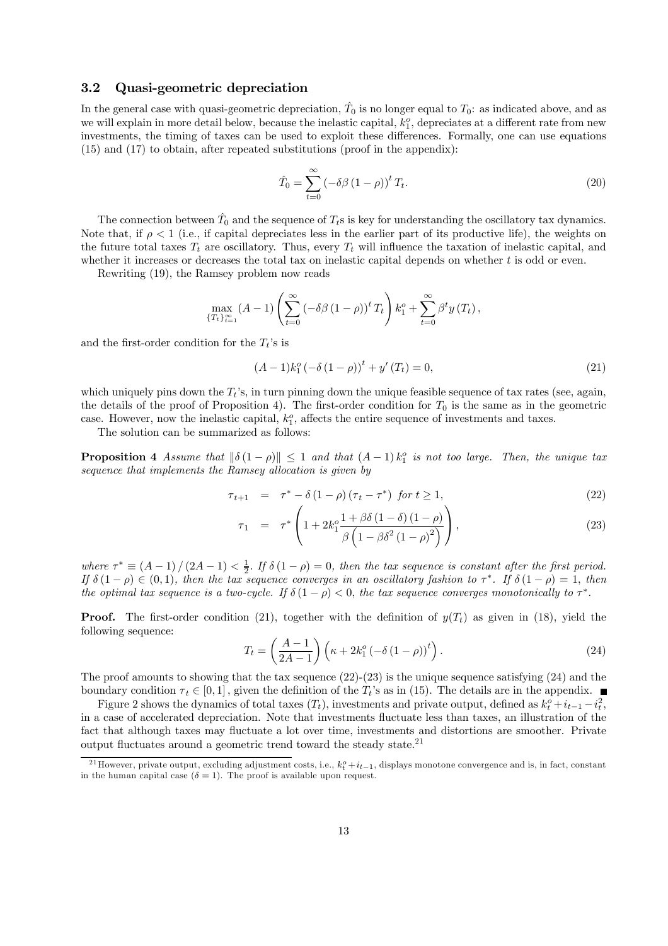### 3.2 Quasi-geometric depreciation

In the general case with quasi-geometric depreciation,  $\hat{T}_0$  is no longer equal to  $T_0$ : as indicated above, and as we will explain in more detail below, because the inelastic capital,  $k_1^o$ , depreciates at a different rate from new investments, the timing of taxes can be used to exploit these differences. Formally, one can use equations (15) and (17) to obtain, after repeated substitutions (proof in the appendix):

$$
\hat{T}_0 = \sum_{t=0}^{\infty} \left( -\delta\beta \left( 1 - \rho \right) \right)^t T_t. \tag{20}
$$

The connection between  $\hat{T}_0$  and the sequence of  $T_t$ s is key for understanding the oscillatory tax dynamics. Note that, if  $\rho < 1$  (i.e., if capital depreciates less in the earlier part of its productive life), the weights on the future total taxes  $T_t$  are oscillatory. Thus, every  $T_t$  will influence the taxation of inelastic capital, and whether it increases or decreases the total tax on inelastic capital depends on whether  $t$  is odd or even.

Rewriting (19), the Ramsey problem now reads

$$
\max_{\{T_t\}_{t=1}^{\infty}} (A-1) \left( \sum_{t=0}^{\infty} \left( -\delta \beta (1-\rho) \right)^t T_t \right) k_1^o + \sum_{t=0}^{\infty} \beta^t y(T_t),
$$

and the first-order condition for the  $T_t$ 's is

$$
(A-1)k_1^o(-\delta(1-\rho))^t + y'(T_t) = 0,
$$
\n(21)

which uniquely pins down the  $T_t$ 's, in turn pinning down the unique feasible sequence of tax rates (see, again, the details of the proof of Proposition 4). The first-order condition for  $T_0$  is the same as in the geometric case. However, now the inelastic capital,  $k_1^o$ , affects the entire sequence of investments and taxes.

The solution can be summarized as follows:

**Proposition 4** Assume that  $\|\delta(1 - \rho)\| \leq 1$  and that  $(A - 1)k_1^o$  is not too large. Then, the unique tax sequence that implements the Ramsey allocation is given by

$$
\tau_{t+1} = \tau^* - \delta (1 - \rho) (\tau_t - \tau^*) \text{ for } t \ge 1,
$$
\n(22)

$$
\tau_1 = \tau^* \left( 1 + 2k_1^o \frac{1 + \beta \delta (1 - \delta) (1 - \rho)}{\beta \left( 1 - \beta \delta^2 (1 - \rho)^2 \right)} \right), \tag{23}
$$

where  $\tau^* \equiv (A-1)/(2A-1) < \frac{1}{2}$ . If  $\delta(1-\rho) = 0$ , then the tax sequence is constant after the first period. If  $\delta(1-\rho) \in (0,1)$ , then the tax sequence converges in an oscillatory fashion to  $\tau^*$ . If  $\delta(1-\rho) = 1$ , then the optimal tax sequence is a two-cycle. If  $\delta(1-\rho) < 0$ , the tax sequence converges monotonically to  $\tau^*$ .

**Proof.** The first-order condition (21), together with the definition of  $y(T_t)$  as given in (18), yield the following sequence:

$$
T_t = \left(\frac{A-1}{2A-1}\right) \left(\kappa + 2k_1^o \left(-\delta \left(1-\rho\right)\right)^t\right). \tag{24}
$$

The proof amounts to showing that the tax sequence  $(22)-(23)$  is the unique sequence satisfying  $(24)$  and the boundary condition  $\tau_t \in [0,1]$ , given the definition of the  $T_t$ 's as in (15). The details are in the appendix.

Figure 2 shows the dynamics of total taxes  $(T_t)$ , investments and private output, defined as  $k_t^o + i_{t-1} - i_t^2$ , in a case of accelerated depreciation. Note that investments fluctuate less than taxes, an illustration of the fact that although taxes may fluctuate a lot over time, investments and distortions are smoother. Private output fluctuates around a geometric trend toward the steady state. $21$ 

<sup>&</sup>lt;sup>21</sup>However, private output, excluding adjustment costs, i.e.,  $k_t^o + i_{t-1}$ , displays monotone convergence and is, in fact, constant in the human capital case  $(\delta = 1)$ . The proof is available upon request.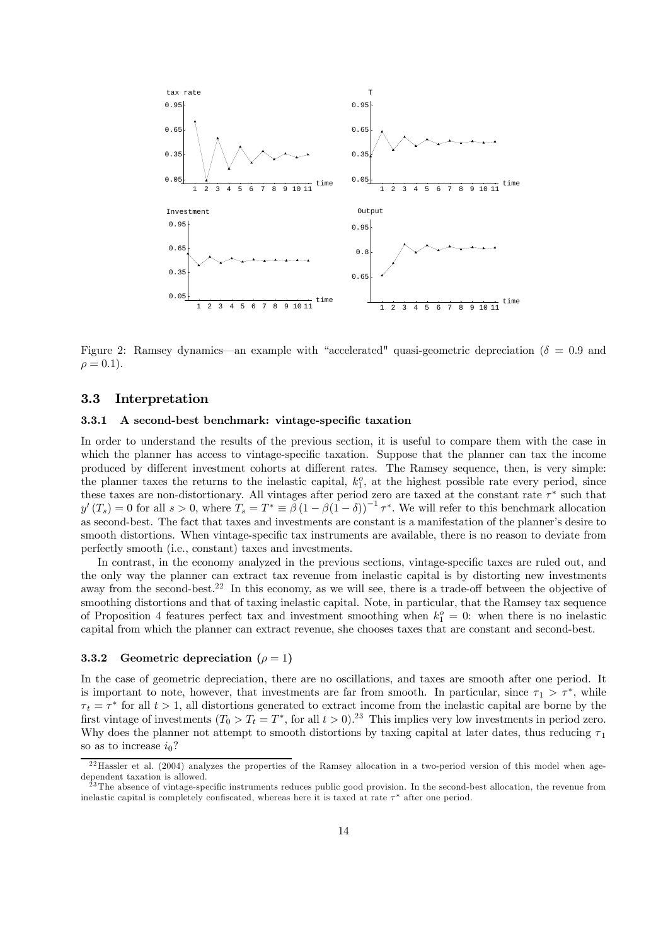

Figure 2: Ramsey dynamics—an example with "accelerated" quasi-geometric depreciation ( $\delta = 0.9$  and  $\rho = 0.1$ ).

### 3.3 Interpretation

#### 3.3.1 A second-best benchmark: vintage-specific taxation

In order to understand the results of the previous section, it is useful to compare them with the case in which the planner has access to vintage-specific taxation. Suppose that the planner can tax the income produced by different investment cohorts at different rates. The Ramsey sequence, then, is very simple: the planner taxes the returns to the inelastic capital,  $k_1^o$ , at the highest possible rate every period, since these taxes are non-distortionary. All vintages after period zero are taxed at the constant rate  $\tau^*$  such that  $y'(T_s)=0$  for all  $s > 0$ , where  $T_s = T^* \equiv \beta (1 - \beta (1 - \delta))^{-1} \tau^*$ . We will refer to this benchmark allocation as second-best. The fact that taxes and investments are constant is a manifestation of the planner's desire to smooth distortions. When vintage-specific tax instruments are available, there is no reason to deviate from perfectly smooth (i.e., constant) taxes and investments.

In contrast, in the economy analyzed in the previous sections, vintage-specific taxes are ruled out, and the only way the planner can extract tax revenue from inelastic capital is by distorting new investments away from the second-best.<sup>22</sup> In this economy, as we will see, there is a trade-off between the objective of smoothing distortions and that of taxing inelastic capital. Note, in particular, that the Ramsey tax sequence of Proposition 4 features perfect tax and investment smoothing when  $k_1^o = 0$ : when there is no inelastic capital from which the planner can extract revenue, she chooses taxes that are constant and second-best.

#### 3.3.2 Geometric depreciation  $(\rho = 1)$

In the case of geometric depreciation, there are no oscillations, and taxes are smooth after one period. It is important to note, however, that investments are far from smooth. In particular, since  $\tau_1 > \tau^*$ , while  $\tau_t = \tau^*$  for all  $t > 1$ , all distortions generated to extract income from the inelastic capital are borne by the first vintage of investments  $(T_0 > T_t = T^*$ , for all  $t > 0$ .<sup>23</sup> This implies very low investments in period zero. Why does the planner not attempt to smooth distortions by taxing capital at later dates, thus reducing  $\tau_1$ so as to increase  $i_0$ ?

 $^{22}$  Hassler et al. (2004) analyzes the properties of the Ramsey allocation in a two-period version of this model when agedependent taxation is allowed.

 $^{23}$ The absence of vintage-specific instruments reduces public good provision. In the second-best allocation, the revenue from inelastic capital is completely confiscated, whereas here it is taxed at rate  $\tau^*$  after one period.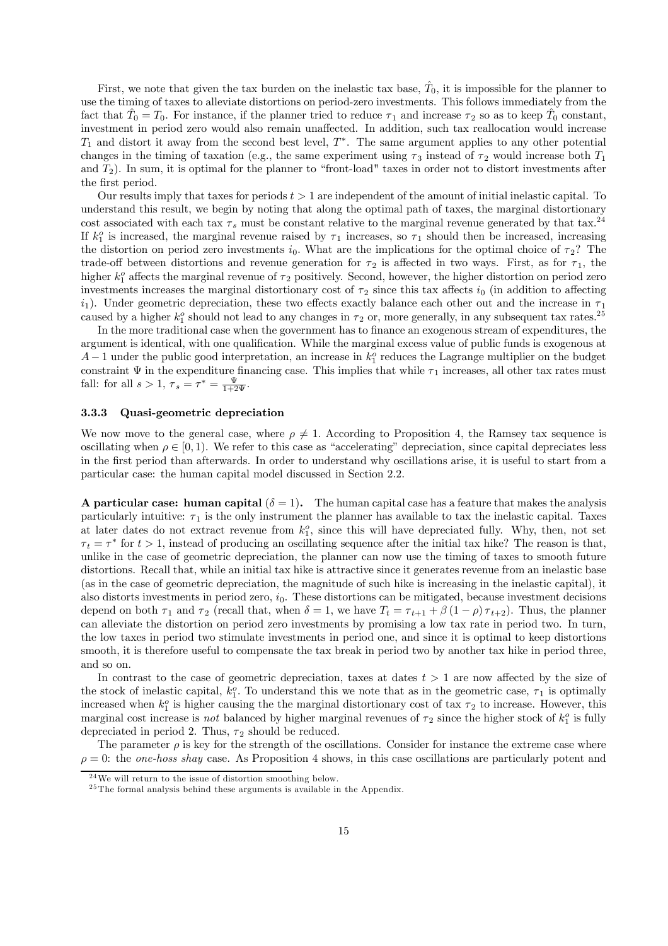First, we note that given the tax burden on the inelastic tax base,  $\hat{T}_0$ , it is impossible for the planner to use the timing of taxes to alleviate distortions on period-zero investments. This follows immediately from the fact that  $\hat{T}_0 = T_0$ . For instance, if the planner tried to reduce  $\tau_1$  and increase  $\tau_2$  so as to keep  $\hat{T}_0$  constant, investment in period zero would also remain unaffected. In addition, such tax reallocation would increase  $T_1$  and distort it away from the second best level,  $T^*$ . The same argument applies to any other potential changes in the timing of taxation (e.g., the same experiment using  $\tau_3$  instead of  $\tau_2$  would increase both  $T_1$ and  $T_2$ ). In sum, it is optimal for the planner to "front-load" taxes in order not to distort investments after the first period.

Our results imply that taxes for periods  $t > 1$  are independent of the amount of initial inelastic capital. To understand this result, we begin by noting that along the optimal path of taxes, the marginal distortionary cost associated with each tax  $\tau_s$  must be constant relative to the marginal revenue generated by that tax.<sup>24</sup> If  $k_1^o$  is increased, the marginal revenue raised by  $\tau_1$  increases, so  $\tau_1$  should then be increased, increasing the distortion on period zero investments  $i_0$ . What are the implications for the optimal choice of  $\tau_2$ ? The trade-off between distortions and revenue generation for  $\tau_2$  is affected in two ways. First, as for  $\tau_1$ , the higher  $k_1^o$  affects the marginal revenue of  $\tau_2$  positively. Second, however, the higher distortion on period zero investments increases the marginal distortionary cost of  $\tau_2$  since this tax affects  $i_0$  (in addition to affecting  $i_1$ ). Under geometric depreciation, these two effects exactly balance each other out and the increase in  $\tau_1$ caused by a higher  $k_1^o$  should not lead to any changes in  $\tau_2$  or, more generally, in any subsequent tax rates.<sup>25</sup>

In the more traditional case when the government has to finance an exogenous stream of expenditures, the argument is identical, with one qualification. While the marginal excess value of public funds is exogenous at  $A-1$  under the public good interpretation, an increase in  $k_1^o$  reduces the Lagrange multiplier on the budget constraint  $\Psi$  in the expenditure financing case. This implies that while  $\tau_1$  increases, all other tax rates must fall: for all  $s > 1$ ,  $\tau_s = \tau^* = \frac{\Psi}{1+2\Psi}$ .

#### 3.3.3 Quasi-geometric depreciation

We now move to the general case, where  $\rho \neq 1$ . According to Proposition 4, the Ramsey tax sequence is oscillating when  $\rho \in [0, 1)$ . We refer to this case as "accelerating" depreciation, since capital depreciates less in the first period than afterwards. In order to understand why oscillations arise, it is useful to start from a particular case: the human capital model discussed in Section 2.2.

A particular case: human capital  $(\delta = 1)$ . The human capital case has a feature that makes the analysis particularly intuitive:  $\tau_1$  is the only instrument the planner has available to tax the inelastic capital. Taxes at later dates do not extract revenue from  $k_1^o$ , since this will have depreciated fully. Why, then, not set  $\tau_t = \tau^*$  for  $t > 1$ , instead of producing an oscillating sequence after the initial tax hike? The reason is that, unlike in the case of geometric depreciation, the planner can now use the timing of taxes to smooth future distortions. Recall that, while an initial tax hike is attractive since it generates revenue from an inelastic base (as in the case of geometric depreciation, the magnitude of such hike is increasing in the inelastic capital), it also distorts investments in period zero,  $i_0$ . These distortions can be mitigated, because investment decisions depend on both  $\tau_1$  and  $\tau_2$  (recall that, when  $\delta = 1$ , we have  $T_t = \tau_{t+1} + \beta (1 - \rho) \tau_{t+2}$ ). Thus, the planner can alleviate the distortion on period zero investments by promising a low tax rate in period two. In turn, the low taxes in period two stimulate investments in period one, and since it is optimal to keep distortions smooth, it is therefore useful to compensate the tax break in period two by another tax hike in period three, and so on.

In contrast to the case of geometric depreciation, taxes at dates  $t > 1$  are now affected by the size of the stock of inelastic capital,  $k_1^o$ . To understand this we note that as in the geometric case,  $\tau_1$  is optimally increased when  $k_1^o$  is higher causing the the marginal distortionary cost of tax  $\tau_2$  to increase. However, this marginal cost increase is *not* balanced by higher marginal revenues of  $\tau_2$  since the higher stock of  $k_1^o$  is fully depreciated in period 2. Thus,  $\tau_2$  should be reduced.

The parameter  $\rho$  is key for the strength of the oscillations. Consider for instance the extreme case where  $\rho = 0$ : the one-hoss shay case. As Proposition 4 shows, in this case oscillations are particularly potent and

 $24$ We will return to the issue of distortion smoothing below.

 $25$ The formal analysis behind these arguments is available in the Appendix.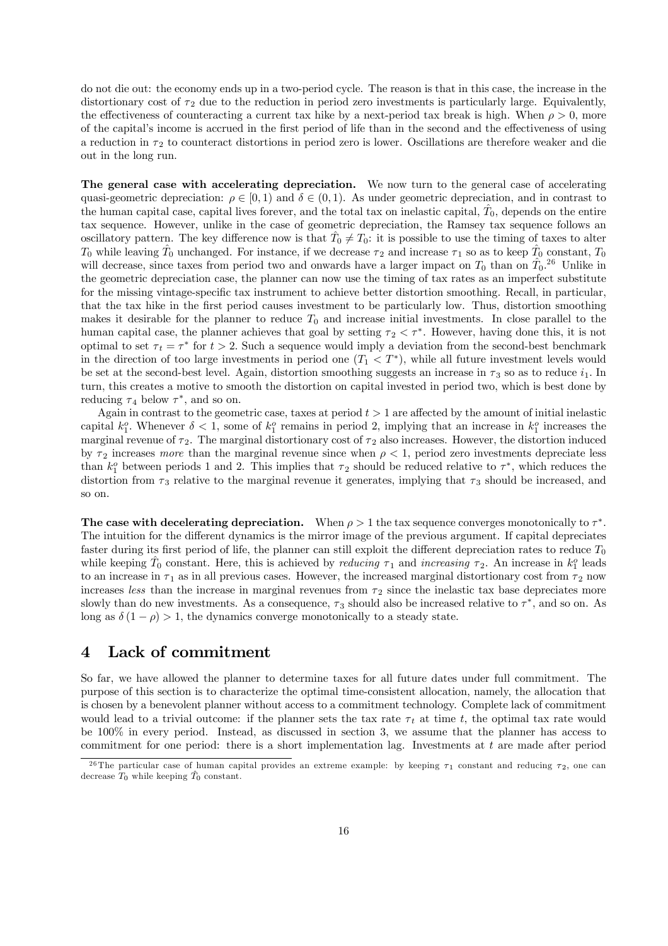do not die out: the economy ends up in a two-period cycle. The reason is that in this case, the increase in the distortionary cost of  $\tau_2$  due to the reduction in period zero investments is particularly large. Equivalently, the effectiveness of counteracting a current tax hike by a next-period tax break is high. When  $\rho > 0$ , more of the capital's income is accrued in the first period of life than in the second and the effectiveness of using a reduction in  $\tau_2$  to counteract distortions in period zero is lower. Oscillations are therefore weaker and die out in the long run.

The general case with accelerating depreciation. We now turn to the general case of accelerating quasi-geometric depreciation:  $\rho \in [0, 1)$  and  $\delta \in (0, 1)$ . As under geometric depreciation, and in contrast to the human capital case, capital lives forever, and the total tax on inelastic capital,  $\hat{T}_0$ , depends on the entire tax sequence. However, unlike in the case of geometric depreciation, the Ramsey tax sequence follows an oscillatory pattern. The key difference now is that  $\hat{T}_0 \neq T_0$ : it is possible to use the timing of taxes to alter  $T_0$  while leaving  $\hat{T}_0$  unchanged. For instance, if we decrease  $\tau_2$  and increase  $\tau_1$  so as to keep  $\hat{T}_0$  constant,  $T_0$ will decrease, since taxes from period two and onwards have a larger impact on  $T_0$  than on  $\hat{T}_0$ .<sup>26</sup> Unlike in the geometric depreciation case, the planner can now use the timing of tax rates as an imperfect substitute for the missing vintage-specific tax instrument to achieve better distortion smoothing. Recall, in particular, that the tax hike in the first period causes investment to be particularly low. Thus, distortion smoothing makes it desirable for the planner to reduce  $T_0$  and increase initial investments. In close parallel to the human capital case, the planner achieves that goal by setting  $\tau_2 < \tau^*$ . However, having done this, it is not optimal to set  $\tau_t = \tau^*$  for  $t > 2$ . Such a sequence would imply a deviation from the second-best benchmark in the direction of too large investments in period one  $(T_1 < T^*)$ , while all future investment levels would be set at the second-best level. Again, distortion smoothing suggests an increase in  $\tau_3$  so as to reduce  $i_1$ . In turn, this creates a motive to smooth the distortion on capital invested in period two, which is best done by reducing  $\tau_4$  below  $\tau^*$ , and so on.

Again in contrast to the geometric case, taxes at period  $t > 1$  are affected by the amount of initial inelastic capital  $k_1^o$ . Whenever  $\delta < 1$ , some of  $k_1^o$  remains in period 2, implying that an increase in  $k_1^o$  increases the marginal revenue of  $\tau_2$ . The marginal distortionary cost of  $\tau_2$  also increases. However, the distortion induced by  $\tau_2$  increases more than the marginal revenue since when  $\rho < 1$ , period zero investments depreciate less than  $k_1^o$  between periods 1 and 2. This implies that  $\tau_2$  should be reduced relative to  $\tau^*$ , which reduces the distortion from  $\tau_3$  relative to the marginal revenue it generates, implying that  $\tau_3$  should be increased, and so on.

The case with decelerating depreciation. When  $\rho > 1$  the tax sequence converges monotonically to  $\tau^*$ . The intuition for the different dynamics is the mirror image of the previous argument. If capital depreciates faster during its first period of life, the planner can still exploit the different depreciation rates to reduce  $T_0$ while keeping  $\hat{T}_0$  constant. Here, this is achieved by *reducing*  $\tau_1$  and *increasing*  $\tau_2$ . An increase in  $k_1^o$  leads to an increase in  $\tau_1$  as in all previous cases. However, the increased marginal distortionary cost from  $\tau_2$  now increases less than the increase in marginal revenues from  $\tau_2$  since the inelastic tax base depreciates more slowly than do new investments. As a consequence,  $\tau_3$  should also be increased relative to  $\tau^*$ , and so on. As long as  $\delta(1-\rho) > 1$ , the dynamics converge monotonically to a steady state.

# 4 Lack of commitment

So far, we have allowed the planner to determine taxes for all future dates under full commitment. The purpose of this section is to characterize the optimal time-consistent allocation, namely, the allocation that is chosen by a benevolent planner without access to a commitment technology. Complete lack of commitment would lead to a trivial outcome: if the planner sets the tax rate  $\tau_t$  at time t, the optimal tax rate would be 100% in every period. Instead, as discussed in section 3, we assume that the planner has access to commitment for one period: there is a short implementation lag. Investments at  $t$  are made after period

<sup>&</sup>lt;sup>26</sup>The particular case of human capital provides an extreme example: by keeping  $\tau_1$  constant and reducing  $\tau_2$ , one can decrease  $T_0$  while keeping  $\hat{T}_0$  constant.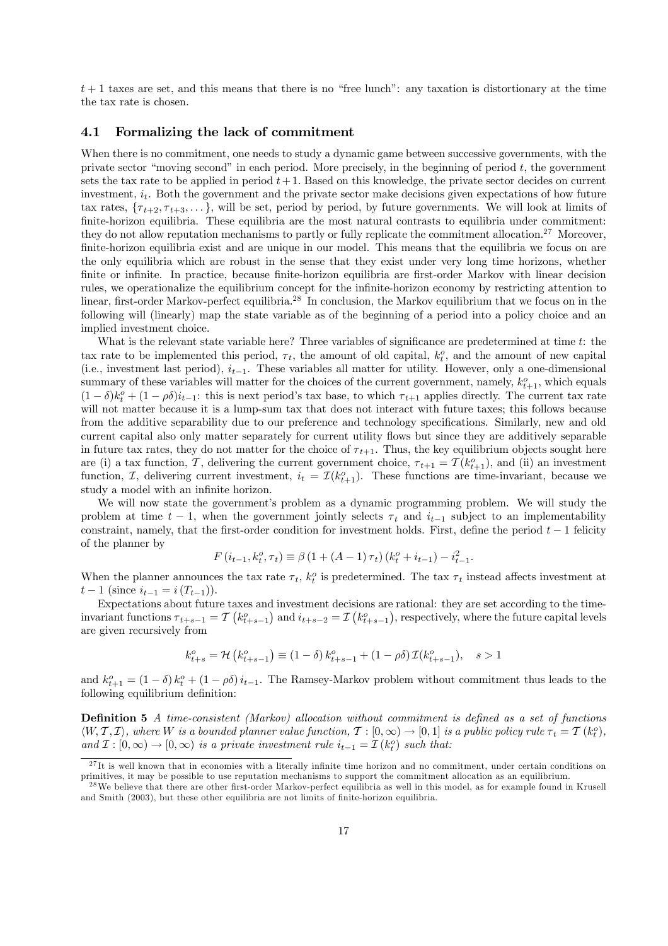$t+1$  taxes are set, and this means that there is no "free lunch": any taxation is distortionary at the time the tax rate is chosen.

### 4.1 Formalizing the lack of commitment

When there is no commitment, one needs to study a dynamic game between successive governments, with the private sector "moving second" in each period. More precisely, in the beginning of period t, the government sets the tax rate to be applied in period  $t + 1$ . Based on this knowledge, the private sector decides on current investment,  $i_t$ . Both the government and the private sector make decisions given expectations of how future tax rates,  $\{\tau_{t+2}, \tau_{t+3}, \ldots\}$ , will be set, period by period, by future governments. We will look at limits of finite-horizon equilibria. These equilibria are the most natural contrasts to equilibria under commitment: they do not allow reputation mechanisms to partly or fully replicate the commitment allocation.<sup>27</sup> Moreover, finite-horizon equilibria exist and are unique in our model. This means that the equilibria we focus on are the only equilibria which are robust in the sense that they exist under very long time horizons, whether finite or infinite. In practice, because finite-horizon equilibria are first-order Markov with linear decision rules, we operationalize the equilibrium concept for the infinite-horizon economy by restricting attention to linear, first-order Markov-perfect equilibria.28 In conclusion, the Markov equilibrium that we focus on in the following will (linearly) map the state variable as of the beginning of a period into a policy choice and an implied investment choice.

What is the relevant state variable here? Three variables of significance are predetermined at time t: the tax rate to be implemented this period,  $\tau_t$ , the amount of old capital,  $k_t^o$ , and the amount of new capital (i.e., investment last period),  $i_{t-1}$ . These variables all matter for utility. However, only a one-dimensional summary of these variables will matter for the choices of the current government, namely,  $k_{t+1}^o$ , which equals  $(1 - \delta)k_t^o + (1 - \rho \delta)i_{t-1}$ : this is next period's tax base, to which  $\tau_{t+1}$  applies directly. The current tax rate will not matter because it is a lump-sum tax that does not interact with future taxes; this follows because from the additive separability due to our preference and technology specifications. Similarly, new and old current capital also only matter separately for current utility flows but since they are additively separable in future tax rates, they do not matter for the choice of  $\tau_{t+1}$ . Thus, the key equilibrium objects sought here are (i) a tax function, T, delivering the current government choice,  $\tau_{t+1} = \mathcal{T}(k_{t+1}^o)$ , and (ii) an investment function,  $\mathcal{I}$ , delivering current investment,  $i_t = \mathcal{I}(k_{t+1}^o)$ . These functions are time-invariant, because we study a model with an infinite horizon.

We will now state the government's problem as a dynamic programming problem. We will study the problem at time  $t - 1$ , when the government jointly selects  $\tau_t$  and  $i_{t-1}$  subject to an implementability constraint, namely, that the first-order condition for investment holds. First, define the period  $t - 1$  felicity of the planner by

$$
F(i_{t-1}, k_t^o, \tau_t) \equiv \beta (1 + (A - 1) \tau_t) (k_t^o + i_{t-1}) - i_{t-1}^2.
$$

When the planner announces the tax rate  $\tau_t$ ,  $k_t^o$  is predetermined. The tax  $\tau_t$  instead affects investment at  $t-1$  (since  $i_{t-1} = i(T_{t-1})$ ).

Expectations about future taxes and investment decisions are rational: they are set according to the timeinvariant functions  $\tau_{t+s-1} = \mathcal{T}\left(k_{t+s-1}^o\right)$  and  $i_{t+s-2} = \mathcal{I}\left(k_{t+s-1}^o\right)$ , respectively, where the future capital levels are given recursively from

$$
k_{t+s}^o = \mathcal{H}\left(k_{t+s-1}^o\right) \equiv \left(1-\delta\right)k_{t+s-1}^o + \left(1-\rho\delta\right)\mathcal{I}(k_{t+s-1}^o), \quad s > 1
$$

and  $k_{t+1}^o = (1 - \delta) k_t^o + (1 - \rho \delta) i_{t-1}$ . The Ramsey-Markov problem without commitment thus leads to the following equilibrium definition:

Definition 5 A time-consistent (Markov) allocation without commitment is defined as a set of functions  $\langle W, \mathcal{T}, \mathcal{I} \rangle$ , where W is a bounded planner value function,  $\mathcal{T} : [0, \infty) \to [0, 1]$  is a public policy rule  $\tau_t = \mathcal{T}(k_t^o)$ , and  $\mathcal{I}: [0, \infty) \to [0, \infty)$  is a private investment rule  $i_{t-1} = \mathcal{I}(k_t^o)$  such that:

 $^{27}$ It is well known that in economies with a literally infinite time horizon and no commitment, under certain conditions on primitives, it may be possible to use reputation mechanisms to support the commitment allocation as an equilibrium.

<sup>&</sup>lt;sup>28</sup> We believe that there are other first-order Markov-perfect equilibria as well in this model, as for example found in Krusell and Smith (2003), but these other equilibria are not limits of finite-horizon equilibria.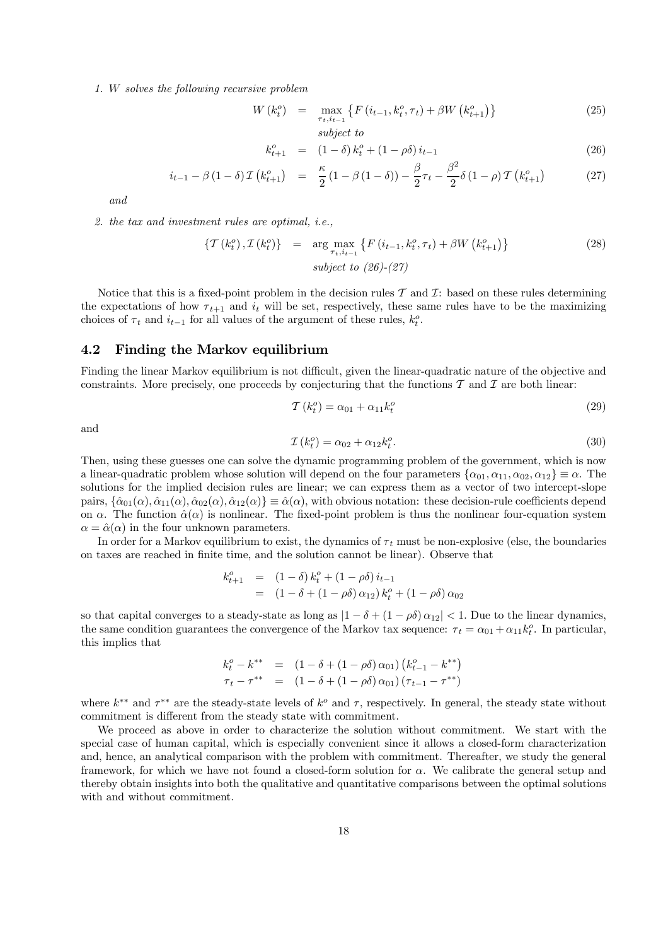1. W solves the following recursive problem

$$
W(k_t^o) = \max_{\substack{\tau_t, i_{t-1} \\ \text{subject to}}} \{ F(i_{t-1}, k_t^o, \tau_t) + \beta W(k_{t+1}^o) \} \tag{25}
$$

$$
k_{t+1}^o = (1 - \delta) k_t^o + (1 - \rho \delta) i_{t-1}
$$
\n(26)

$$
i_{t-1} - \beta (1 - \delta) \mathcal{I} (k_{t+1}^o) = \frac{\kappa}{2} (1 - \beta (1 - \delta)) - \frac{\beta}{2} \tau_t - \frac{\beta^2}{2} \delta (1 - \rho) \mathcal{T} (k_{t+1}^o)
$$
 (27)

and

2. the tax and investment rules are optimal, i.e.,

$$
\left\{T\left(k_t^o\right),\mathcal{I}\left(k_t^o\right)\right\} = \underset{\tau_t,i_{t-1}}{\arg\max} \left\{F\left(i_{t-1},k_t^o,\tau_t\right) + \beta W\left(k_{t+1}^o\right)\right\} \nsubject to \quad (26)-(27)
$$
\n
$$
(28)
$$

Notice that this is a fixed-point problem in the decision rules  $\mathcal T$  and  $\mathcal I$ : based on these rules determining the expectations of how  $\tau_{t+1}$  and  $i_t$  will be set, respectively, these same rules have to be the maximizing choices of  $\tau_t$  and  $i_{t-1}$  for all values of the argument of these rules,  $k_t^o$ .

# 4.2 Finding the Markov equilibrium

Finding the linear Markov equilibrium is not difficult, given the linear-quadratic nature of the objective and constraints. More precisely, one proceeds by conjecturing that the functions  $\mathcal T$  and  $\mathcal I$  are both linear:

$$
\mathcal{T}(k_t^o) = \alpha_{01} + \alpha_{11}k_t^o \tag{29}
$$

and

$$
\mathcal{I}\left(k_t^o\right) = \alpha_{02} + \alpha_{12}k_t^o. \tag{30}
$$

Then, using these guesses one can solve the dynamic programming problem of the government, which is now a linear-quadratic problem whose solution will depend on the four parameters  $\{\alpha_{01}, \alpha_{11}, \alpha_{02}, \alpha_{12}\} \equiv \alpha$ . The solutions for the implied decision rules are linear; we can express them as a vector of two intercept-slope pairs,  $\{\hat{\alpha}_{01}(\alpha), \hat{\alpha}_{11}(\alpha), \hat{\alpha}_{02}(\alpha), \hat{\alpha}_{12}(\alpha)\} \equiv \hat{\alpha}(\alpha)$ , with obvious notation: these decision-rule coefficients depend on  $\alpha$ . The function  $\hat{\alpha}(\alpha)$  is nonlinear. The fixed-point problem is thus the nonlinear four-equation system  $\alpha = \hat{\alpha}(\alpha)$  in the four unknown parameters.

In order for a Markov equilibrium to exist, the dynamics of  $\tau_t$  must be non-explosive (else, the boundaries on taxes are reached in finite time, and the solution cannot be linear). Observe that

$$
k_{t+1}^o = (1 - \delta) k_t^o + (1 - \rho \delta) i_{t-1}
$$
  
=  $(1 - \delta + (1 - \rho \delta) \alpha_{12}) k_t^o + (1 - \rho \delta) \alpha_{02}$ 

so that capital converges to a steady-state as long as  $|1 - \delta + (1 - \rho \delta) \alpha_{12}| < 1$ . Due to the linear dynamics, the same condition guarantees the convergence of the Markov tax sequence:  $\tau_t = \alpha_{01} + \alpha_{11} k_t^o$ . In particular, this implies that

$$
k_t^o - k^{**} = (1 - \delta + (1 - \rho \delta) \alpha_{01}) (k_{t-1}^o - k^{**})
$$
  

$$
\tau_t - \tau^{**} = (1 - \delta + (1 - \rho \delta) \alpha_{01}) (\tau_{t-1} - \tau^{**})
$$

where  $k^{**}$  and  $\tau^{**}$  are the steady-state levels of  $k^o$  and  $\tau$ , respectively. In general, the steady state without commitment is different from the steady state with commitment.

We proceed as above in order to characterize the solution without commitment. We start with the special case of human capital, which is especially convenient since it allows a closed-form characterization and, hence, an analytical comparison with the problem with commitment. Thereafter, we study the general framework, for which we have not found a closed-form solution for  $\alpha$ . We calibrate the general setup and thereby obtain insights into both the qualitative and quantitative comparisons between the optimal solutions with and without commitment.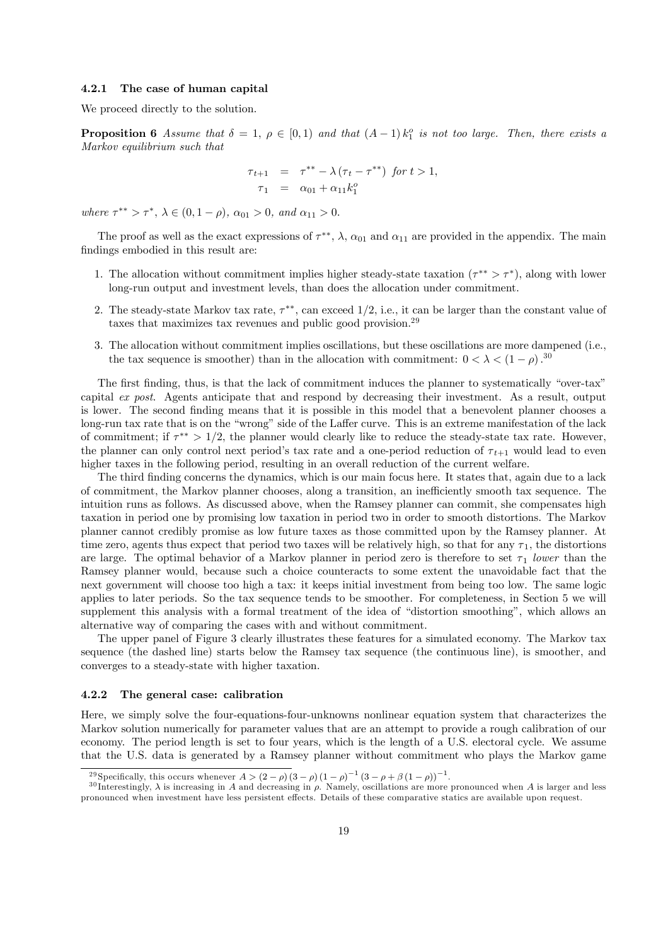#### 4.2.1 The case of human capital

We proceed directly to the solution.

**Proposition 6** Assume that  $\delta = 1$ ,  $\rho \in [0, 1)$  and that  $(A - 1)k_1^o$  is not too large. Then, there exists a Markov equilibrium such that

$$
\tau_{t+1} = \tau^{**} - \lambda (\tau_t - \tau^{**}) \text{ for } t > 1,
$$
  

$$
\tau_1 = \alpha_{01} + \alpha_{11} k_1^o
$$

where  $\tau^{**} > \tau^*$ ,  $\lambda \in (0, 1 - \rho)$ ,  $\alpha_{01} > 0$ , and  $\alpha_{11} > 0$ .

The proof as well as the exact expressions of  $\tau^{**}$ ,  $\lambda$ ,  $\alpha_{01}$  and  $\alpha_{11}$  are provided in the appendix. The main findings embodied in this result are:

- 1. The allocation without commitment implies higher steady-state taxation  $(\tau^{**} > \tau^*)$ , along with lower long-run output and investment levels, than does the allocation under commitment.
- 2. The steady-state Markov tax rate,  $\tau^{**}$ , can exceed 1/2, i.e., it can be larger than the constant value of taxes that maximizes tax revenues and public good provision.<sup>29</sup>
- 3. The allocation without commitment implies oscillations, but these oscillations are more dampened (i.e., the tax sequence is smoother) than in the allocation with commitment:  $0 < \lambda < (1 - \rho)$ .<sup>30</sup>

The first finding, thus, is that the lack of commitment induces the planner to systematically "over-tax" capital ex post. Agents anticipate that and respond by decreasing their investment. As a result, output is lower. The second finding means that it is possible in this model that a benevolent planner chooses a long-run tax rate that is on the "wrong" side of the Laffer curve. This is an extreme manifestation of the lack of commitment; if  $\tau^{**} > 1/2$ , the planner would clearly like to reduce the steady-state tax rate. However, the planner can only control next period's tax rate and a one-period reduction of  $\tau_{t+1}$  would lead to even higher taxes in the following period, resulting in an overall reduction of the current welfare.

The third finding concerns the dynamics, which is our main focus here. It states that, again due to a lack of commitment, the Markov planner chooses, along a transition, an inefficiently smooth tax sequence. The intuition runs as follows. As discussed above, when the Ramsey planner can commit, she compensates high taxation in period one by promising low taxation in period two in order to smooth distortions. The Markov planner cannot credibly promise as low future taxes as those committed upon by the Ramsey planner. At time zero, agents thus expect that period two taxes will be relatively high, so that for any  $\tau_1$ , the distortions are large. The optimal behavior of a Markov planner in period zero is therefore to set  $\tau_1$  lower than the Ramsey planner would, because such a choice counteracts to some extent the unavoidable fact that the next government will choose too high a tax: it keeps initial investment from being too low. The same logic applies to later periods. So the tax sequence tends to be smoother. For completeness, in Section 5 we will supplement this analysis with a formal treatment of the idea of "distortion smoothing", which allows an alternative way of comparing the cases with and without commitment.

The upper panel of Figure 3 clearly illustrates these features for a simulated economy. The Markov tax sequence (the dashed line) starts below the Ramsey tax sequence (the continuous line), is smoother, and converges to a steady-state with higher taxation.

#### 4.2.2 The general case: calibration

Here, we simply solve the four-equations-four-unknowns nonlinear equation system that characterizes the Markov solution numerically for parameter values that are an attempt to provide a rough calibration of our economy. The period length is set to four years, which is the length of a U.S. electoral cycle. We assume that the U.S. data is generated by a Ramsey planner without commitment who plays the Markov game

<sup>&</sup>lt;sup>29</sup> Specifically, this occurs whenever  $A > (2 - \rho)(3 - \rho)(1 - \rho)^{-1}(3 - \rho + \beta(1 - \rho))^{-1}$ .

 $^{30}$ Interestingly,  $\lambda$  is increasing in A and decreasing in  $\rho$ . Namely, oscillations are more pronounced when A is larger and less pronounced when investment have less persistent effects. Details of these comparative statics are available upon request.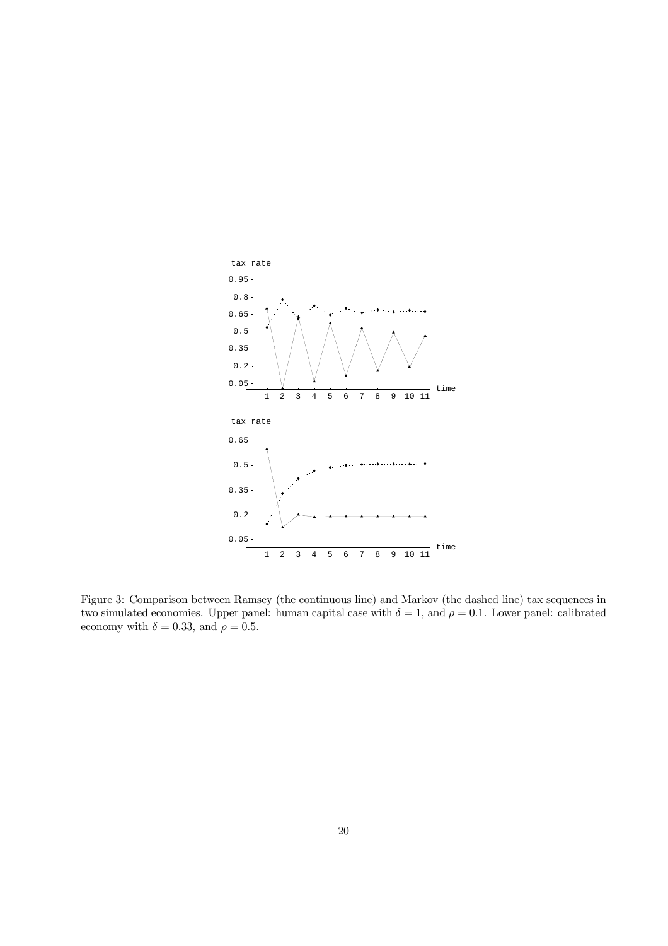

Figure 3: Comparison between Ramsey (the continuous line) and Markov (the dashed line) tax sequences in two simulated economies. Upper panel: human capital case with  $\delta = 1$ , and  $\rho = 0.1$ . Lower panel: calibrated economy with  $\delta = 0.33$ , and  $\rho = 0.5$ .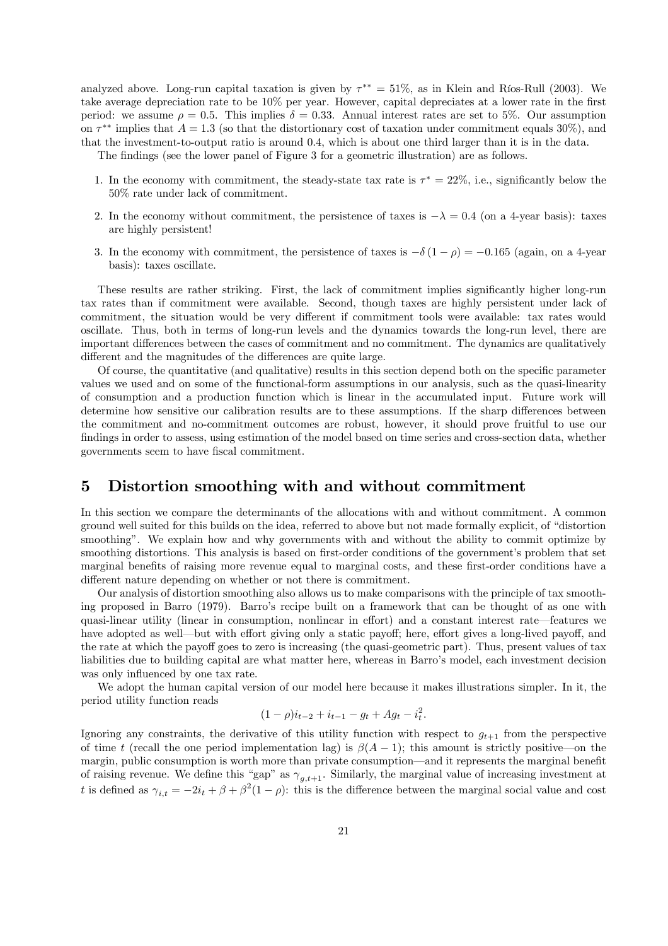analyzed above. Long-run capital taxation is given by  $\tau^{**} = 51\%$ , as in Klein and Ríos-Rull (2003). We take average depreciation rate to be 10% per year. However, capital depreciates at a lower rate in the first period: we assume  $\rho = 0.5$ . This implies  $\delta = 0.33$ . Annual interest rates are set to 5%. Our assumption on  $\tau^{**}$  implies that  $A = 1.3$  (so that the distortionary cost of taxation under commitment equals 30%), and that the investment-to-output ratio is around 0.4, which is about one third larger than it is in the data.

The findings (see the lower panel of Figure 3 for a geometric illustration) are as follows.

- 1. In the economy with commitment, the steady-state tax rate is  $\tau^* = 22\%$ , i.e., significantly below the 50% rate under lack of commitment.
- 2. In the economy without commitment, the persistence of taxes is  $-\lambda = 0.4$  (on a 4-year basis): taxes are highly persistent!
- 3. In the economy with commitment, the persistence of taxes is  $-\delta(1-\rho) = -0.165$  (again, on a 4-year basis): taxes oscillate.

These results are rather striking. First, the lack of commitment implies significantly higher long-run tax rates than if commitment were available. Second, though taxes are highly persistent under lack of commitment, the situation would be very different if commitment tools were available: tax rates would oscillate. Thus, both in terms of long-run levels and the dynamics towards the long-run level, there are important differences between the cases of commitment and no commitment. The dynamics are qualitatively different and the magnitudes of the differences are quite large.

Of course, the quantitative (and qualitative) results in this section depend both on the specific parameter values we used and on some of the functional-form assumptions in our analysis, such as the quasi-linearity of consumption and a production function which is linear in the accumulated input. Future work will determine how sensitive our calibration results are to these assumptions. If the sharp differences between the commitment and no-commitment outcomes are robust, however, it should prove fruitful to use our findings in order to assess, using estimation of the model based on time series and cross-section data, whether governments seem to have fiscal commitment.

# 5 Distortion smoothing with and without commitment

In this section we compare the determinants of the allocations with and without commitment. A common ground well suited for this builds on the idea, referred to above but not made formally explicit, of "distortion smoothing". We explain how and why governments with and without the ability to commit optimize by smoothing distortions. This analysis is based on first-order conditions of the government's problem that set marginal benefits of raising more revenue equal to marginal costs, and these first-order conditions have a different nature depending on whether or not there is commitment.

Our analysis of distortion smoothing also allows us to make comparisons with the principle of tax smoothing proposed in Barro (1979). Barro's recipe built on a framework that can be thought of as one with quasi-linear utility (linear in consumption, nonlinear in effort) and a constant interest rate–features we have adopted as well—but with effort giving only a static payoff; here, effort gives a long-lived payoff, and the rate at which the payoff goes to zero is increasing (the quasi-geometric part). Thus, present values of tax liabilities due to building capital are what matter here, whereas in Barro's model, each investment decision was only influenced by one tax rate.

We adopt the human capital version of our model here because it makes illustrations simpler. In it, the period utility function reads

$$
(1 - \rho)i_{t-2} + i_{t-1} - g_t + Ag_t - i_t^2.
$$

Ignoring any constraints, the derivative of this utility function with respect to  $g_{t+1}$  from the perspective of time t (recall the one period implementation lag) is  $\beta(A-1)$ ; this amount is strictly positive—on the margin, public consumption is worth more than private consumption–and it represents the marginal benefit of raising revenue. We define this "gap" as  $\gamma_{g,t+1}$ . Similarly, the marginal value of increasing investment at t is defined as  $\gamma_{i,t} = -2i_t + \beta + \beta^2(1-\rho)$ : this is the difference between the marginal social value and cost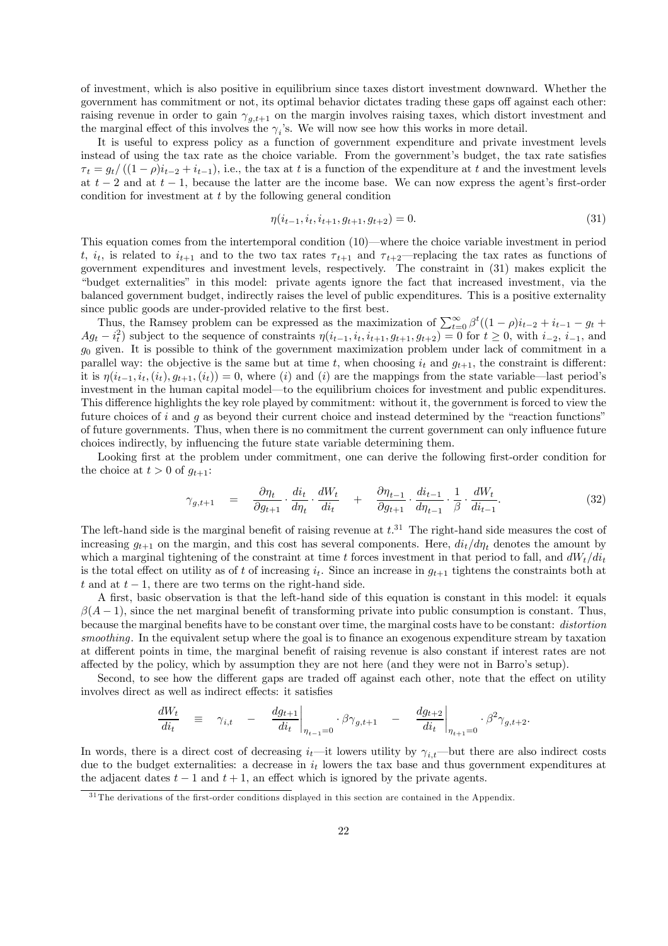of investment, which is also positive in equilibrium since taxes distort investment downward. Whether the government has commitment or not, its optimal behavior dictates trading these gaps off against each other: raising revenue in order to gain  $\gamma_{g,t+1}$  on the margin involves raising taxes, which distort investment and the marginal effect of this involves the  $\gamma_i$ 's. We will now see how this works in more detail.

It is useful to express policy as a function of government expenditure and private investment levels instead of using the tax rate as the choice variable. From the government's budget, the tax rate satisfies  $\tau_t = g_t/((1-\rho)i_{t-2}+i_{t-1}),$  i.e., the tax at t is a function of the expenditure at t and the investment levels at  $t-2$  and at  $t-1$ , because the latter are the income base. We can now express the agent's first-order condition for investment at t by the following general condition

$$
\eta(i_{t-1}, i_t, i_{t+1}, g_{t+1}, g_{t+2}) = 0. \tag{31}
$$

This equation comes from the intertemporal condition (10)–where the choice variable investment in period t,  $i_t$ , is related to  $i_{t+1}$  and to the two tax rates  $\tau_{t+1}$  and  $\tau_{t+2}$ —replacing the tax rates as functions of government expenditures and investment levels, respectively. The constraint in (31) makes explicit the "budget externalities" in this model: private agents ignore the fact that increased investment, via the balanced government budget, indirectly raises the level of public expenditures. This is a positive externality since public goods are under-provided relative to the first best.

Thus, the Ramsey problem can be expressed as the maximization of  $\sum_{t=0}^{\infty} \beta^{t}((1-\rho)i_{t-2}+i_{t-1}-g_t+...+i_{t-1}-g_t)$  $Ag_t - i_t^2$  subject to the sequence of constraints  $\eta(i_{t-1}, i_t, i_{t+1}, g_{t+1}, g_{t+2}) = 0$  for  $t \ge 0$ , with  $i_{-2}, i_{-1}$ , and  $g_0$  given. It is possible to think of the government maximization problem under lack of commitment in a parallel way: the objective is the same but at time t, when choosing  $i_t$  and  $g_{t+1}$ , the constraint is different: it is  $\eta(i_{t-1}, i_t, (i_t), g_{t+1}, (i_t)) = 0$ , where (i) and (i) are the mappings from the state variable—last period's investment in the human capital model–to the equilibrium choices for investment and public expenditures. This difference highlights the key role played by commitment: without it, the government is forced to view the future choices of i and q as beyond their current choice and instead determined by the "reaction functions" of future governments. Thus, when there is no commitment the current government can only influence future choices indirectly, by influencing the future state variable determining them.

Looking first at the problem under commitment, one can derive the following first-order condition for the choice at  $t > 0$  of  $g_{t+1}$ :

$$
\gamma_{g,t+1} = \frac{\partial \eta_t}{\partial g_{t+1}} \cdot \frac{di_t}{d\eta_t} \cdot \frac{dW_t}{di_t} + \frac{\partial \eta_{t-1}}{\partial g_{t+1}} \cdot \frac{di_{t-1}}{d\eta_{t-1}} \cdot \frac{1}{\beta} \cdot \frac{dW_t}{di_{t-1}}.
$$
\n(32)

The left-hand side is the marginal benefit of raising revenue at  $t.^{31}$ . The right-hand side measures the cost of increasing  $g_{t+1}$  on the margin, and this cost has several components. Here,  $di_t/d\eta_t$  denotes the amount by which a marginal tightening of the constraint at time t forces investment in that period to fall, and  $dW_t/di_t$ is the total effect on utility as of t of increasing  $i_t$ . Since an increase in  $g_{t+1}$  tightens the constraints both at t and at  $t - 1$ , there are two terms on the right-hand side.

A first, basic observation is that the left-hand side of this equation is constant in this model: it equals  $\beta(A-1)$ , since the net marginal benefit of transforming private into public consumption is constant. Thus, because the marginal benefits have to be constant over time, the marginal costs have to be constant: distortion smoothing. In the equivalent setup where the goal is to finance an exogenous expenditure stream by taxation at different points in time, the marginal benefit of raising revenue is also constant if interest rates are not affected by the policy, which by assumption they are not here (and they were not in Barro's setup).

Second, to see how the different gaps are traded off against each other, note that the effect on utility involves direct as well as indirect effects: it satisfies

$$
\left.\frac{dW_t}{di_t}\right.\quad\equiv\quad\gamma_{i,t}\quad-\quad\left.\frac{dg_{t+1}}{di_t}\right|_{\eta_{t-1}=0}\cdot\beta\gamma_{g,t+1}\quad-\quad\left.\frac{dg_{t+2}}{di_t}\right|_{\eta_{t+1}=0}\cdot\beta^2\gamma_{g,t+2}.
$$

In words, there is a direct cost of decreasing  $i_t$ —it lowers utility by  $\gamma_{i,t}$ —but there are also indirect costs due to the budget externalities: a decrease in  $i_t$  lowers the tax base and thus government expenditures at the adjacent dates  $t - 1$  and  $t + 1$ , an effect which is ignored by the private agents.

<sup>&</sup>lt;sup>31</sup> The derivations of the first-order conditions displayed in this section are contained in the Appendix.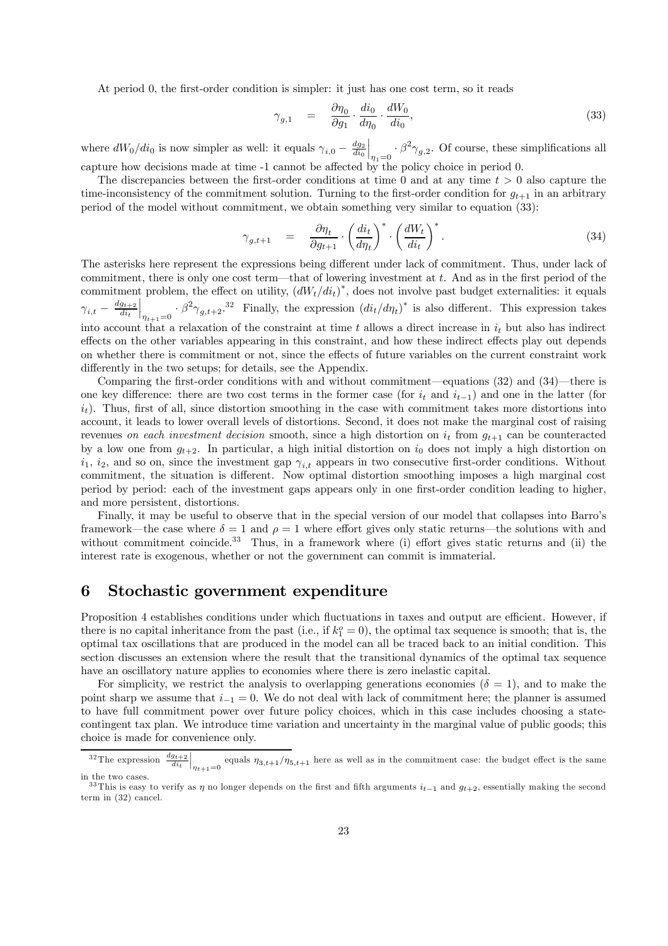At period 0, the first-order condition is simpler: it just has one cost term, so it reads

$$
\gamma_{g,1} = \frac{\partial \eta_0}{\partial g_1} \cdot \frac{di_0}{d\eta_0} \cdot \frac{dW_0}{di_0},\tag{33}
$$

where  $dW_0/di_0$  is now simpler as well: it equals  $\gamma_{i,0} - \frac{dg_2}{di_0}$  $\Big|_{\eta_1=0}\cdot \beta^2\gamma_{g,2}.$  Of course, these simplifications all capture how decisions made at time -1 cannot be affected by the policy choice in period 0.

The discrepancies between the first-order conditions at time 0 and at any time  $t > 0$  also capture the time-inconsistency of the commitment solution. Turning to the first-order condition for  $q_{t+1}$  in an arbitrary period of the model without commitment, we obtain something very similar to equation (33):

$$
\gamma_{g,t+1} = \frac{\partial \eta_t}{\partial g_{t+1}} \cdot \left(\frac{di_t}{d\eta_t}\right)^* \cdot \left(\frac{dW_t}{di_t}\right)^*.
$$
\n(34)

The asterisks here represent the expressions being different under lack of commitment. Thus, under lack of commitment, there is only one cost term–that of lowering investment at t. And as in the first period of the commitment problem, the effect on utility,  $(dW_t/d_i t)^*$ , does not involve past budget externalities: it equals  ${\gamma}_{i,t} - \frac{d g_{t+2}}{d i_t}$  $\int_{\eta_{t+1}=0} \cdot \beta^2 \gamma_{g,t+2}$ <sup>32</sup> Finally, the expression  $\left(dt_t/d\eta_t\right)^*$  is also different. This expression takes into account that a relaxation of the constraint at time t allows a direct increase in  $i_t$  but also has indirect effects on the other variables appearing in this constraint, and how these indirect effects play out depends on whether there is commitment or not, since the effects of future variables on the current constraint work differently in the two setups; for details, see the Appendix.

Comparing the first-order conditions with and without commitment–equations (32) and (34)–there is one key difference: there are two cost terms in the former case (for  $i_t$  and  $i_{t-1}$ ) and one in the latter (for  $i_t$ ). Thus, first of all, since distortion smoothing in the case with commitment takes more distortions into account, it leads to lower overall levels of distortions. Second, it does not make the marginal cost of raising revenues on each investment decision smooth, since a high distortion on  $i_t$  from  $g_{t+1}$  can be counteracted by a low one from  $g_{t+2}$ . In particular, a high initial distortion on  $i_0$  does not imply a high distortion on  $i_1$ ,  $i_2$ , and so on, since the investment gap  $\gamma_{i,t}$  appears in two consecutive first-order conditions. Without commitment, the situation is different. Now optimal distortion smoothing imposes a high marginal cost period by period: each of the investment gaps appears only in one first-order condition leading to higher, and more persistent, distortions.

Finally, it may be useful to observe that in the special version of our model that collapses into Barro's framework—the case where  $\delta = 1$  and  $\rho = 1$  where effort gives only static returns—the solutions with and without commitment coincide.<sup>33</sup> Thus, in a framework where (i) effort gives static returns and (ii) the interest rate is exogenous, whether or not the government can commit is immaterial.

# 6 Stochastic government expenditure

Proposition 4 establishes conditions under which fluctuations in taxes and output are efficient. However, if there is no capital inheritance from the past (i.e., if  $k_1^o = 0$ ), the optimal tax sequence is smooth; that is, the optimal tax oscillations that are produced in the model can all be traced back to an initial condition. This section discusses an extension where the result that the transitional dynamics of the optimal tax sequence have an oscillatory nature applies to economies where there is zero inelastic capital.

For simplicity, we restrict the analysis to overlapping generations economies ( $\delta = 1$ ), and to make the point sharp we assume that  $i_{-1} = 0$ . We do not deal with lack of commitment here; the planner is assumed to have full commitment power over future policy choices, which in this case includes choosing a statecontingent tax plan. We introduce time variation and uncertainty in the marginal value of public goods; this choice is made for convenience only.

<sup>&</sup>lt;sup>32</sup>The expression  $\frac{dg_{t+2}}{di_t}$  $\Big|_{\eta_{t+1}=0}$  equals  $\eta_{3,t+1}/\eta_{5,t+1}$  here as well as in the commitment case: the budget effect is the same in the two cases.

<sup>&</sup>lt;sup>33</sup>This is easy to verify as  $\eta$  no longer depends on the first and fifth arguments  $i_{t-1}$  and  $g_{t+2}$ , essentially making the second term in (32) cancel.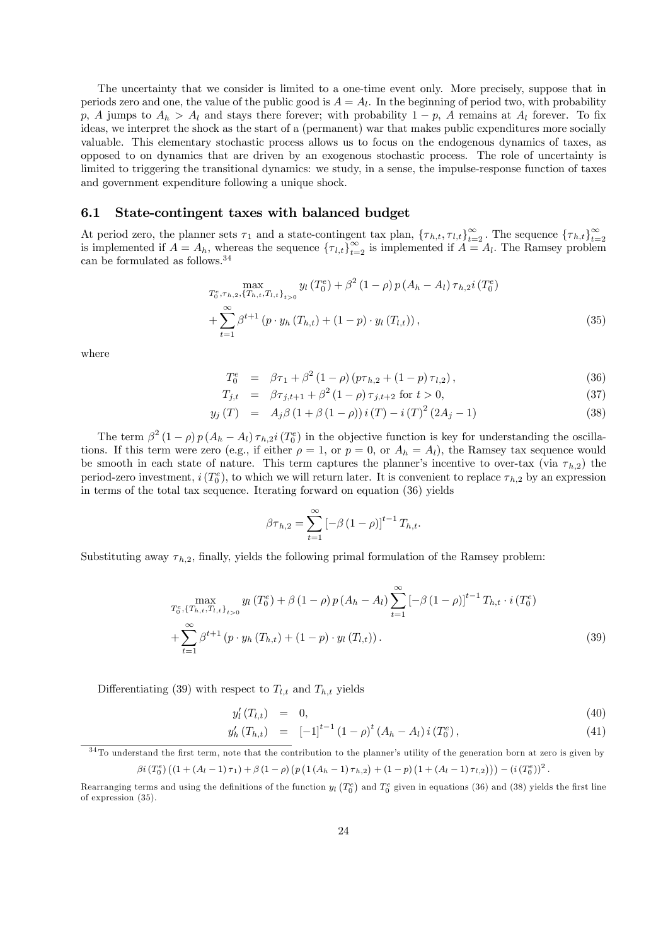The uncertainty that we consider is limited to a one-time event only. More precisely, suppose that in periods zero and one, the value of the public good is  $A = A<sub>l</sub>$ . In the beginning of period two, with probability p, A jumps to  $A_h > A_l$  and stays there forever; with probability  $1 - p$ , A remains at  $A_l$  forever. To fix ideas, we interpret the shock as the start of a (permanent) war that makes public expenditures more socially valuable. This elementary stochastic process allows us to focus on the endogenous dynamics of taxes, as opposed to on dynamics that are driven by an exogenous stochastic process. The role of uncertainty is limited to triggering the transitional dynamics: we study, in a sense, the impulse-response function of taxes and government expenditure following a unique shock.

#### 6.1 State-contingent taxes with balanced budget

At period zero, the planner sets  $\tau_1$  and a state-contingent tax plan,  $\{\tau_{h,t}, \tau_{l,t}\}_{t=2}^{\infty}$ . The sequence  $\{\tau_{h,t}\}_{t=2}^{\infty}$  is implemented if  $A = A_l$ . The Ramsey problem can be formulated as follows.34

$$
\max_{T_0^e, \tau_{h,2}, \{T_{h,t}, T_{l,t}\}_{t>0}} y_l(T_0^e) + \beta^2 (1-\rho) p (A_h - A_l) \tau_{h,2} i(T_0^e) + \sum_{t=1}^{\infty} \beta^{t+1} (p \cdot y_h(T_{h,t}) + (1-p) \cdot y_l(T_{l,t})),
$$
\n(35)

where

$$
T_0^e = \beta \tau_1 + \beta^2 (1 - \rho) (p \tau_{h,2} + (1 - p) \tau_{l,2}), \qquad (36)
$$

$$
T_{j,t} = \beta \tau_{j,t+1} + \beta^2 (1 - \rho) \tau_{j,t+2} \text{ for } t > 0,
$$
\n(37)

$$
y_j(T) = A_j \beta (1 + \beta (1 - \rho)) i (T) - i (T)^2 (2A_j - 1)
$$
\n(38)

The term  $\beta^2 (1 - \rho) p (A_h - A_l) \tau_{h,2} i (T_0^e)$  in the objective function is key for understanding the oscillations. If this term were zero (e.g., if either  $\rho = 1$ , or  $p = 0$ , or  $A_h = A_l$ ), the Ramsey tax sequence would be smooth in each state of nature. This term captures the planner's incentive to over-tax (via  $\tau_{h,2}$ ) the period-zero investment,  $i(T_0^e)$ , to which we will return later. It is convenient to replace  $\tau_{h,2}$  by an expression in terms of the total tax sequence. Iterating forward on equation (36) yields

$$
\beta \tau_{h,2} = \sum_{t=1}^{\infty} \left[ -\beta \left( 1 - \rho \right) \right]^{t-1} T_{h,t}.
$$

Substituting away  $\tau_{h,2}$ , finally, yields the following primal formulation of the Ramsey problem:

$$
\max_{T_0^e, \{T_{h,t}, T_{l,t}\}_{t>0}} y_l(T_0^e) + \beta (1-\rho) p (A_h - A_l) \sum_{t=1}^{\infty} \left[ -\beta (1-\rho) \right]^{t-1} T_{h,t} \cdot i(T_0^e)
$$
  
+ 
$$
\sum_{t=1}^{\infty} \beta^{t+1} (p \cdot y_h(T_{h,t}) + (1-p) \cdot y_l(T_{l,t})).
$$
 (39)

Differentiating (39) with respect to  $T_{l,t}$  and  $T_{h,t}$  yields

$$
y_l'(T_{l,t}) = 0, \tag{40}
$$

$$
y_h'(T_{h,t}) = [-1]^{t-1} (1-\rho)^t (A_h - A_l) i(T_0^e), \qquad (41)
$$

 $34$ To understand the first term, note that the contribution to the planner's utility of the generation born at zero is given by

 $\beta i (T_0^e) ((1 + (A_l - 1)\tau_1) + \beta (1 - \rho) (p (1 (A_h - 1) \tau_{h,2}) + (1 - p) (1 + (A_l - 1) \tau_{l,2}))) - (i (T_0^e))^2$ .

Rearranging terms and using the definitions of the function  $y_l(T_0^e)$  and  $T_0^e$  given in equations (36) and (38) yields the first line of expression (35).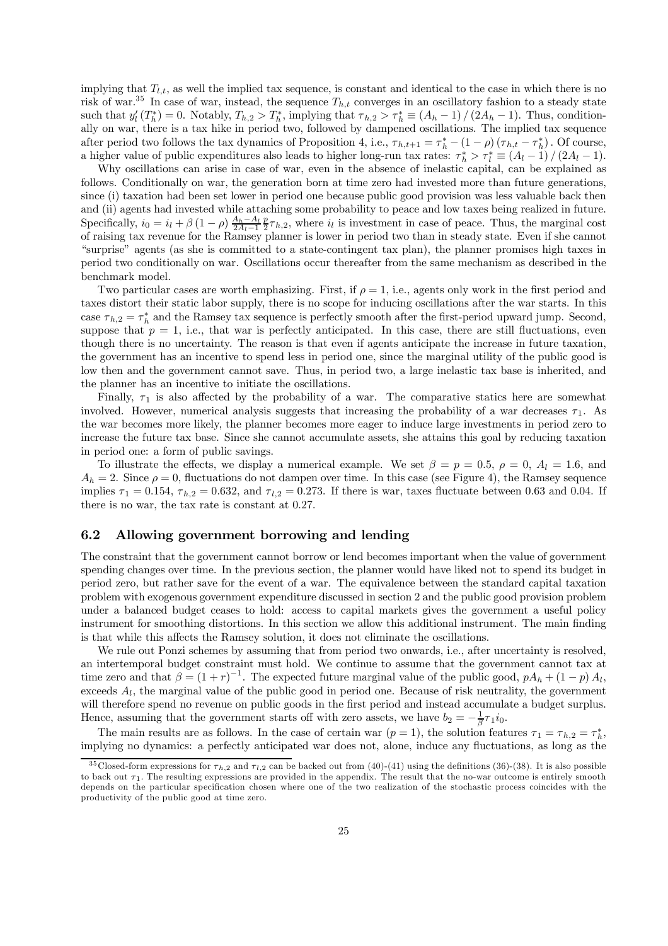implying that  $T_{l,t}$ , as well the implied tax sequence, is constant and identical to the case in which there is no risk of war.<sup>35</sup> In case of war, instead, the sequence  $T_{h,t}$  converges in an oscillatory fashion to a steady state such that  $y'_l(T^*_h) = 0$ . Notably,  $T_{h,2} > T^*_h$ , implying that  $\tau_{h,2} > \tau^*_h \equiv (A_h - 1) / (2A_h - 1)$ . Thus, conditionally on war, there is a tax hike in period two, followed by dampened oscillations. The implied tax sequence after period two follows the tax dynamics of Proposition 4, i.e.,  $\tau_{h,t+1} = \tau_h^* - (1 - \rho) (\tau_{h,t} - \tau_h^*)$ . Of course, a higher value of public expenditures also leads to higher long-run tax rates:  $\tau_h^* > \tau_l^* \equiv (A_l - 1)/(2A_l - 1)$ .

Why oscillations can arise in case of war, even in the absence of inelastic capital, can be explained as follows. Conditionally on war, the generation born at time zero had invested more than future generations, since (i) taxation had been set lower in period one because public good provision was less valuable back then and (ii) agents had invested while attaching some probability to peace and low taxes being realized in future. Specifically,  $i_0 = i_l + \beta (1 - \rho) \frac{A_h - A_l}{2A_l - 1} \frac{p}{2} \tau_{h,2}$ , where  $i_l$  is investment in case of peace. Thus, the marginal cost of raising tax revenue for the Ramsey planner is lower in period two than in steady state. Even if she cannot "surprise" agents (as she is committed to a state-contingent tax plan), the planner promises high taxes in period two conditionally on war. Oscillations occur thereafter from the same mechanism as described in the benchmark model.

Two particular cases are worth emphasizing. First, if  $\rho = 1$ , i.e., agents only work in the first period and taxes distort their static labor supply, there is no scope for inducing oscillations after the war starts. In this case  $\tau_{h,2} = \tau_h^*$  and the Ramsey tax sequence is perfectly smooth after the first-period upward jump. Second, suppose that  $p = 1$ , i.e., that war is perfectly anticipated. In this case, there are still fluctuations, even though there is no uncertainty. The reason is that even if agents anticipate the increase in future taxation, the government has an incentive to spend less in period one, since the marginal utility of the public good is low then and the government cannot save. Thus, in period two, a large inelastic tax base is inherited, and the planner has an incentive to initiate the oscillations.

Finally,  $\tau_1$  is also affected by the probability of a war. The comparative statics here are somewhat involved. However, numerical analysis suggests that increasing the probability of a war decreases  $\tau_1$ . As the war becomes more likely, the planner becomes more eager to induce large investments in period zero to increase the future tax base. Since she cannot accumulate assets, she attains this goal by reducing taxation in period one: a form of public savings.

To illustrate the effects, we display a numerical example. We set  $\beta = p = 0.5$ ,  $\rho = 0$ ,  $A_l = 1.6$ , and  $A_h = 2$ . Since  $\rho = 0$ , fluctuations do not dampen over time. In this case (see Figure 4), the Ramsey sequence implies  $\tau_1 = 0.154$ ,  $\tau_{h,2} = 0.632$ , and  $\tau_{l,2} = 0.273$ . If there is war, taxes fluctuate between 0.63 and 0.04. If there is no war, the tax rate is constant at 0.27.

### 6.2 Allowing government borrowing and lending

The constraint that the government cannot borrow or lend becomes important when the value of government spending changes over time. In the previous section, the planner would have liked not to spend its budget in period zero, but rather save for the event of a war. The equivalence between the standard capital taxation problem with exogenous government expenditure discussed in section 2 and the public good provision problem under a balanced budget ceases to hold: access to capital markets gives the government a useful policy instrument for smoothing distortions. In this section we allow this additional instrument. The main finding is that while this affects the Ramsey solution, it does not eliminate the oscillations.

We rule out Ponzi schemes by assuming that from period two onwards, i.e., after uncertainty is resolved, an intertemporal budget constraint must hold. We continue to assume that the government cannot tax at time zero and that  $\beta = (1+r)^{-1}$ . The expected future marginal value of the public good,  $pA_h + (1-p)A_l$ , exceeds  $A_l$ , the marginal value of the public good in period one. Because of risk neutrality, the government will therefore spend no revenue on public goods in the first period and instead accumulate a budget surplus. Hence, assuming that the government starts off with zero assets, we have  $b_2 = -\frac{1}{\beta}\tau_1 i_0$ .

The main results are as follows. In the case of certain war  $(p = 1)$ , the solution features  $\tau_1 = \tau_{h,2} = \tau_h^*$ , implying no dynamics: a perfectly anticipated war does not, alone, induce any fluctuations, as long as the

<sup>&</sup>lt;sup>35</sup>Closed-form expressions for  $\tau_{h,2}$  and  $\tau_{l,2}$  can be backed out from (40)-(41) using the definitions (36)-(38). It is also possible to back out  $\tau_1$ . The resulting expressions are provided in the appendix. The result that the no-war outcome is entirely smooth depends on the particular specification chosen where one of the two realization of the stochastic process coincides with the productivity of the public good at time zero.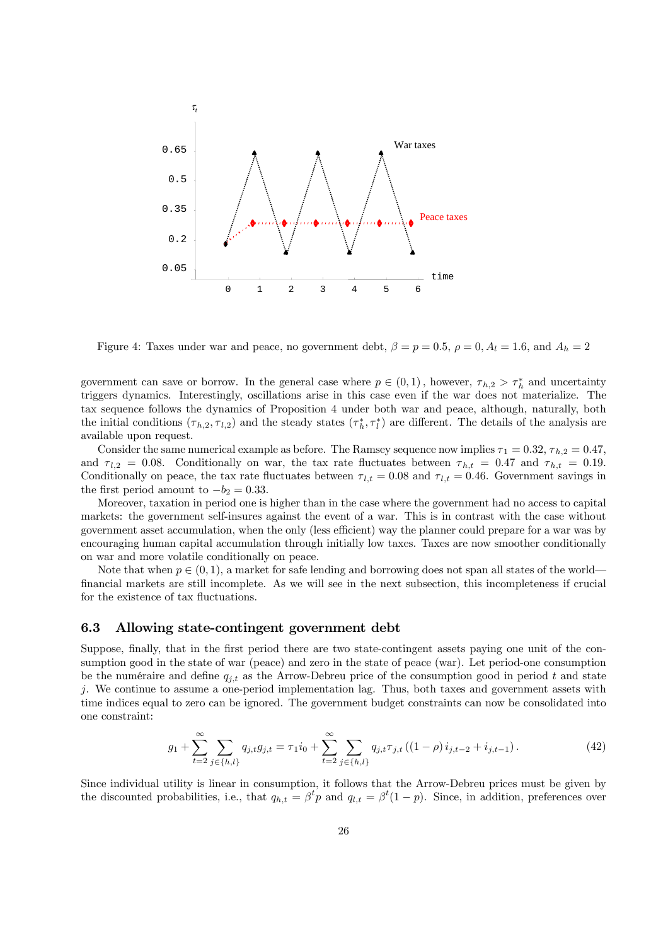

Figure 4: Taxes under war and peace, no government debt,  $\beta = p = 0.5$ ,  $\rho = 0$ ,  $A_l = 1.6$ , and  $A_h = 2$ 

government can save or borrow. In the general case where  $p \in (0,1)$ , however,  $\tau_{h,2} > \tau_h^*$  and uncertainty triggers dynamics. Interestingly, oscillations arise in this case even if the war does not materialize. The tax sequence follows the dynamics of Proposition 4 under both war and peace, although, naturally, both the initial conditions  $(\tau_{h,2}, \tau_{l,2})$  and the steady states  $(\tau_h^*, \tau_l^*)$  are different. The details of the analysis are available upon request.

Consider the same numerical example as before. The Ramsey sequence now implies  $\tau_1 = 0.32$ ,  $\tau_{h,2} = 0.47$ , and  $\tau_{l,2} = 0.08$ . Conditionally on war, the tax rate fluctuates between  $\tau_{h,t} = 0.47$  and  $\tau_{h,t} = 0.19$ . Conditionally on peace, the tax rate fluctuates between  $\tau_{l,t} = 0.08$  and  $\tau_{l,t} = 0.46$ . Government savings in the first period amount to  $-b_2 = 0.33$ .

Moreover, taxation in period one is higher than in the case where the government had no access to capital markets: the government self-insures against the event of a war. This is in contrast with the case without government asset accumulation, when the only (less efficient) way the planner could prepare for a war was by encouraging human capital accumulation through initially low taxes. Taxes are now smoother conditionally on war and more volatile conditionally on peace.

Note that when  $p \in (0, 1)$ , a market for safe lending and borrowing does not span all states of the world– financial markets are still incomplete. As we will see in the next subsection, this incompleteness if crucial for the existence of tax fluctuations.

### 6.3 Allowing state-contingent government debt

Suppose, finally, that in the first period there are two state-contingent assets paying one unit of the consumption good in the state of war (peace) and zero in the state of peace (war). Let period-one consumption be the numéraire and define  $q_{j,t}$  as the Arrow-Debreu price of the consumption good in period t and state j. We continue to assume a one-period implementation lag. Thus, both taxes and government assets with time indices equal to zero can be ignored. The government budget constraints can now be consolidated into one constraint:

$$
g_1 + \sum_{t=2}^{\infty} \sum_{j \in \{h,l\}} q_{j,t} g_{j,t} = \tau_1 i_0 + \sum_{t=2}^{\infty} \sum_{j \in \{h,l\}} q_{j,t} \tau_{j,t} \left( (1-\rho) i_{j,t-2} + i_{j,t-1} \right). \tag{42}
$$

Since individual utility is linear in consumption, it follows that the Arrow-Debreu prices must be given by the discounted probabilities, i.e., that  $q_{h,t} = \beta^t p$  and  $q_{l,t} = \beta^t (1-p)$ . Since, in addition, preferences over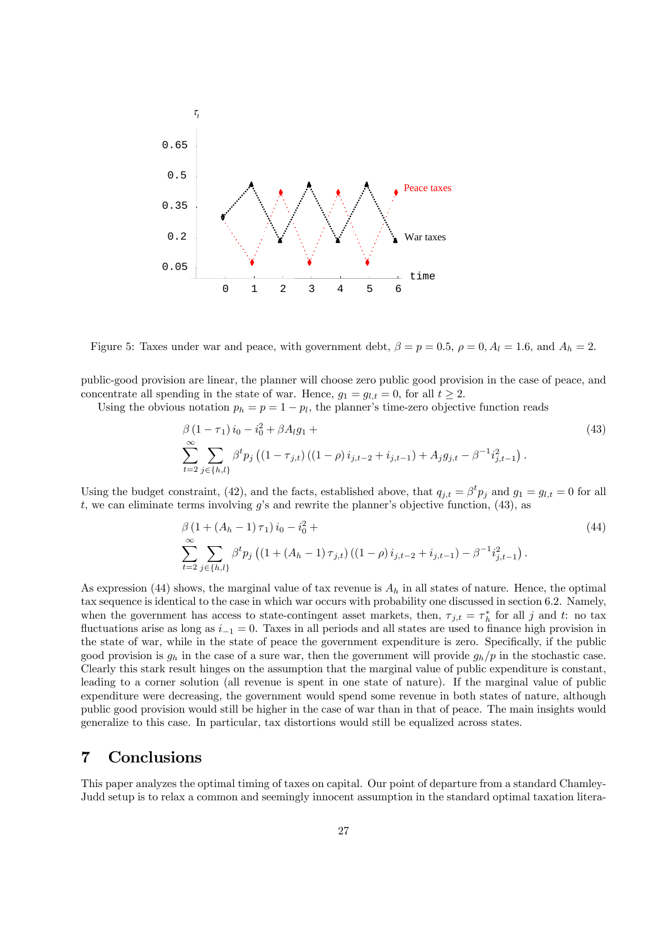

Figure 5: Taxes under war and peace, with government debt,  $\beta = p = 0.5$ ,  $\rho = 0$ ,  $A_l = 1.6$ , and  $A_h = 2$ .

public-good provision are linear, the planner will choose zero public good provision in the case of peace, and concentrate all spending in the state of war. Hence,  $g_1 = g_{l,t} = 0$ , for all  $t \geq 2$ .

Using the obvious notation  $p_h = p = 1 - p_l$ , the planner's time-zero objective function reads

$$
\beta (1 - \tau_1) i_0 - i_0^2 + \beta A_l g_1 +
$$
\n
$$
\sum_{t=2}^{\infty} \sum_{j \in \{h,l\}} \beta^t p_j \left( (1 - \tau_{j,t}) \left( (1 - \rho) i_{j,t-2} + i_{j,t-1} \right) + A_j g_{j,t} - \beta^{-1} i_{j,t-1}^2 \right). \tag{43}
$$

Using the budget constraint, (42), and the facts, established above, that  $q_{j,t} = \beta^t p_j$  and  $g_1 = g_{l,t} = 0$  for all t, we can eliminate terms involving  $g$ 's and rewrite the planner's objective function,  $(43)$ , as

$$
\beta (1 + (A_h - 1)\tau_1) i_0 - i_0^2 + \sum_{t=2}^{\infty} \sum_{j \in \{h,l\}} \beta^t p_j \left( (1 + (A_h - 1)\tau_{j,t}) \left( (1 - \rho) i_{j,t-2} + i_{j,t-1} \right) - \beta^{-1} i_{j,t-1}^2 \right). \tag{44}
$$

As expression (44) shows, the marginal value of tax revenue is  $A_h$  in all states of nature. Hence, the optimal tax sequence is identical to the case in which war occurs with probability one discussed in section 6.2. Namely, when the government has access to state-contingent asset markets, then,  $\tau_{j,t} = \tau_h^*$  for all j and t: no tax fluctuations arise as long as  $i_{-1} = 0$ . Taxes in all periods and all states are used to finance high provision in the state of war, while in the state of peace the government expenditure is zero. Specifically, if the public good provision is  $g_h$  in the case of a sure war, then the government will provide  $g_h/p$  in the stochastic case. Clearly this stark result hinges on the assumption that the marginal value of public expenditure is constant, leading to a corner solution (all revenue is spent in one state of nature). If the marginal value of public expenditure were decreasing, the government would spend some revenue in both states of nature, although public good provision would still be higher in the case of war than in that of peace. The main insights would generalize to this case. In particular, tax distortions would still be equalized across states.

# 7 Conclusions

This paper analyzes the optimal timing of taxes on capital. Our point of departure from a standard Chamley-Judd setup is to relax a common and seemingly innocent assumption in the standard optimal taxation litera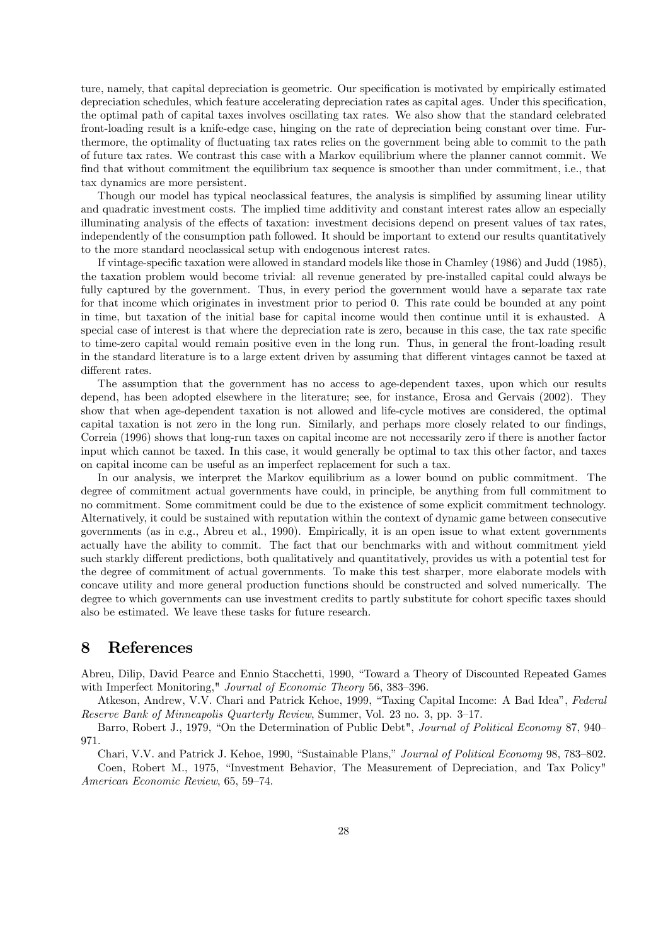ture, namely, that capital depreciation is geometric. Our specification is motivated by empirically estimated depreciation schedules, which feature accelerating depreciation rates as capital ages. Under this specification, the optimal path of capital taxes involves oscillating tax rates. We also show that the standard celebrated front-loading result is a knife-edge case, hinging on the rate of depreciation being constant over time. Furthermore, the optimality of fluctuating tax rates relies on the government being able to commit to the path of future tax rates. We contrast this case with a Markov equilibrium where the planner cannot commit. We find that without commitment the equilibrium tax sequence is smoother than under commitment, i.e., that tax dynamics are more persistent.

Though our model has typical neoclassical features, the analysis is simplified by assuming linear utility and quadratic investment costs. The implied time additivity and constant interest rates allow an especially illuminating analysis of the effects of taxation: investment decisions depend on present values of tax rates, independently of the consumption path followed. It should be important to extend our results quantitatively to the more standard neoclassical setup with endogenous interest rates.

If vintage-specific taxation were allowed in standard models like those in Chamley (1986) and Judd (1985), the taxation problem would become trivial: all revenue generated by pre-installed capital could always be fully captured by the government. Thus, in every period the government would have a separate tax rate for that income which originates in investment prior to period 0. This rate could be bounded at any point in time, but taxation of the initial base for capital income would then continue until it is exhausted. A special case of interest is that where the depreciation rate is zero, because in this case, the tax rate specific to time-zero capital would remain positive even in the long run. Thus, in general the front-loading result in the standard literature is to a large extent driven by assuming that different vintages cannot be taxed at different rates.

The assumption that the government has no access to age-dependent taxes, upon which our results depend, has been adopted elsewhere in the literature; see, for instance, Erosa and Gervais (2002). They show that when age-dependent taxation is not allowed and life-cycle motives are considered, the optimal capital taxation is not zero in the long run. Similarly, and perhaps more closely related to our findings, Correia (1996) shows that long-run taxes on capital income are not necessarily zero if there is another factor input which cannot be taxed. In this case, it would generally be optimal to tax this other factor, and taxes on capital income can be useful as an imperfect replacement for such a tax.

In our analysis, we interpret the Markov equilibrium as a lower bound on public commitment. The degree of commitment actual governments have could, in principle, be anything from full commitment to no commitment. Some commitment could be due to the existence of some explicit commitment technology. Alternatively, it could be sustained with reputation within the context of dynamic game between consecutive governments (as in e.g., Abreu et al., 1990). Empirically, it is an open issue to what extent governments actually have the ability to commit. The fact that our benchmarks with and without commitment yield such starkly different predictions, both qualitatively and quantitatively, provides us with a potential test for the degree of commitment of actual governments. To make this test sharper, more elaborate models with concave utility and more general production functions should be constructed and solved numerically. The degree to which governments can use investment credits to partly substitute for cohort specific taxes should also be estimated. We leave these tasks for future research.

# 8 References

Abreu, Dilip, David Pearce and Ennio Stacchetti, 1990, "Toward a Theory of Discounted Repeated Games with Imperfect Monitoring," Journal of Economic Theory 56, 383—396.

Atkeson, Andrew, V.V. Chari and Patrick Kehoe, 1999, "Taxing Capital Income: A Bad Idea", Federal Reserve Bank of Minneapolis Quarterly Review, Summer, Vol. 23 no. 3, pp. 3—17.

Barro, Robert J., 1979, "On the Determination of Public Debt", Journal of Political Economy 87, 940— 971.

Chari, V.V. and Patrick J. Kehoe, 1990, "Sustainable Plans," Journal of Political Economy 98, 783—802.

Coen, Robert M., 1975, "Investment Behavior, The Measurement of Depreciation, and Tax Policy" American Economic Review, 65, 59—74.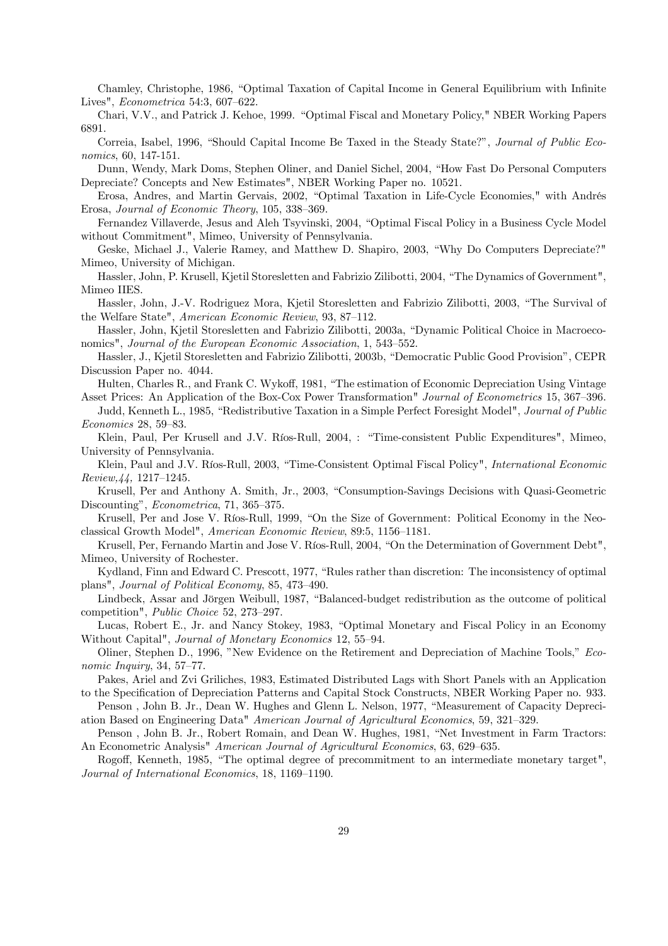Chamley, Christophe, 1986, "Optimal Taxation of Capital Income in General Equilibrium with Infinite Lives", Econometrica 54:3, 607—622.

Chari, V.V., and Patrick J. Kehoe, 1999. "Optimal Fiscal and Monetary Policy," NBER Working Papers 6891.

Correia, Isabel, 1996, "Should Capital Income Be Taxed in the Steady State?", Journal of Public Economics, 60, 147-151.

Dunn, Wendy, Mark Doms, Stephen Oliner, and Daniel Sichel, 2004, "How Fast Do Personal Computers Depreciate? Concepts and New Estimates", NBER Working Paper no. 10521.

Erosa, Andres, and Martin Gervais, 2002, "Optimal Taxation in Life-Cycle Economies," with Andrés Erosa, Journal of Economic Theory, 105, 338—369.

Fernandez Villaverde, Jesus and Aleh Tsyvinski, 2004, "Optimal Fiscal Policy in a Business Cycle Model without Commitment", Mimeo, University of Pennsylvania.

Geske, Michael J., Valerie Ramey, and Matthew D. Shapiro, 2003, "Why Do Computers Depreciate?" Mimeo, University of Michigan.

Hassler, John, P. Krusell, Kjetil Storesletten and Fabrizio Zilibotti, 2004, "The Dynamics of Government", Mimeo IIES.

Hassler, John, J.-V. Rodriguez Mora, Kjetil Storesletten and Fabrizio Zilibotti, 2003, "The Survival of the Welfare State", American Economic Review, 93, 87—112.

Hassler, John, Kjetil Storesletten and Fabrizio Zilibotti, 2003a, "Dynamic Political Choice in Macroeconomics", Journal of the European Economic Association, 1, 543—552.

Hassler, J., Kjetil Storesletten and Fabrizio Zilibotti, 2003b, "Democratic Public Good Provision", CEPR Discussion Paper no. 4044.

Hulten, Charles R., and Frank C. Wykoff, 1981, "The estimation of Economic Depreciation Using Vintage

Asset Prices: An Application of the Box-Cox Power Transformation" Journal of Econometrics 15, 367—396. Judd, Kenneth L., 1985, "Redistributive Taxation in a Simple Perfect Foresight Model", Journal of Public Economics 28, 59—83.

Klein, Paul, Per Krusell and J.V. Ríos-Rull, 2004, : "Time-consistent Public Expenditures", Mimeo, University of Pennsylvania.

Klein, Paul and J.V. Ríos-Rull, 2003, "Time-Consistent Optimal Fiscal Policy", International Economic Review,44, 1217—1245.

Krusell, Per and Anthony A. Smith, Jr., 2003, "Consumption-Savings Decisions with Quasi-Geometric Discounting", Econometrica, 71, 365—375.

Krusell, Per and Jose V. Ríos-Rull, 1999, "On the Size of Government: Political Economy in the Neoclassical Growth Model", American Economic Review, 89:5, 1156—1181.

Krusell, Per, Fernando Martin and Jose V. Ríos-Rull, 2004, "On the Determination of Government Debt", Mimeo, University of Rochester.

Kydland, Finn and Edward C. Prescott, 1977, "Rules rather than discretion: The inconsistency of optimal plans", Journal of Political Economy, 85, 473—490.

Lindbeck, Assar and Jörgen Weibull, 1987, "Balanced-budget redistribution as the outcome of political competition", Public Choice 52, 273—297.

Lucas, Robert E., Jr. and Nancy Stokey, 1983, "Optimal Monetary and Fiscal Policy in an Economy Without Capital", Journal of Monetary Economics 12, 55—94.

Oliner, Stephen D., 1996, "New Evidence on the Retirement and Depreciation of Machine Tools," Economic Inquiry, 34, 57—77.

Pakes, Ariel and Zvi Griliches, 1983, Estimated Distributed Lags with Short Panels with an Application to the Specification of Depreciation Patterns and Capital Stock Constructs, NBER Working Paper no. 933.

Penson , John B. Jr., Dean W. Hughes and Glenn L. Nelson, 1977, "Measurement of Capacity Depreciation Based on Engineering Data" American Journal of Agricultural Economics, 59, 321—329.

Penson , John B. Jr., Robert Romain, and Dean W. Hughes, 1981, "Net Investment in Farm Tractors: An Econometric Analysis" American Journal of Agricultural Economics, 63, 629—635.

Rogoff, Kenneth, 1985, "The optimal degree of precommitment to an intermediate monetary target", Journal of International Economics, 18, 1169—1190.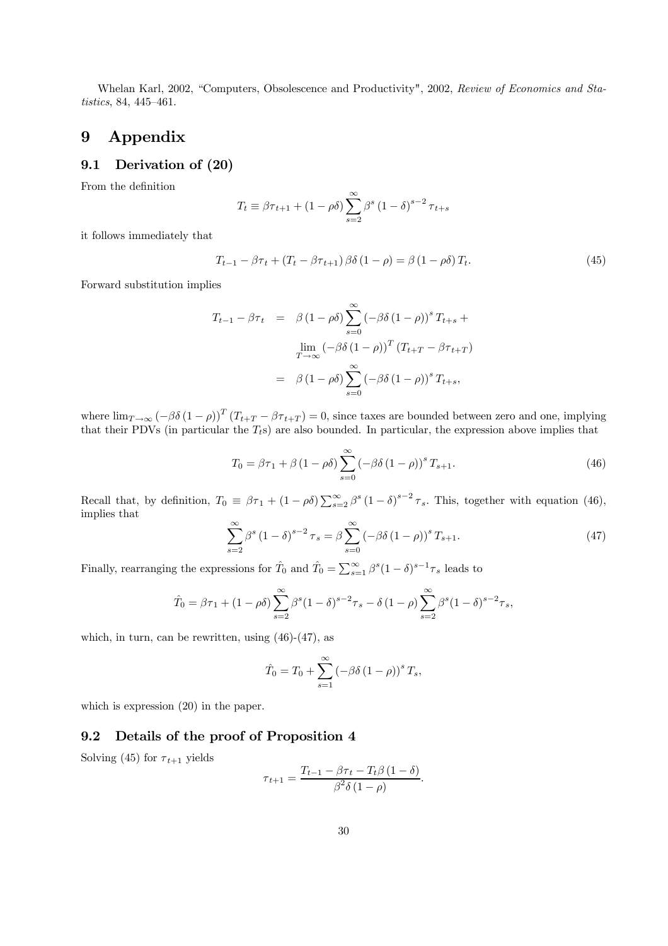Whelan Karl, 2002, "Computers, Obsolescence and Productivity", 2002, Review of Economics and Statistics, 84, 445—461.

# 9 Appendix

# 9.1 Derivation of (20)

From the definition

$$
T_t \equiv \beta \tau_{t+1} + (1 - \rho \delta) \sum_{s=2}^{\infty} \beta^s (1 - \delta)^{s-2} \tau_{t+s}
$$

it follows immediately that

$$
T_{t-1} - \beta \tau_t + (T_t - \beta \tau_{t+1}) \beta \delta (1 - \rho) = \beta (1 - \rho \delta) T_t.
$$
 (45)

Forward substitution implies

$$
T_{t-1} - \beta \tau_t = \beta (1 - \rho \delta) \sum_{s=0}^{\infty} (-\beta \delta (1 - \rho))^s T_{t+s} +
$$

$$
\lim_{T \to \infty} (-\beta \delta (1 - \rho))^T (T_{t+T} - \beta \tau_{t+T})
$$

$$
= \beta (1 - \rho \delta) \sum_{s=0}^{\infty} (-\beta \delta (1 - \rho))^s T_{t+s},
$$

where  $\lim_{T\to\infty}$   $\left(-\beta\delta(1-\rho)\right)^T(T_{t+T}-\beta\tau_{t+T})=0$ , since taxes are bounded between zero and one, implying that their PDVs (in particular the  $T_t$ s) are also bounded. In particular, the expression above implies that

$$
T_0 = \beta \tau_1 + \beta \left(1 - \rho \delta\right) \sum_{s=0}^{\infty} \left(-\beta \delta \left(1 - \rho\right)\right)^s T_{s+1}.
$$
\n(46)

Recall that, by definition,  $T_0 \equiv \beta \tau_1 + (1 - \rho \delta) \sum_{s=2}^{\infty} \beta^s (1 - \delta)^{s-2} \tau_s$ . This, together with equation (46), implies that

$$
\sum_{s=2}^{\infty} \beta^s \left(1 - \delta\right)^{s-2} \tau_s = \beta \sum_{s=0}^{\infty} \left(-\beta \delta \left(1 - \rho\right)\right)^s T_{s+1}.
$$
\n(47)

Finally, rearranging the expressions for  $\hat{T}_0$  and  $\hat{T}_0 = \sum_{s=1}^{\infty} \beta^s (1-\delta)^{s-1} \tau_s$  leads to

$$
\hat{T}_0 = \beta \tau_1 + (1 - \rho \delta) \sum_{s=2}^{\infty} \beta^s (1 - \delta)^{s-2} \tau_s - \delta (1 - \rho) \sum_{s=2}^{\infty} \beta^s (1 - \delta)^{s-2} \tau_s,
$$

which, in turn, can be rewritten, using (46)-(47), as

$$
\hat{T}_0 = T_0 + \sum_{s=1}^{\infty} \left(-\beta \delta (1 - \rho)\right)^s T_s,
$$

which is expression  $(20)$  in the paper.

# 9.2 Details of the proof of Proposition 4

Solving (45) for  $\tau_{t+1}$  yields

$$
\tau_{t+1} = \frac{T_{t-1} - \beta \tau_t - T_t \beta (1 - \delta)}{\beta^2 \delta (1 - \rho)}.
$$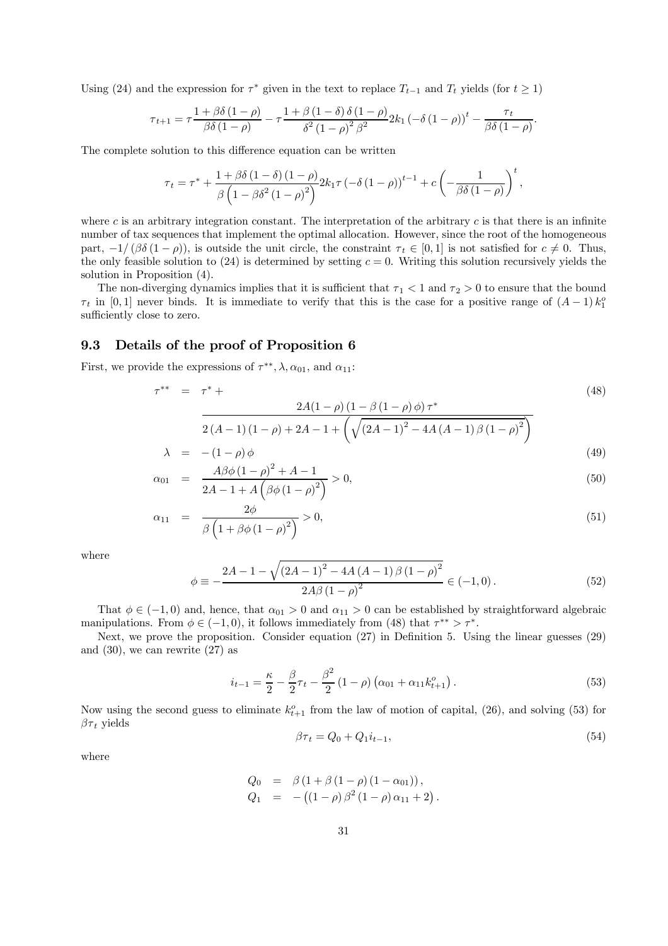Using (24) and the expression for  $\tau^*$  given in the text to replace  $T_{t-1}$  and  $T_t$  yields (for  $t \ge 1$ )

$$
\tau_{t+1} = \tau \frac{1 + \beta \delta (1 - \rho)}{\beta \delta (1 - \rho)} - \tau \frac{1 + \beta (1 - \delta) \delta (1 - \rho)}{\delta^2 (1 - \rho)^2 \beta^2} 2k_1 \left(-\delta (1 - \rho)\right)^t - \frac{\tau_t}{\beta \delta (1 - \rho)}.
$$

The complete solution to this difference equation can be written

$$
\tau_{t} = \tau^{*} + \frac{1 + \beta \delta (1 - \delta) (1 - \rho)}{\beta (1 - \beta \delta^{2} (1 - \rho)^{2})} 2k_{1} \tau \left(-\delta (1 - \rho)\right)^{t-1} + c \left(-\frac{1}{\beta \delta (1 - \rho)}\right)^{t},
$$

where c is an arbitrary integration constant. The interpretation of the arbitrary c is that there is an infinite number of tax sequences that implement the optimal allocation. However, since the root of the homogeneous part,  $-1/(\beta\delta(1-\rho))$ , is outside the unit circle, the constraint  $\tau_t \in [0,1]$  is not satisfied for  $c \neq 0$ . Thus, the only feasible solution to  $(24)$  is determined by setting  $c = 0$ . Writing this solution recursively yields the solution in Proposition (4).

The non-diverging dynamics implies that it is sufficient that  $\tau_1 < 1$  and  $\tau_2 > 0$  to ensure that the bound  $\tau_t$  in [0, 1] never binds. It is immediate to verify that this is the case for a positive range of  $(A-1)k_1^o$ sufficiently close to zero.

## 9.3 Details of the proof of Proposition 6

First, we provide the expressions of  $\tau^{**}, \lambda, \alpha_{01}$ , and  $\alpha_{11}$ :

$$
\tau^{**} = \tau^* + \frac{2A(1-\rho)(1-\beta(1-\rho)\phi)\tau^*}{2(A-1)(1-\rho)+2A-1+\left(\sqrt{(2A-1)^2-4A(A-1)\beta(1-\rho)^2}\right)}
$$
(48)

$$
\lambda = -(1 - \rho)\phi
$$
\n(49)  
\n
$$
\alpha_{01} = \frac{A\beta\phi(1 - \rho)^2 + A - 1}{(1 - \rho)^2} > 0,
$$
\n(50)

$$
\alpha_{01} = \frac{1}{2A - 1 + A\left(\beta\phi\left(1 - \rho\right)^2\right)} > 0,\tag{50}
$$

$$
\alpha_{11} = \frac{2\phi}{\beta \left(1 + \beta \phi \left(1 - \rho\right)^2\right)} > 0,\tag{51}
$$

where

$$
\phi \equiv -\frac{2A - 1 - \sqrt{\left(2A - 1\right)^{2} - 4A\left(A - 1\right)\beta\left(1 - \rho\right)^{2}}}{2A\beta\left(1 - \rho\right)^{2}} \in (-1, 0). \tag{52}
$$

That  $\phi \in (-1,0)$  and, hence, that  $\alpha_{01} > 0$  and  $\alpha_{11} > 0$  can be established by straightforward algebraic manipulations. From  $\phi \in (-1, 0)$ , it follows immediately from (48) that  $\tau^{**} > \tau^*$ .

Next, we prove the proposition. Consider equation (27) in Definition 5. Using the linear guesses (29) and  $(30)$ , we can rewrite  $(27)$  as

$$
i_{t-1} = \frac{\kappa}{2} - \frac{\beta}{2}\tau_t - \frac{\beta^2}{2}(1-\rho)\left(\alpha_{01} + \alpha_{11}k_{t+1}^o\right). \tag{53}
$$

Now using the second guess to eliminate  $k_{t+1}^o$  from the law of motion of capital, (26), and solving (53) for  $\beta\tau_t$  yields

$$
\beta \tau_t = Q_0 + Q_1 i_{t-1},\tag{54}
$$

.

where

$$
Q_0 = \beta (1 + \beta (1 - \rho) (1 - \alpha_{01})),
$$
  
\n
$$
Q_1 = -((1 - \rho) \beta^2 (1 - \rho) \alpha_{11} + 2)
$$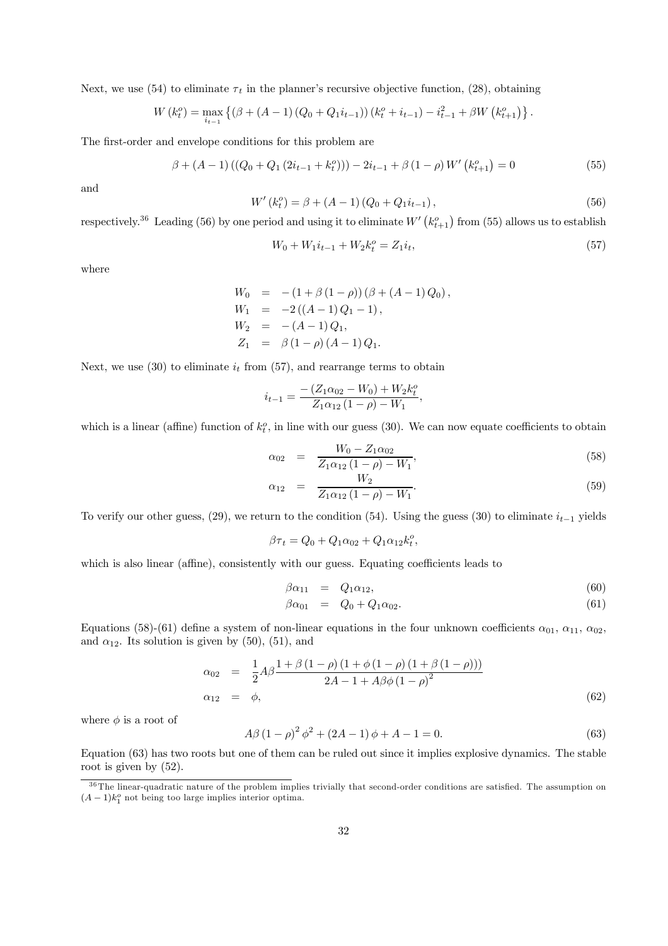Next, we use (54) to eliminate  $\tau_t$  in the planner's recursive objective function, (28), obtaining

$$
W(k_t^o) = \max_{i_{t-1}} \left\{ (\beta + (A-1) (Q_0 + Q_1 i_{t-1})) (k_t^o + i_{t-1}) - i_{t-1}^2 + \beta W (k_{t+1}^o) \right\}.
$$

The first-order and envelope conditions for this problem are

$$
\beta + (A - 1)((Q_0 + Q_1(2i_{t-1} + k_t^o))) - 2i_{t-1} + \beta(1 - \rho)W'(k_{t+1}^o) = 0
$$
\n(55)

and

$$
W'(k_t^o) = \beta + (A - 1)(Q_0 + Q_1 i_{t-1}),
$$
\n(56)

respectively.<sup>36</sup> Leading (56) by one period and using it to eliminate  $W'(k_{t+1}^o)$  from (55) allows us to establish

$$
W_0 + W_1 i_{t-1} + W_2 k_t^o = Z_1 i_t,\tag{57}
$$

where

$$
W_0 = -(1 + \beta (1 - \rho)) (\beta + (A - 1) Q_0),
$$
  
\n
$$
W_1 = -2 ((A - 1) Q_1 - 1),
$$
  
\n
$$
W_2 = -(A - 1) Q_1,
$$
  
\n
$$
Z_1 = \beta (1 - \rho) (A - 1) Q_1.
$$

Next, we use (30) to eliminate  $i_t$  from (57), and rearrange terms to obtain

$$
i_{t-1} = \frac{-\left(Z_1 \alpha_{02} - W_0\right) + W_2 k_t^o}{Z_1 \alpha_{12} \left(1 - \rho\right) - W_1},
$$

which is a linear (affine) function of  $k_t^o$ , in line with our guess (30). We can now equate coefficients to obtain

$$
\alpha_{02} = \frac{W_0 - Z_1 \alpha_{02}}{Z_1 \alpha_{12} (1 - \rho) - W_1},\tag{58}
$$

$$
\alpha_{12} = \frac{W_2}{Z_1 \alpha_{12} (1 - \rho) - W_1}.
$$
\n(59)

To verify our other guess,  $(29)$ , we return to the condition  $(54)$ . Using the guess  $(30)$  to eliminate  $i_{t-1}$  yields

 $\beta \tau_t = Q_0 + Q_1 \alpha_{02} + Q_1 \alpha_{12} k_t^o,$ 

which is also linear (affine), consistently with our guess. Equating coefficients leads to

$$
\beta \alpha_{11} = Q_1 \alpha_{12}, \tag{60}
$$

$$
\beta \alpha_{01} = Q_0 + Q_1 \alpha_{02}.
$$
\n(61)

Equations (58)-(61) define a system of non-linear equations in the four unknown coefficients  $\alpha_{01}$ ,  $\alpha_{11}$ ,  $\alpha_{02}$ , and  $\alpha_{12}$ . Its solution is given by (50), (51), and

$$
\alpha_{02} = \frac{1}{2} A \beta \frac{1 + \beta (1 - \rho) (1 + \phi (1 - \rho) (1 + \beta (1 - \rho)))}{2A - 1 + A \beta \phi (1 - \rho)^2}
$$
  
\n
$$
\alpha_{12} = \phi,
$$
\n(62)

where  $\phi$  is a root of

$$
A\beta (1 - \rho)^2 \phi^2 + (2A - 1)\phi + A - 1 = 0.
$$
\n(63)

Equation (63) has two roots but one of them can be ruled out since it implies explosive dynamics. The stable root is given by (52).

 $36$  The linear-quadratic nature of the problem implies trivially that second-order conditions are satisfied. The assumption on  $(A-1)k_1^o$  not being too large implies interior optima.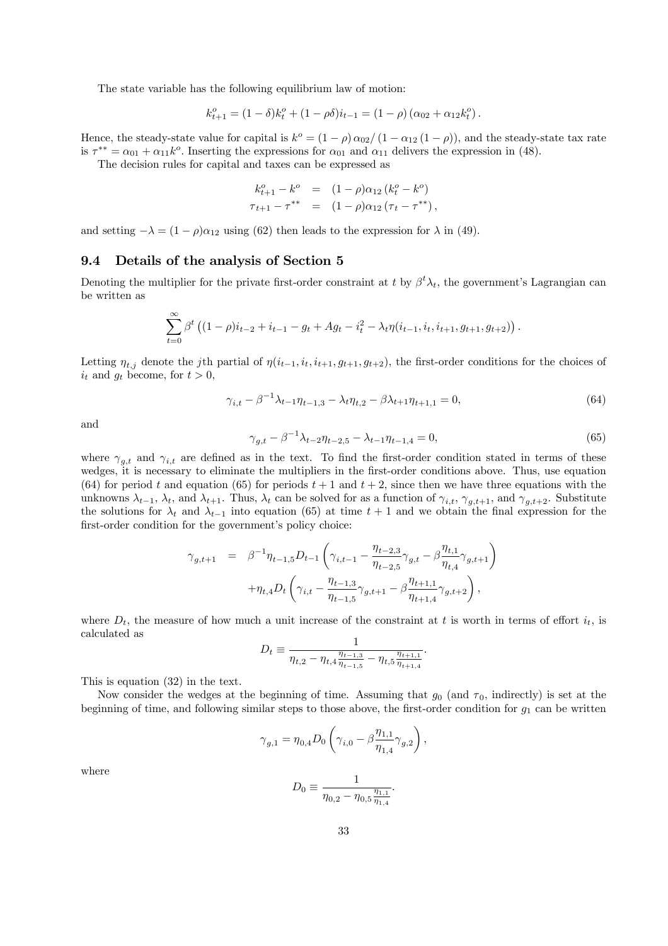The state variable has the following equilibrium law of motion:

$$
k_{t+1}^{o} = (1 - \delta)k_{t}^{o} + (1 - \rho \delta)i_{t-1} = (1 - \rho) (\alpha_{02} + \alpha_{12}k_{t}^{o}).
$$

Hence, the steady-state value for capital is  $k^o = (1 - \rho) \alpha_{02}/(1 - \alpha_{12} (1 - \rho))$ , and the steady-state tax rate is  $\tau^{**} = \alpha_{01} + \alpha_{11}k^{\circ}$ . Inserting the expressions for  $\alpha_{01}$  and  $\alpha_{11}$  delivers the expression in (48).

The decision rules for capital and taxes can be expressed as

$$
k_{t+1}^o - k^o = (1 - \rho)\alpha_{12} (k_t^o - k^o)
$$
  

$$
\tau_{t+1} - \tau^{**} = (1 - \rho)\alpha_{12} (\tau_t - \tau^{**}),
$$

and setting  $-\lambda = (1 - \rho)\alpha_{12}$  using (62) then leads to the expression for  $\lambda$  in (49).

#### 9.4 Details of the analysis of Section 5

Denoting the multiplier for the private first-order constraint at t by  $\beta^t \lambda_t$ , the government's Lagrangian can be written as

$$
\sum_{t=0}^{\infty} \beta^{t} \left( (1-\rho)i_{t-2}+i_{t-1}-g_{t}+Ag_{t}-i_{t}^{2}-\lambda_{t}\eta(i_{t-1},i_{t},i_{t+1},g_{t+1},g_{t+2})\right).
$$

Letting  $\eta_{t,j}$  denote the jth partial of  $\eta(i_{t-1}, i_t, i_{t+1}, g_{t+1}, g_{t+2})$ , the first-order conditions for the choices of  $i_t$  and  $g_t$  become, for  $t > 0$ ,

$$
\gamma_{i,t} - \beta^{-1} \lambda_{t-1} \eta_{t-1,3} - \lambda_t \eta_{t,2} - \beta \lambda_{t+1} \eta_{t+1,1} = 0,\tag{64}
$$

and

$$
\gamma_{g,t} - \beta^{-1} \lambda_{t-2} \eta_{t-2,5} - \lambda_{t-1} \eta_{t-1,4} = 0,\tag{65}
$$

where  $\gamma_{q,t}$  and  $\gamma_{i,t}$  are defined as in the text. To find the first-order condition stated in terms of these wedges, it is necessary to eliminate the multipliers in the first-order conditions above. Thus, use equation (64) for period t and equation (65) for periods  $t + 1$  and  $t + 2$ , since then we have three equations with the unknowns  $\lambda_{t-1}$ ,  $\lambda_t$ , and  $\lambda_{t+1}$ . Thus,  $\lambda_t$  can be solved for as a function of  $\gamma_{i,t}$ ,  $\gamma_{g,t+1}$ , and  $\gamma_{g,t+2}$ . Substitute the solutions for  $\lambda_t$  and  $\lambda_{t-1}$  into equation (65) at time  $t+1$  and we obtain the final expression for the first-order condition for the government's policy choice:

$$
\gamma_{g,t+1} = \beta^{-1} \eta_{t-1,5} D_{t-1} \left( \gamma_{i,t-1} - \frac{\eta_{t-2,3}}{\eta_{t-2,5}} \gamma_{g,t} - \beta \frac{\eta_{t,1}}{\eta_{t,4}} \gamma_{g,t+1} \right) + \eta_{t,4} D_t \left( \gamma_{i,t} - \frac{\eta_{t-1,3}}{\eta_{t-1,5}} \gamma_{g,t+1} - \beta \frac{\eta_{t+1,1}}{\eta_{t+1,4}} \gamma_{g,t+2} \right),
$$

where  $D_t$ , the measure of how much a unit increase of the constraint at t is worth in terms of effort  $i_t$ , is calculated as

$$
D_t \equiv \frac{1}{\eta_{t,2} - \eta_{t,4} \frac{\eta_{t-1,3}}{\eta_{t-1,5}} - \eta_{t,5} \frac{\eta_{t+1,1}}{\eta_{t+1,4}}}.
$$

This is equation (32) in the text.

Now consider the wedges at the beginning of time. Assuming that  $q_0$  (and  $\tau_0$ , indirectly) is set at the beginning of time, and following similar steps to those above, the first-order condition for  $g_1$  can be written

$$
\gamma_{g,1} = \eta_{0,4} D_0 \left( \gamma_{i,0} - \beta \frac{\eta_{1,1}}{\eta_{1,4}} \gamma_{g,2} \right),
$$

where

$$
D_0 \equiv \frac{1}{\eta_{0,2} - \eta_{0,5} \frac{\eta_{1,1}}{\eta_{1,4}}}.
$$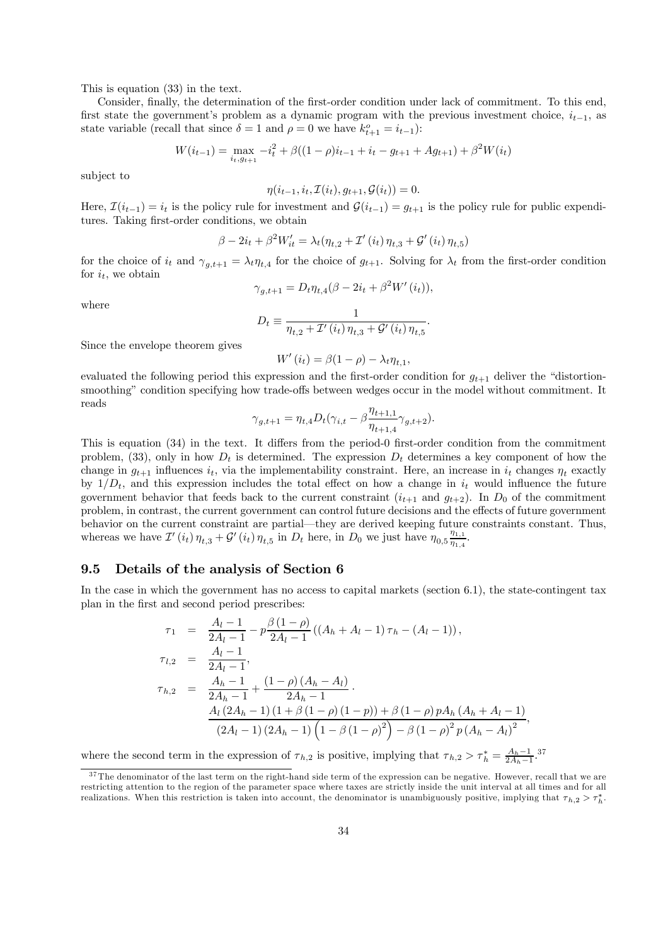This is equation (33) in the text.

Consider, finally, the determination of the first-order condition under lack of commitment. To this end, first state the government's problem as a dynamic program with the previous investment choice,  $i_{t-1}$ , as state variable (recall that since  $\delta = 1$  and  $\rho = 0$  we have  $k_{t+1}^o = i_{t-1}$ ):

$$
W(i_{t-1}) = \max_{i_t, g_{t+1}} -i_t^2 + \beta((1-\rho)i_{t-1} + i_t - g_{t+1} + Ag_{t+1}) + \beta^2 W(i_t)
$$

subject to

$$
\eta(i_{t-1}, i_t, \mathcal{I}(i_t), g_{t+1}, \mathcal{G}(i_t)) = 0.
$$

Here,  $\mathcal{I}(i_{t-1}) = i_t$  is the policy rule for investment and  $\mathcal{G}(i_{t-1}) = g_{t+1}$  is the policy rule for public expenditures. Taking first-order conditions, we obtain

$$
\beta - 2i_t + \beta^2 W'_{it} = \lambda_t (\eta_{t,2} + \mathcal{I}'(i_t) \eta_{t,3} + \mathcal{G}'(i_t) \eta_{t,5})
$$

for the choice of  $i_t$  and  $\gamma_{g,t+1} = \lambda_t \eta_{t,4}$  for the choice of  $g_{t+1}$ . Solving for  $\lambda_t$  from the first-order condition for  $i_t$ , we obtain

$$
\gamma_{g,t+1} = D_t \eta_{t,4} (\beta - 2i_t + \beta^2 W'(i_t)),
$$

where

$$
D_t \equiv \frac{1}{\eta_{t,2} + \mathcal{I}'(i_t) \eta_{t,3} + \mathcal{G}'(i_t) \eta_{t,5}}.
$$

Since the envelope theorem gives

 $W'(i_t) = \beta(1-\rho) - \lambda_t \eta_{t,1}$ 

evaluated the following period this expression and the first-order condition for  $q_{t+1}$  deliver the "distortionsmoothing" condition specifying how trade-offs between wedges occur in the model without commitment. It reads

$$
\gamma_{g,t+1} = \eta_{t,4} D_t(\gamma_{i,t} - \beta \frac{\eta_{t+1,1}}{\eta_{t+1,4}} \gamma_{g,t+2}).
$$

This is equation (34) in the text. It differs from the period-0 first-order condition from the commitment problem, (33), only in how  $D_t$  is determined. The expression  $D_t$  determines a key component of how the change in  $g_{t+1}$  influences  $i_t$ , via the implementability constraint. Here, an increase in  $i_t$  changes  $\eta_t$  exactly by  $1/D_t$ , and this expression includes the total effect on how a change in  $i_t$  would influence the future government behavior that feeds back to the current constraint  $(i_{t+1}$  and  $g_{t+2})$ . In  $D_0$  of the commitment problem, in contrast, the current government can control future decisions and the effects of future government behavior on the current constraint are partial–they are derived keeping future constraints constant. Thus, whereas we have  $\mathcal{I}'(i_t)$   $\eta_{t,3} + \mathcal{G}'(i_t)$   $\eta_{t,5}$  in  $D_t$  here, in  $D_0$  we just have  $\eta_{0,5} \frac{\eta_{1,1}}{\eta_{1,4}}$  $\frac{\eta_{1,1}}{\eta_{1,4}}.$ 

### 9.5 Details of the analysis of Section 6

In the case in which the government has no access to capital markets (section 6.1), the state-contingent tax plan in the first and second period prescribes:

$$
\tau_1 = \frac{A_l - 1}{2A_l - 1} - p \frac{\beta (1 - \rho)}{2A_l - 1} ((A_h + A_l - 1) \tau_h - (A_l - 1)),
$$
  
\n
$$
\tau_{l,2} = \frac{A_l - 1}{2A_l - 1},
$$
  
\n
$$
\tau_{h,2} = \frac{A_h - 1}{2A_h - 1} + \frac{(1 - \rho)(A_h - A_l)}{2A_h - 1}.
$$
  
\n
$$
\frac{A_l (2A_h - 1) (1 + \beta (1 - \rho) (1 - p)) + \beta (1 - \rho) p A_h (A_h + A_l - 1)}{(2A_l - 1) (2A_h - 1) (1 - \beta (1 - \rho)^2) - \beta (1 - \rho)^2 p (A_h - A_l)^2},
$$

where the second term in the expression of  $\tau_{h,2}$  is positive, implying that  $\tau_{h,2} > \tau_h^* = \frac{A_h - 1}{2A_h - 1}$ .<sup>37</sup>

 $37$ The denominator of the last term on the right-hand side term of the expression can be negative. However, recall that we are restricting attention to the region of the parameter space where taxes are strictly inside the unit interval at all times and for all realizations. When this restriction is taken into account, the denominator is unambiguously positive, implying that  $\tau_{h,2} > \tau_h^*$ .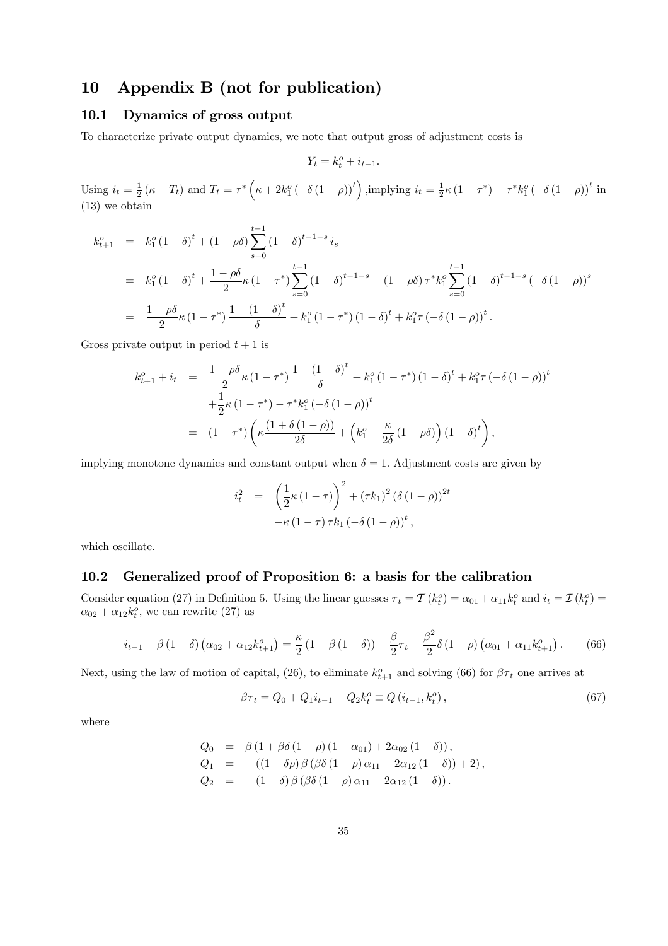# 10 Appendix B (not for publication)

# 10.1 Dynamics of gross output

To characterize private output dynamics, we note that output gross of adjustment costs is

$$
Y_t = k_t^o + i_{t-1}.
$$

Using  $i_t = \frac{1}{2} (\kappa - T_t)$  and  $T_t = \tau^* (\kappa + 2k_1^o ( -\delta (1 - \rho))^t)$ , implying  $i_t = \frac{1}{2} \kappa (1 - \tau^*) - \tau^* k_1^o ( -\delta (1 - \rho))^t$  in (13) we obtain

$$
k_{t+1}^o = k_1^o (1 - \delta)^t + (1 - \rho \delta) \sum_{s=0}^{t-1} (1 - \delta)^{t-1-s} i_s
$$
  
=  $k_1^o (1 - \delta)^t + \frac{1 - \rho \delta}{2} \kappa (1 - \tau^*) \sum_{s=0}^{t-1} (1 - \delta)^{t-1-s} - (1 - \rho \delta) \tau^* k_1^o \sum_{s=0}^{t-1} (1 - \delta)^{t-1-s} (-\delta (1 - \rho))^s$   
=  $\frac{1 - \rho \delta}{2} \kappa (1 - \tau^*) \frac{1 - (1 - \delta)^t}{\delta} + k_1^o (1 - \tau^*) (1 - \delta)^t + k_1^o \tau (-\delta (1 - \rho))^t.$ 

Gross private output in period  $t + 1$  is

$$
k_{t+1}^o + i_t = \frac{1 - \rho \delta}{2} \kappa (1 - \tau^*) \frac{1 - (1 - \delta)^t}{\delta} + k_1^o (1 - \tau^*) (1 - \delta)^t + k_1^o \tau (-\delta (1 - \rho))^t
$$
  
+ 
$$
\frac{1}{2} \kappa (1 - \tau^*) - \tau^* k_1^o (-\delta (1 - \rho))^t
$$
  
= 
$$
(1 - \tau^*) \left( \kappa \frac{(1 + \delta (1 - \rho))}{2\delta} + \left( k_1^o - \frac{\kappa}{2\delta} (1 - \rho \delta) \right) (1 - \delta)^t \right),
$$

implying monotone dynamics and constant output when  $\delta = 1$ . Adjustment costs are given by

$$
i_t^2 = \left(\frac{1}{2}\kappa (1-\tau)\right)^2 + (\tau k_1)^2 (\delta (1-\rho))^{2t}
$$
  
- $\kappa (1-\tau) \tau k_1 (-\delta (1-\rho))^{t},$ 

which oscillate.

# 10.2 Generalized proof of Proposition 6: a basis for the calibration

Consider equation (27) in Definition 5. Using the linear guesses  $\tau_t = \mathcal{T}(k_t^o) = \alpha_{01} + \alpha_{11} k_t^o$  and  $i_t = \mathcal{I}(k_t^o) =$  $\alpha_{02} + \alpha_{12}k_t^o$ , we can rewrite (27) as

$$
i_{t-1} - \beta (1 - \delta) (\alpha_{02} + \alpha_{12} k_{t+1}^o) = \frac{\kappa}{2} (1 - \beta (1 - \delta)) - \frac{\beta}{2} \tau_t - \frac{\beta^2}{2} \delta (1 - \rho) (\alpha_{01} + \alpha_{11} k_{t+1}^o).
$$
 (66)

Next, using the law of motion of capital, (26), to eliminate  $k_{t+1}^o$  and solving (66) for  $\beta\tau_t$  one arrives at

$$
\beta \tau_t = Q_0 + Q_1 i_{t-1} + Q_2 k_t^o \equiv Q(i_{t-1}, k_t^o), \qquad (67)
$$

where

$$
Q_0 = \beta (1 + \beta \delta (1 - \rho) (1 - \alpha_{01}) + 2\alpha_{02} (1 - \delta)),
$$
  
\n
$$
Q_1 = -( (1 - \delta \rho) \beta (\beta \delta (1 - \rho) \alpha_{11} - 2\alpha_{12} (1 - \delta)) + 2),
$$
  
\n
$$
Q_2 = -(1 - \delta) \beta (\beta \delta (1 - \rho) \alpha_{11} - 2\alpha_{12} (1 - \delta)).
$$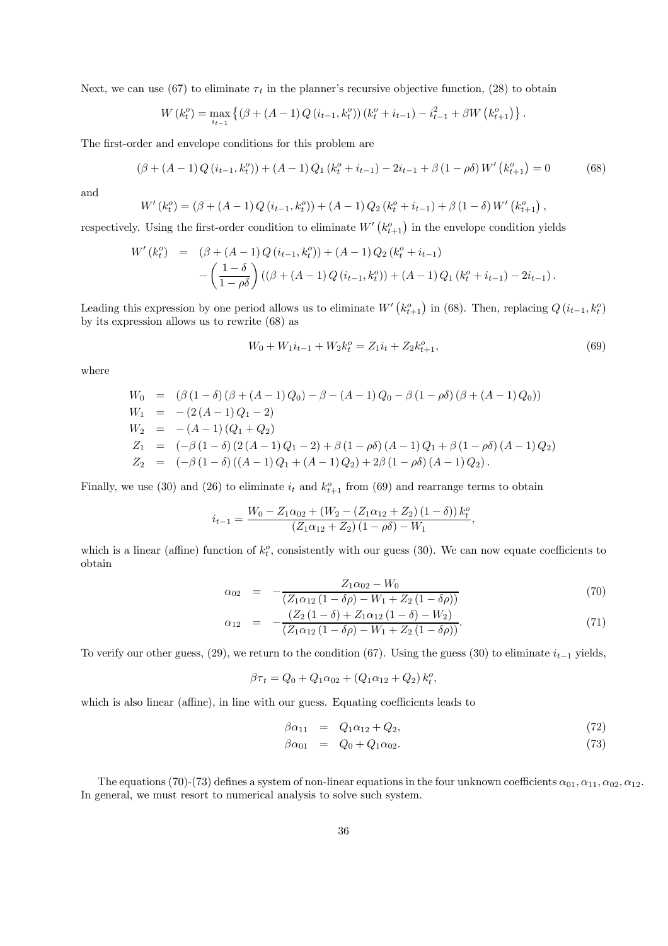Next, we can use (67) to eliminate  $\tau_t$  in the planner's recursive objective function, (28) to obtain

$$
W(k_t^o) = \max_{i_{t-1}} \left\{ (\beta + (A-1) Q (i_{t-1}, k_t^o)) (k_t^o + i_{t-1}) - i_{t-1}^2 + \beta W (k_{t+1}^o) \right\}.
$$

The first-order and envelope conditions for this problem are

$$
(\beta + (A-1)Q(i_{t-1}, k_t^o)) + (A-1)Q_1(k_t^o + i_{t-1}) - 2i_{t-1} + \beta(1 - \rho \delta)W'\left(k_{t+1}^o\right) = 0 \tag{68}
$$

and

$$
W'(k_t^o) = (\beta + (A-1)Q(i_{t-1}, k_t^o)) + (A-1)Q_2(k_t^o + i_{t-1}) + \beta(1-\delta)W'(k_{t+1}^o),
$$

respectively. Using the first-order condition to eliminate  $W'(k_{t+1}^o)$  in the envelope condition yields

$$
W'(k_t^o) = (\beta + (A-1)Q(i_{t-1}, k_t^o)) + (A-1)Q_2(k_t^o + i_{t-1})
$$
  
 
$$
-\left(\frac{1-\delta}{1-\rho\delta}\right)((\beta + (A-1)Q(i_{t-1}, k_t^o)) + (A-1)Q_1(k_t^o + i_{t-1}) - 2i_{t-1}).
$$

Leading this expression by one period allows us to eliminate  $W'(k_{t+1}^o)$  in (68). Then, replacing  $Q(i_{t-1}, k_t^o)$ by its expression allows us to rewrite (68) as

$$
W_0 + W_1 i_{t-1} + W_2 k_t^o = Z_1 i_t + Z_2 k_{t+1}^o,
$$
\n(69)

where

$$
W_0 = (\beta (1 - \delta) (\beta + (A - 1) Q_0) - \beta - (A - 1) Q_0 - \beta (1 - \rho \delta) (\beta + (A - 1) Q_0))
$$
  
\n
$$
W_1 = -(2 (A - 1) Q_1 - 2)
$$
  
\n
$$
W_2 = -(A - 1) (Q_1 + Q_2)
$$
  
\n
$$
Z_1 = (-\beta (1 - \delta) (2 (A - 1) Q_1 - 2) + \beta (1 - \rho \delta) (A - 1) Q_1 + \beta (1 - \rho \delta) (A - 1) Q_2)
$$
  
\n
$$
Z_2 = (-\beta (1 - \delta) ((A - 1) Q_1 + (A - 1) Q_2) + 2\beta (1 - \rho \delta) (A - 1) Q_2).
$$

Finally, we use (30) and (26) to eliminate  $i_t$  and  $k_{t+1}^o$  from (69) and rearrange terms to obtain

$$
i_{t-1} = \frac{W_0 - Z_1 \alpha_{02} + (W_2 - (Z_1 \alpha_{12} + Z_2) (1 - \delta)) k_t^o}{(Z_1 \alpha_{12} + Z_2) (1 - \rho \delta) - W_1},
$$

which is a linear (affine) function of  $k_t^o$ , consistently with our guess (30). We can now equate coefficients to obtain

$$
\alpha_{02} = -\frac{Z_1 \alpha_{02} - W_0}{(Z_1 \alpha_{12} (1 - \delta \rho) - W_1 + Z_2 (1 - \delta \rho))}
$$
(70)

$$
\alpha_{12} = -\frac{(Z_2(1-\delta) + Z_1\alpha_{12}(1-\delta) - W_2)}{(Z_1\alpha_{12}(1-\delta\rho) - W_1 + Z_2(1-\delta\rho))}.
$$
\n(71)

To verify our other guess, (29), we return to the condition (67). Using the guess (30) to eliminate  $i_{t-1}$  yields,

$$
\beta \tau_t = Q_0 + Q_1 \alpha_{02} + (Q_1 \alpha_{12} + Q_2) k_t^o,
$$

which is also linear (affine), in line with our guess. Equating coefficients leads to

$$
\beta \alpha_{11} = Q_1 \alpha_{12} + Q_2, \tag{72}
$$

$$
\beta \alpha_{01} = Q_0 + Q_1 \alpha_{02}.
$$
\n(73)

The equations (70)-(73) defines a system of non-linear equations in the four unknown coefficients  $\alpha_{01}, \alpha_{11}, \alpha_{02}, \alpha_{12}$ . In general, we must resort to numerical analysis to solve such system.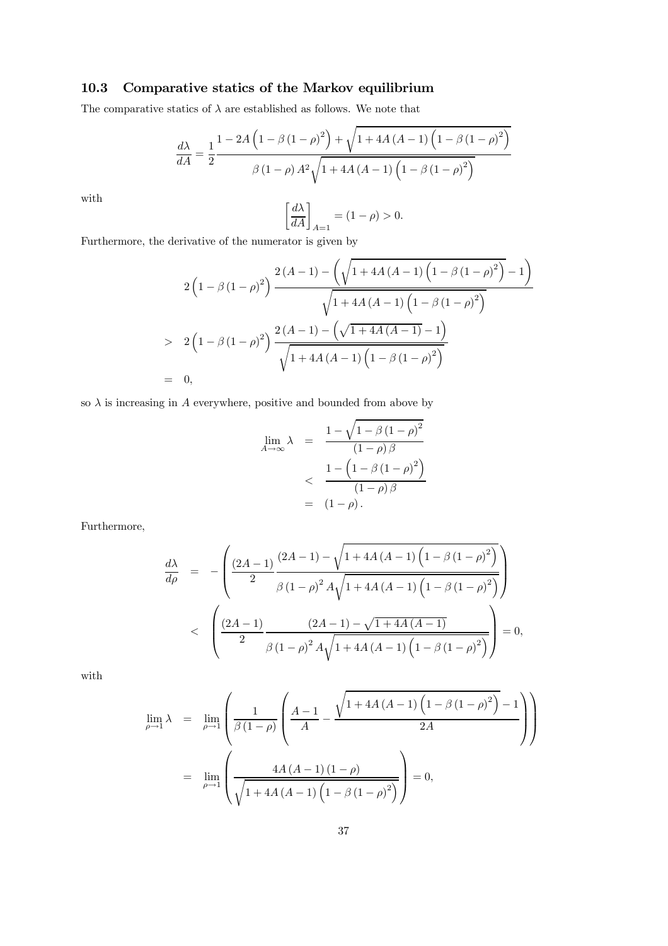# 10.3 Comparative statics of the Markov equilibrium

The comparative statics of  $\lambda$  are established as follows. We note that

$$
\frac{d\lambda}{dA} = \frac{1}{2} \frac{1 - 2A\left(1 - \beta\left(1 - \rho\right)^2\right) + \sqrt{1 + 4A\left(A - 1\right)\left(1 - \beta\left(1 - \rho\right)^2\right)}}{\beta\left(1 - \rho\right)A^2\sqrt{1 + 4A\left(A - 1\right)\left(1 - \beta\left(1 - \rho\right)^2\right)}}
$$

with

$$
\left[\frac{d\lambda}{dA}\right]_{A=1} = (1 - \rho) > 0.
$$

Furthermore, the derivative of the numerator is given by

$$
2\left(1-\beta(1-\rho)^{2}\right) \frac{2(A-1)-\left(\sqrt{1+4A(A-1)\left(1-\beta(1-\rho)^{2}\right)}-1\right)}{\sqrt{1+4A(A-1)\left(1-\beta(1-\rho)^{2}\right)}}
$$
  
> 2\left(1-\beta(1-\rho)^{2}\right) \frac{2(A-1)-\left(\sqrt{1+4A(A-1)}-1\right)}{\sqrt{1+4A(A-1)\left(1-\beta(1-\rho)^{2}\right)}}  
= 0,

so  $\lambda$  is increasing in A everywhere, positive and bounded from above by

$$
\lim_{A \to \infty} \lambda = \frac{1 - \sqrt{1 - \beta (1 - \rho)^2}}{(1 - \rho)\beta}
$$
  

$$
< \frac{1 - (1 - \beta (1 - \rho)^2)}{(1 - \rho)\beta}
$$
  

$$
= (1 - \rho).
$$

Furthermore,

$$
\frac{d\lambda}{d\rho} = -\left(\frac{(2A-1)}{2}\frac{(2A-1)-\sqrt{1+4A(A-1)\left(1-\beta(1-\rho)^2\right)}}{\beta(1-\rho)^2A\sqrt{1+4A(A-1)\left(1-\beta(1-\rho)^2\right)}}\right)
$$
  
< 
$$
\leq \left(\frac{(2A-1)}{2}\frac{(2A-1)-\sqrt{1+4A(A-1)}}{\beta(1-\rho)^2A\sqrt{1+4A(A-1)\left(1-\beta(1-\rho)^2\right)}}\right) = 0,
$$

with

$$
\lim_{\rho \to 1} \lambda = \lim_{\rho \to 1} \left( \frac{1}{\beta (1 - \rho)} \left( \frac{A - 1}{A} - \frac{\sqrt{1 + 4A (A - 1) (1 - \beta (1 - \rho)^2)} - 1}{2A} \right) \right)
$$

$$
= \lim_{\rho \to 1} \left( \frac{4A (A - 1) (1 - \rho)}{\sqrt{1 + 4A (A - 1) (1 - \beta (1 - \rho)^2)}} \right) = 0,
$$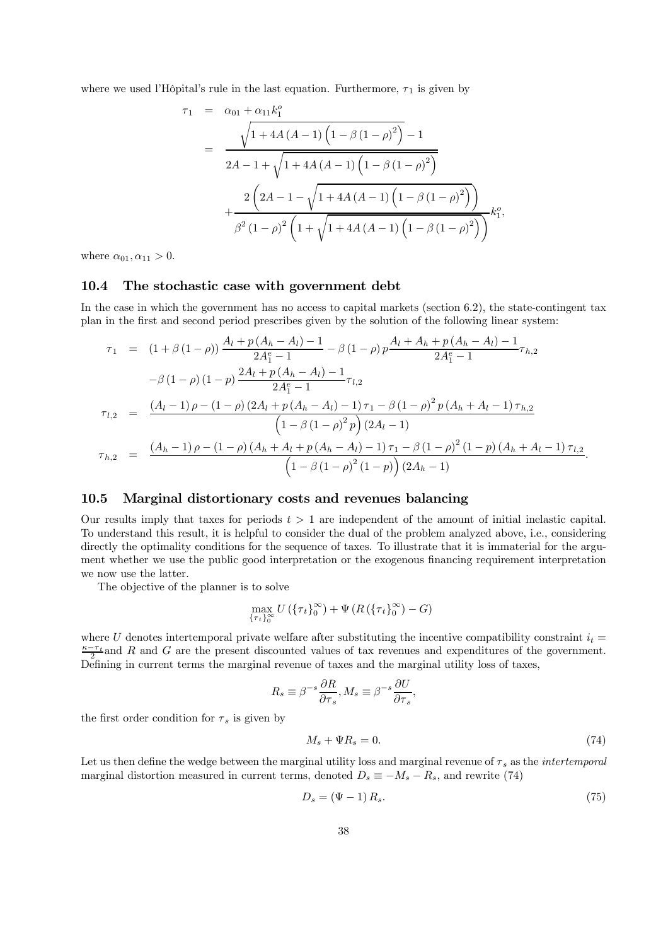where we used l'Hôpital's rule in the last equation. Furthermore,  $\tau_1$  is given by

$$
\tau_1 = \alpha_{01} + \alpha_{11}k_1^o
$$
\n
$$
= \frac{\sqrt{1 + 4A(A - 1)\left(1 - \beta(1 - \rho)^2\right)} - 1}{2A - 1 + \sqrt{1 + 4A(A - 1)\left(1 - \beta(1 - \rho)^2\right)}}
$$
\n
$$
+ \frac{2\left(2A - 1 - \sqrt{1 + 4A(A - 1)\left(1 - \beta(1 - \rho)^2\right)}\right)}{\beta^2(1 - \rho)^2\left(1 + \sqrt{1 + 4A(A - 1)\left(1 - \beta(1 - \rho)^2\right)}\right)}k_1^o,
$$

where  $\alpha_{01}, \alpha_{11} > 0$ .

#### 10.4 The stochastic case with government debt

In the case in which the government has no access to capital markets (section 6.2), the state-contingent tax plan in the first and second period prescribes given by the solution of the following linear system:

$$
\tau_{1} = (1 + \beta (1 - \rho)) \frac{A_{l} + p (A_{h} - A_{l}) - 1}{2A_{1}^{e} - 1} - \beta (1 - \rho) p \frac{A_{l} + A_{h} + p (A_{h} - A_{l}) - 1}{2A_{1}^{e} - 1} \tau_{h,2}
$$
\n
$$
- \beta (1 - \rho) (1 - p) \frac{2A_{l} + p (A_{h} - A_{l}) - 1}{2A_{1}^{e} - 1} \tau_{l,2}
$$
\n
$$
\tau_{l,2} = \frac{(A_{l} - 1) \rho - (1 - \rho) (2A_{l} + p (A_{h} - A_{l}) - 1) \tau_{1} - \beta (1 - \rho)^{2} p (A_{h} + A_{l} - 1) \tau_{h,2}}{(1 - \beta (1 - \rho)^{2} p) (2A_{l} - 1)}
$$
\n
$$
\tau_{h,2} = \frac{(A_{h} - 1) \rho - (1 - \rho) (A_{h} + A_{l} + p (A_{h} - A_{l}) - 1) \tau_{1} - \beta (1 - \rho)^{2} (1 - p) (A_{h} + A_{l} - 1) \tau_{l,2}}{(1 - \beta (1 - \rho)^{2} (1 - p)) (2A_{h} - 1)}.
$$

### 10.5 Marginal distortionary costs and revenues balancing

Our results imply that taxes for periods  $t > 1$  are independent of the amount of initial inelastic capital. To understand this result, it is helpful to consider the dual of the problem analyzed above, i.e., considering directly the optimality conditions for the sequence of taxes. To illustrate that it is immaterial for the argument whether we use the public good interpretation or the exogenous financing requirement interpretation we now use the latter.

The objective of the planner is to solve

$$
\max_{\{\tau_t\}_{0}^{\infty}} U(\{\tau_t\}_{0}^{\infty}) + \Psi(R(\{\tau_t\}_{0}^{\infty}) - G)
$$

where U denotes intertemporal private welfare after substituting the incentive compatibility constraint  $i_t =$  $\frac{\kappa-\tau_t}{2}$  and R and G are the present discounted values of tax revenues and expenditures of the government. Defining in current terms the marginal revenue of taxes and the marginal utility loss of taxes,

$$
R_s \equiv \beta^{-s} \frac{\partial R}{\partial \tau_s}, M_s \equiv \beta^{-s} \frac{\partial U}{\partial \tau_s},
$$

the first order condition for  $\tau_s$  is given by

$$
M_s + \Psi R_s = 0. \tag{74}
$$

Let us then define the wedge between the marginal utility loss and marginal revenue of  $\tau_s$  as the *intertemporal* marginal distortion measured in current terms, denoted  $D_s \equiv -M_s - R_s$ , and rewrite (74)

$$
D_s = (\Psi - 1) R_s. \tag{75}
$$